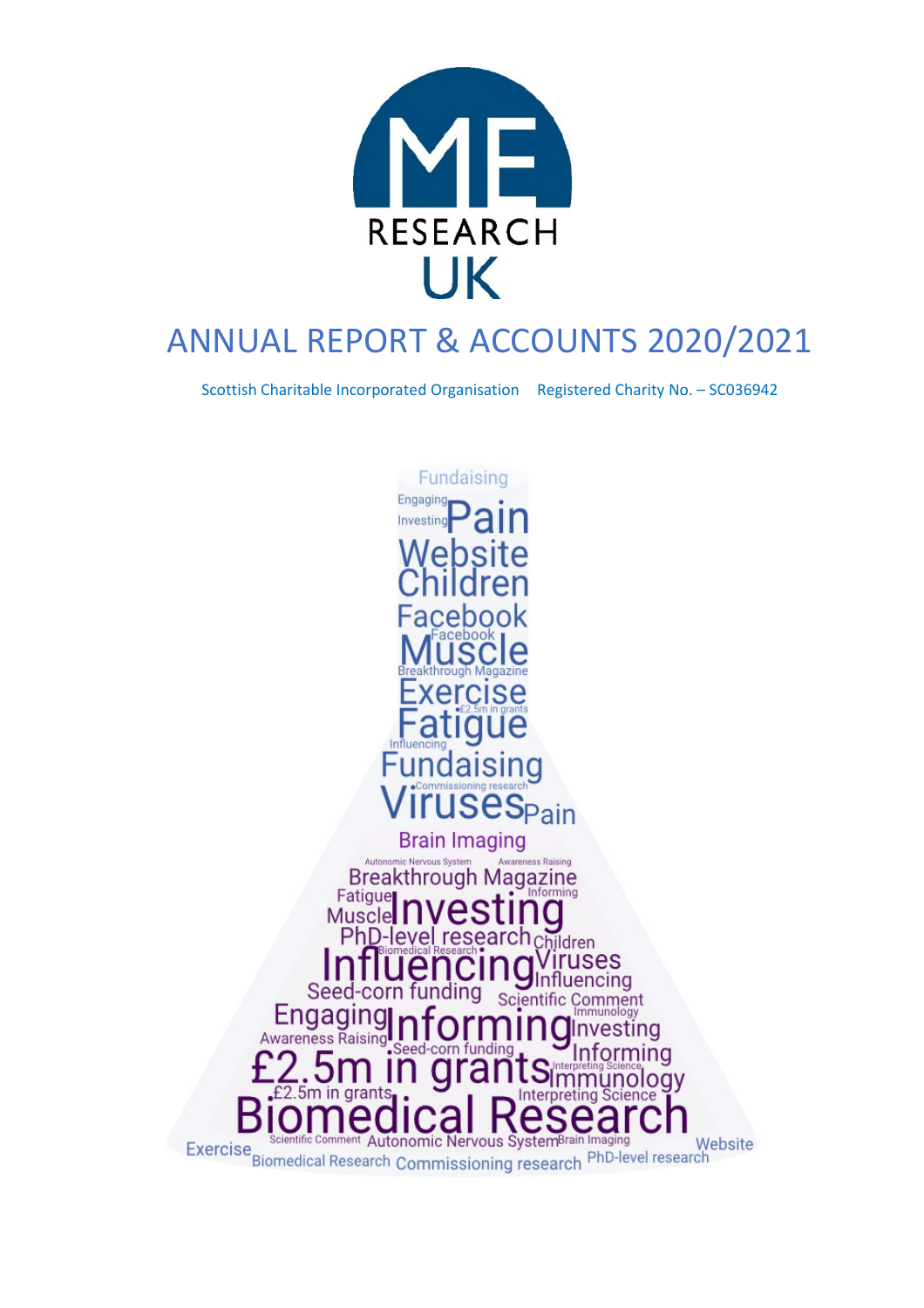

# ANNUAL REPORT & ACCOUNTS 2020/2021

Scottish Charitable Incorporated Organisation Registered Charity No. – SC036942

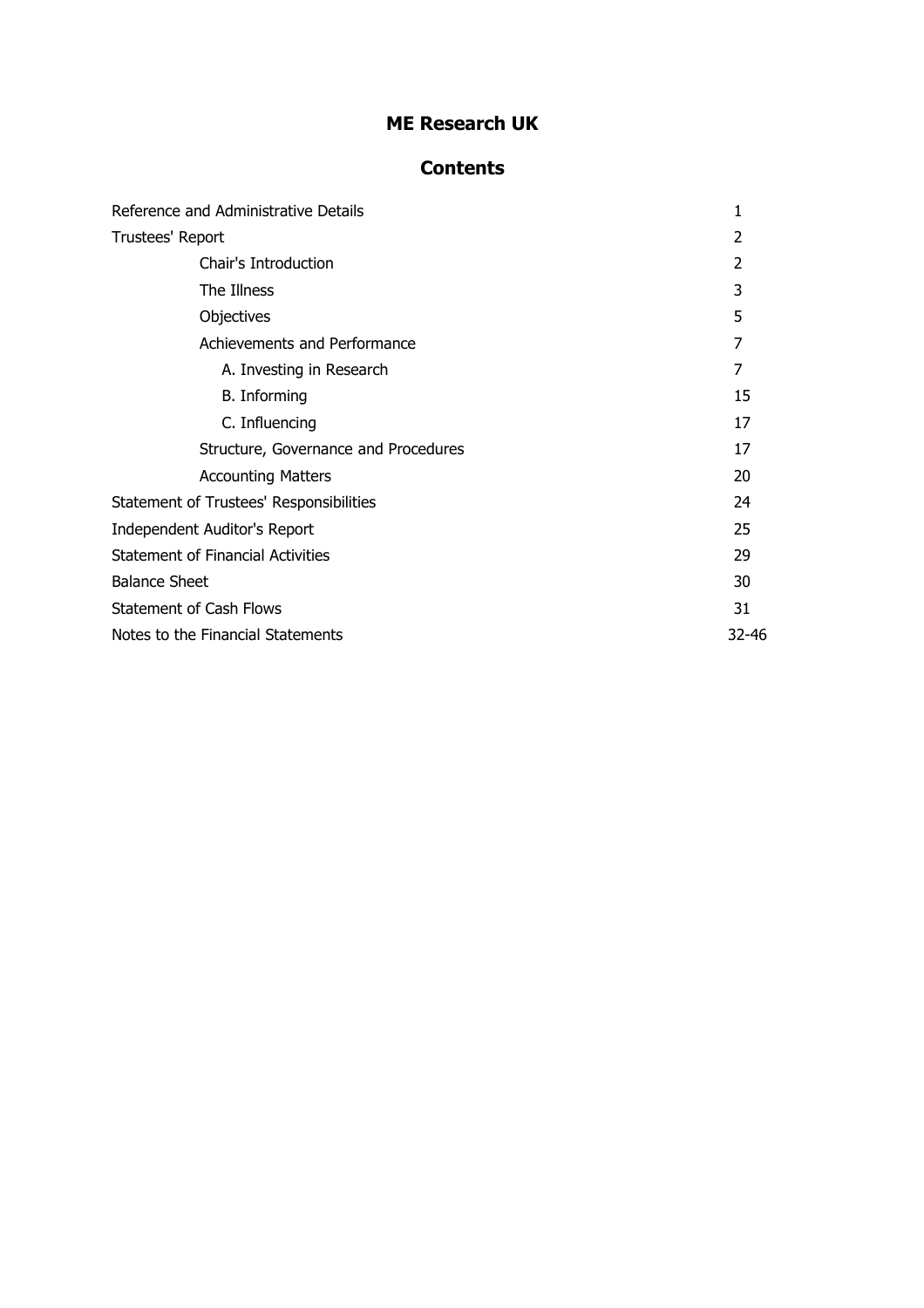### **Contents**

| Reference and Administrative Details     | 1              |
|------------------------------------------|----------------|
| Trustees' Report                         | 2              |
| Chair's Introduction                     | $\overline{2}$ |
| The Illness                              | 3              |
| Objectives                               | 5              |
| Achievements and Performance             | $\overline{7}$ |
| A. Investing in Research                 | 7              |
| B. Informing                             | 15             |
| C. Influencing                           | 17             |
| Structure, Governance and Procedures     | 17             |
| <b>Accounting Matters</b>                | 20             |
| Statement of Trustees' Responsibilities  | 24             |
| Independent Auditor's Report             | 25             |
| <b>Statement of Financial Activities</b> | 29             |
| <b>Balance Sheet</b>                     | 30             |
| <b>Statement of Cash Flows</b>           | 31             |
| Notes to the Financial Statements        | 32-46          |
|                                          |                |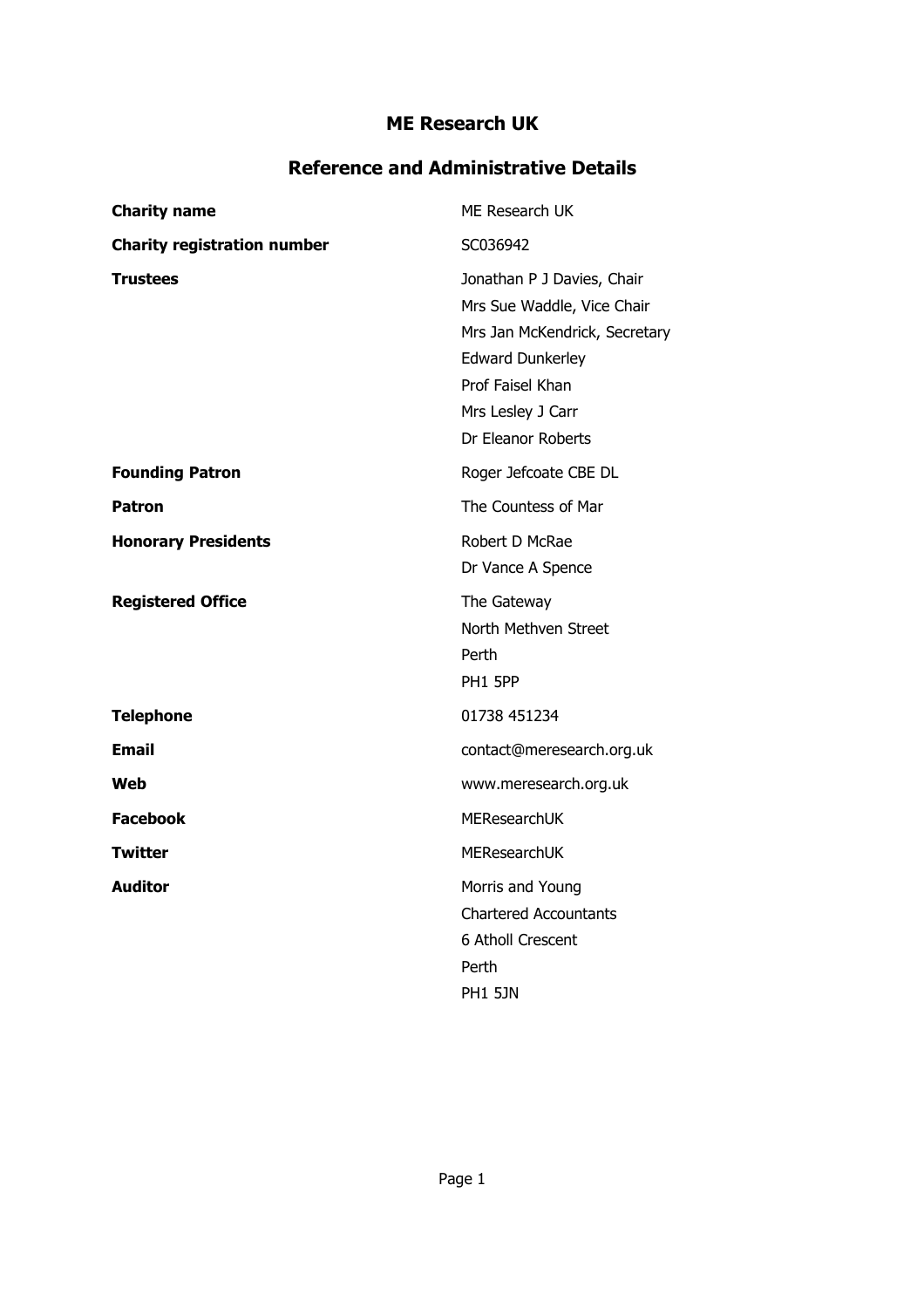### **Reference and Administrative Details**

| <b>Charity name</b>                | ME Research UK                                                                                                                                                                      |
|------------------------------------|-------------------------------------------------------------------------------------------------------------------------------------------------------------------------------------|
| <b>Charity registration number</b> | SC036942                                                                                                                                                                            |
| <b>Trustees</b>                    | Jonathan P J Davies, Chair<br>Mrs Sue Waddle, Vice Chair<br>Mrs Jan McKendrick, Secretary<br><b>Edward Dunkerley</b><br>Prof Faisel Khan<br>Mrs Lesley J Carr<br>Dr Eleanor Roberts |
| <b>Founding Patron</b>             | Roger Jefcoate CBE DL                                                                                                                                                               |
| <b>Patron</b>                      | The Countess of Mar                                                                                                                                                                 |
| <b>Honorary Presidents</b>         | Robert D McRae<br>Dr Vance A Spence                                                                                                                                                 |
| <b>Registered Office</b>           | The Gateway<br>North Methven Street<br>Perth<br>PH1 5PP                                                                                                                             |
| <b>Telephone</b>                   | 01738 451234                                                                                                                                                                        |
| <b>Email</b>                       | contact@meresearch.org.uk                                                                                                                                                           |
| Web                                | www.meresearch.org.uk                                                                                                                                                               |
| <b>Facebook</b>                    | <b>MEResearchUK</b>                                                                                                                                                                 |
| Twitter                            | <b>MEResearchUK</b>                                                                                                                                                                 |
| <b>Auditor</b>                     | Morris and Young<br><b>Chartered Accountants</b><br>6 Atholl Crescent<br>Perth<br><b>PH1 5JN</b>                                                                                    |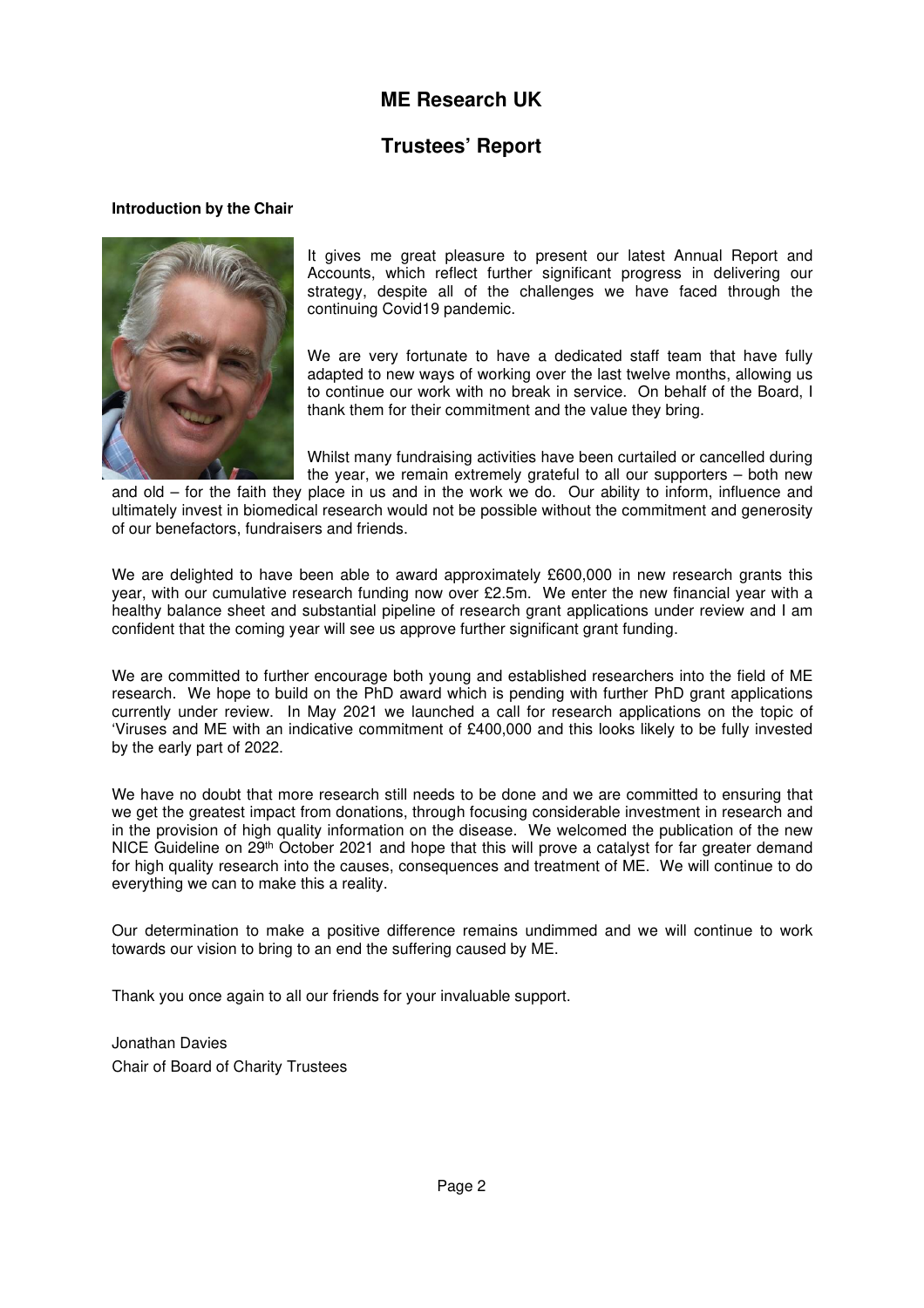### **Trustees' Report**

#### **Introduction by the Chair**



It gives me great pleasure to present our latest Annual Report and Accounts, which reflect further significant progress in delivering our strategy, despite all of the challenges we have faced through the continuing Covid19 pandemic.

We are very fortunate to have a dedicated staff team that have fully adapted to new ways of working over the last twelve months, allowing us to continue our work with no break in service. On behalf of the Board, I thank them for their commitment and the value they bring.

Whilst many fundraising activities have been curtailed or cancelled during the year, we remain extremely grateful to all our supporters – both new

and old – for the faith they place in us and in the work we do. Our ability to inform, influence and ultimately invest in biomedical research would not be possible without the commitment and generosity of our benefactors, fundraisers and friends.

We are delighted to have been able to award approximately £600,000 in new research grants this year, with our cumulative research funding now over £2.5m. We enter the new financial year with a healthy balance sheet and substantial pipeline of research grant applications under review and I am confident that the coming year will see us approve further significant grant funding.

We are committed to further encourage both young and established researchers into the field of ME research. We hope to build on the PhD award which is pending with further PhD grant applications currently under review. In May 2021 we launched a call for research applications on the topic of 'Viruses and ME with an indicative commitment of £400,000 and this looks likely to be fully invested by the early part of 2022.

We have no doubt that more research still needs to be done and we are committed to ensuring that we get the greatest impact from donations, through focusing considerable investment in research and in the provision of high quality information on the disease. We welcomed the publication of the new NICE Guideline on 29<sup>th</sup> October 2021 and hope that this will prove a catalyst for far greater demand for high quality research into the causes, consequences and treatment of ME. We will continue to do everything we can to make this a reality.

Our determination to make a positive difference remains undimmed and we will continue to work towards our vision to bring to an end the suffering caused by ME.

Thank you once again to all our friends for your invaluable support.

Jonathan Davies Chair of Board of Charity Trustees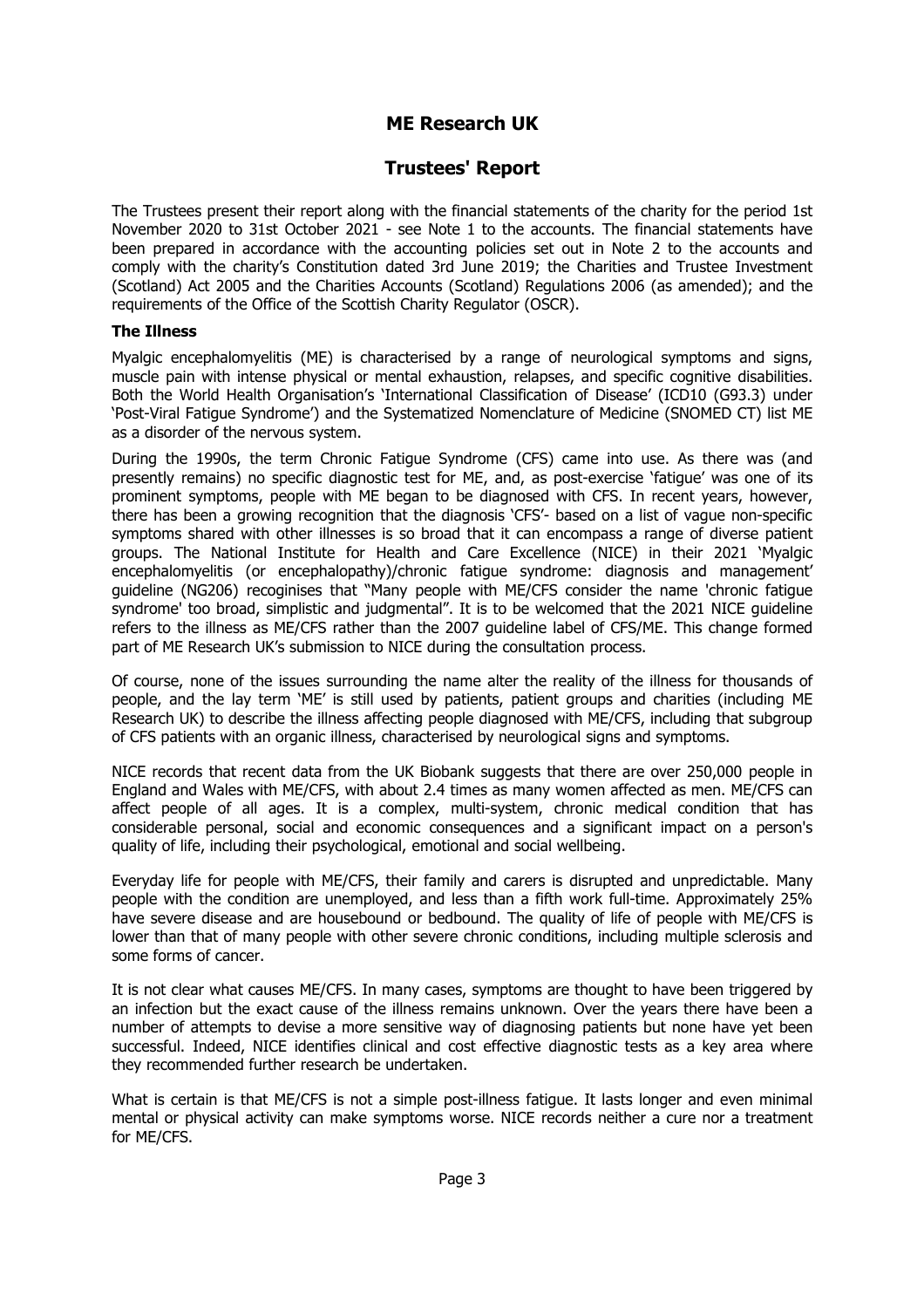### **Trustees' Report**

The Trustees present their report along with the financial statements of the charity for the period 1st November 2020 to 31st October 2021 - see Note 1 to the accounts. The financial statements have been prepared in accordance with the accounting policies set out in Note 2 to the accounts and comply with the charity's Constitution dated 3rd June 2019; the Charities and Trustee Investment (Scotland) Act 2005 and the Charities Accounts (Scotland) Regulations 2006 (as amended); and the requirements of the Office of the Scottish Charity Regulator (OSCR).

#### **The Illness**

Myalgic encephalomyelitis (ME) is characterised by a range of neurological symptoms and signs, muscle pain with intense physical or mental exhaustion, relapses, and specific cognitive disabilities. Both the World Health Organisation's 'International Classification of Disease' (ICD10 (G93.3) under 'Post-Viral Fatigue Syndrome') and the Systematized Nomenclature of Medicine (SNOMED CT) list ME as a disorder of the nervous system.

During the 1990s, the term Chronic Fatigue Syndrome (CFS) came into use. As there was (and presently remains) no specific diagnostic test for ME, and, as post-exercise 'fatigue' was one of its prominent symptoms, people with ME began to be diagnosed with CFS. In recent years, however, there has been a growing recognition that the diagnosis 'CFS'- based on a list of vague non-specific symptoms shared with other illnesses is so broad that it can encompass a range of diverse patient groups. The National Institute for Health and Care Excellence (NICE) in their 2021 'Myalgic encephalomyelitis (or encephalopathy)/chronic fatigue syndrome: diagnosis and management' guideline (NG206) recoginises that "Many people with ME/CFS consider the name 'chronic fatigue syndrome' too broad, simplistic and judgmental". It is to be welcomed that the 2021 NICE guideline refers to the illness as ME/CFS rather than the 2007 guideline label of CFS/ME. This change formed part of ME Research UK's submission to NICE during the consultation process.

Of course, none of the issues surrounding the name alter the reality of the illness for thousands of people, and the lay term 'ME' is still used by patients, patient groups and charities (including ME Research UK) to describe the illness affecting people diagnosed with ME/CFS, including that subgroup of CFS patients with an organic illness, characterised by neurological signs and symptoms.

NICE records that recent data from the UK Biobank suggests that there are over 250,000 people in England and Wales with ME/CFS, with about 2.4 times as many women affected as men. ME/CFS can affect people of all ages. It is a complex, multi-system, chronic medical condition that has considerable personal, social and economic consequences and a significant impact on a person's quality of life, including their psychological, emotional and social wellbeing.

Everyday life for people with ME/CFS, their family and carers is disrupted and unpredictable. Many people with the condition are unemployed, and less than a fifth work full-time. Approximately 25% have severe disease and are housebound or bedbound. The quality of life of people with ME/CFS is lower than that of many people with other severe chronic conditions, including multiple sclerosis and some forms of cancer.

It is not clear what causes ME/CFS. In many cases, symptoms are thought to have been triggered by an infection but the exact cause of the illness remains unknown. Over the years there have been a number of attempts to devise a more sensitive way of diagnosing patients but none have yet been successful. Indeed, NICE identifies clinical and cost effective diagnostic tests as a key area where they recommended further research be undertaken.

What is certain is that ME/CFS is not a simple post-illness fatigue. It lasts longer and even minimal mental or physical activity can make symptoms worse. NICE records neither a cure nor a treatment for ME/CFS.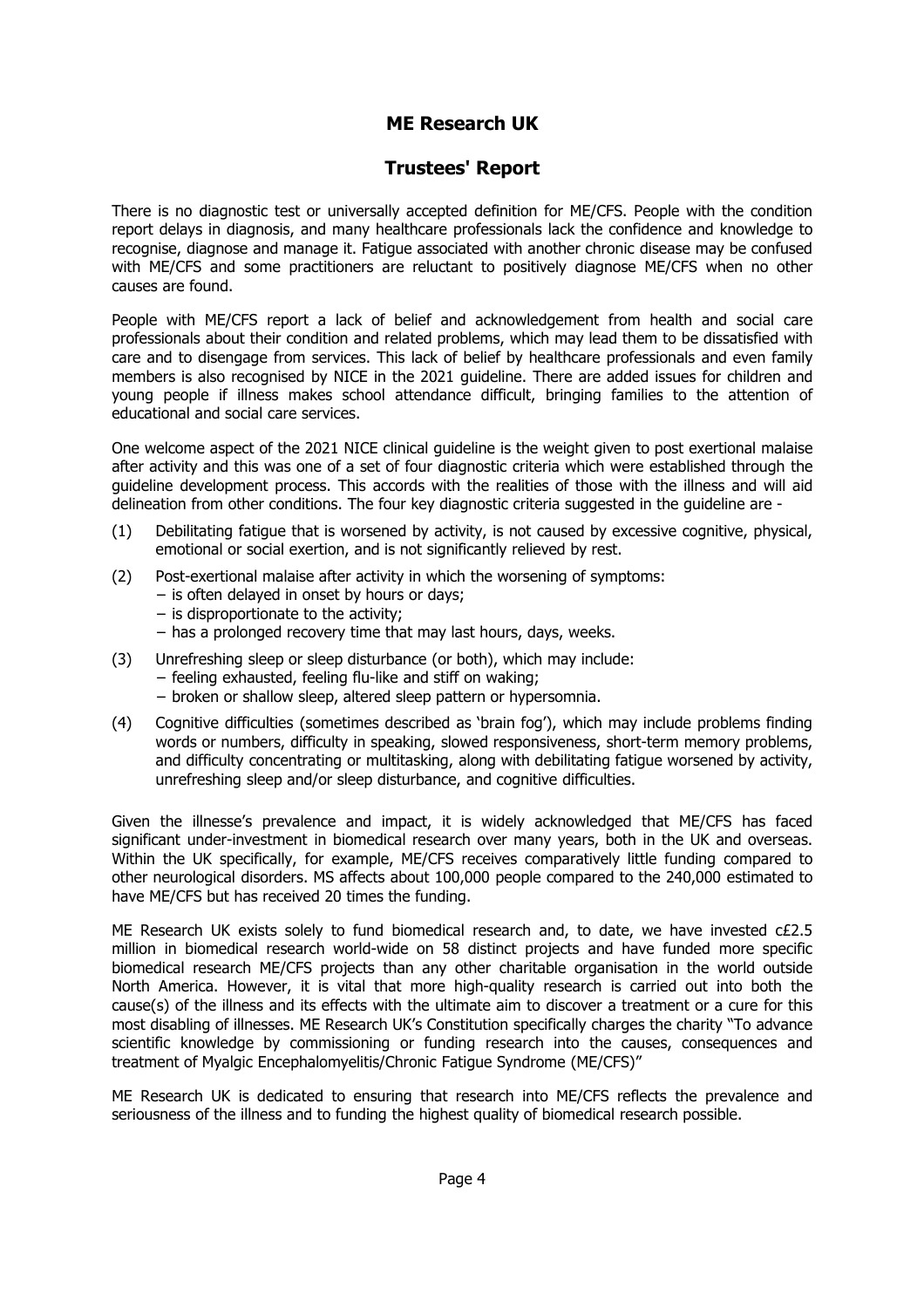### **Trustees' Report**

There is no diagnostic test or universally accepted definition for ME/CFS. People with the condition report delays in diagnosis, and many healthcare professionals lack the confidence and knowledge to recognise, diagnose and manage it. Fatigue associated with another chronic disease may be confused with ME/CFS and some practitioners are reluctant to positively diagnose ME/CFS when no other causes are found.

People with ME/CFS report a lack of belief and acknowledgement from health and social care professionals about their condition and related problems, which may lead them to be dissatisfied with care and to disengage from services. This lack of belief by healthcare professionals and even family members is also recognised by NICE in the 2021 guideline. There are added issues for children and young people if illness makes school attendance difficult, bringing families to the attention of educational and social care services.

One welcome aspect of the 2021 NICE clinical guideline is the weight given to post exertional malaise after activity and this was one of a set of four diagnostic criteria which were established through the guideline development process. This accords with the realities of those with the illness and will aid delineation from other conditions. The four key diagnostic criteria suggested in the guideline are -

- (1) Debilitating fatigue that is worsened by activity, is not caused by excessive cognitive, physical, emotional or social exertion, and is not significantly relieved by rest.
- (2) Post-exertional malaise after activity in which the worsening of symptoms:
	- − is often delayed in onset by hours or days;
	- − is disproportionate to the activity;
	- − has a prolonged recovery time that may last hours, days, weeks.
- (3) Unrefreshing sleep or sleep disturbance (or both), which may include:
	- − feeling exhausted, feeling flu-like and stiff on waking;
	- − broken or shallow sleep, altered sleep pattern or hypersomnia.
- (4) Cognitive difficulties (sometimes described as 'brain fog'), which may include problems finding words or numbers, difficulty in speaking, slowed responsiveness, short-term memory problems, and difficulty concentrating or multitasking, along with debilitating fatigue worsened by activity, unrefreshing sleep and/or sleep disturbance, and cognitive difficulties.

Given the illnesse's prevalence and impact, it is widely acknowledged that ME/CFS has faced significant under-investment in biomedical research over many years, both in the UK and overseas. Within the UK specifically, for example, ME/CFS receives comparatively little funding compared to other neurological disorders. MS affects about 100,000 people compared to the 240,000 estimated to have ME/CFS but has received 20 times the funding.

ME Research UK exists solely to fund biomedical research and, to date, we have invested c£2.5 million in biomedical research world-wide on 58 distinct projects and have funded more specific biomedical research ME/CFS projects than any other charitable organisation in the world outside North America. However, it is vital that more high-quality research is carried out into both the cause(s) of the illness and its effects with the ultimate aim to discover a treatment or a cure for this most disabling of illnesses. ME Research UK's Constitution specifically charges the charity "To advance scientific knowledge by commissioning or funding research into the causes, consequences and treatment of Myalgic Encephalomyelitis/Chronic Fatigue Syndrome (ME/CFS)"

ME Research UK is dedicated to ensuring that research into ME/CFS reflects the prevalence and seriousness of the illness and to funding the highest quality of biomedical research possible.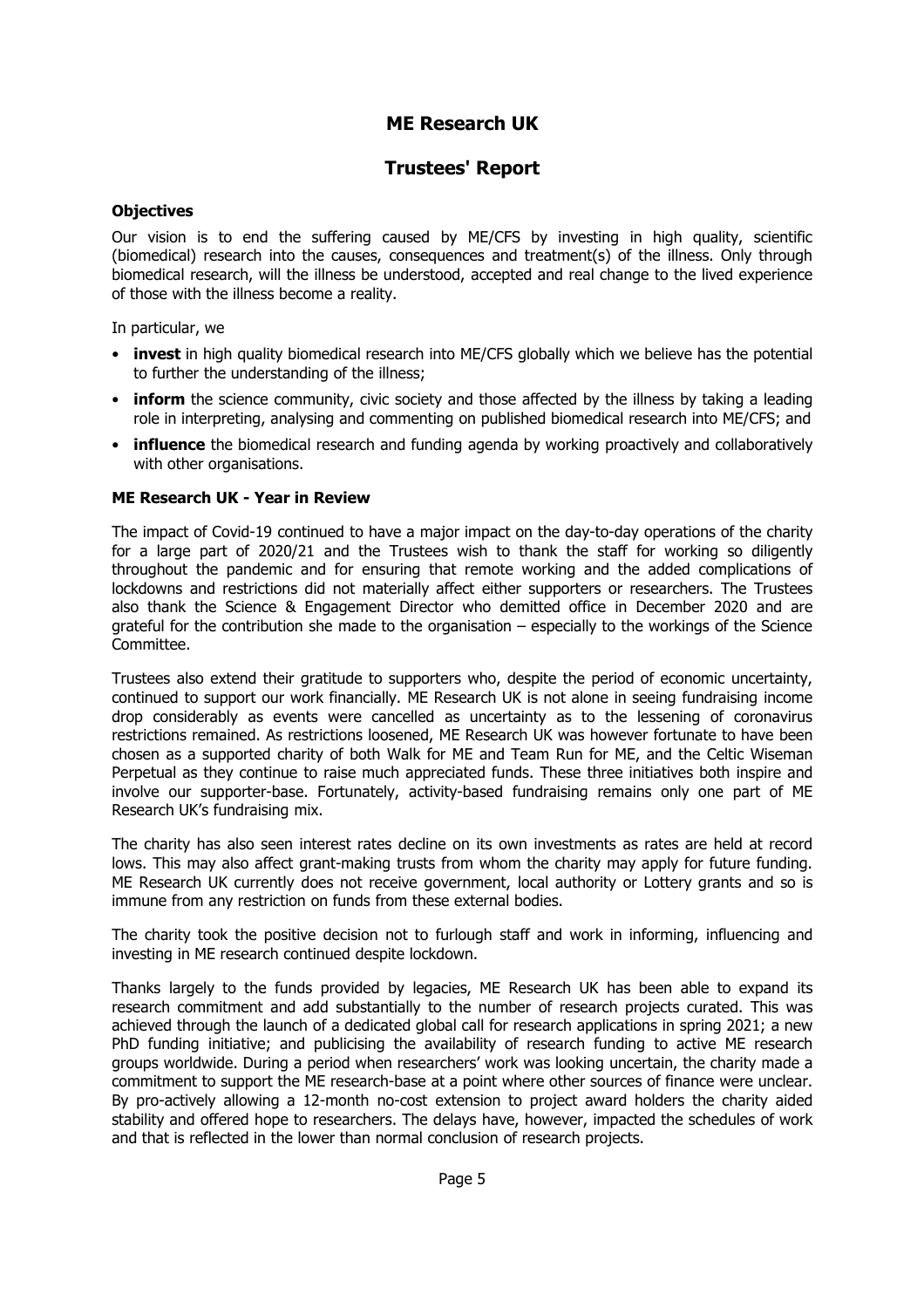### **Trustees' Report**

#### **Objectives**

Our vision is to end the suffering caused by ME/CFS by investing in high quality, scientific (biomedical) research into the causes, consequences and treatment(s) of the illness. Only through biomedical research, will the illness be understood, accepted and real change to the lived experience of those with the illness become a reality.

In particular, we

- **invest** in high quality biomedical research into ME/CFS globally which we believe has the potential to further the understanding of the illness;
- **inform** the science community, civic society and those affected by the illness by taking a leading role in interpreting, analysing and commenting on published biomedical research into ME/CFS; and
- **influence** the biomedical research and funding agenda by working proactively and collaboratively with other organisations.

#### **ME Research UK - Year in Review**

The impact of Covid-19 continued to have a major impact on the day-to-day operations of the charity for a large part of 2020/21 and the Trustees wish to thank the staff for working so diligently throughout the pandemic and for ensuring that remote working and the added complications of lockdowns and restrictions did not materially affect either supporters or researchers. The Trustees also thank the Science & Engagement Director who demitted office in December 2020 and are grateful for the contribution she made to the organisation – especially to the workings of the Science Committee.

Trustees also extend their gratitude to supporters who, despite the period of economic uncertainty, continued to support our work financially. ME Research UK is not alone in seeing fundraising income drop considerably as events were cancelled as uncertainty as to the lessening of coronavirus restrictions remained. As restrictions loosened, ME Research UK was however fortunate to have been chosen as a supported charity of both Walk for ME and Team Run for ME, and the Celtic Wiseman Perpetual as they continue to raise much appreciated funds. These three initiatives both inspire and involve our supporter-base. Fortunately, activity-based fundraising remains only one part of ME Research UK's fundraising mix.

The charity has also seen interest rates decline on its own investments as rates are held at record lows. This may also affect grant-making trusts from whom the charity may apply for future funding. ME Research UK currently does not receive government, local authority or Lottery grants and so is immune from any restriction on funds from these external bodies.

The charity took the positive decision not to furlough staff and work in informing, influencing and investing in ME research continued despite lockdown.

Thanks largely to the funds provided by legacies, ME Research UK has been able to expand its research commitment and add substantially to the number of research projects curated. This was achieved through the launch of a dedicated global call for research applications in spring 2021; a new PhD funding initiative; and publicising the availability of research funding to active ME research groups worldwide. During a period when researchers' work was looking uncertain, the charity made a commitment to support the ME research-base at a point where other sources of finance were unclear. By pro-actively allowing a 12-month no-cost extension to project award holders the charity aided stability and offered hope to researchers. The delays have, however, impacted the schedules of work and that is reflected in the lower than normal conclusion of research projects.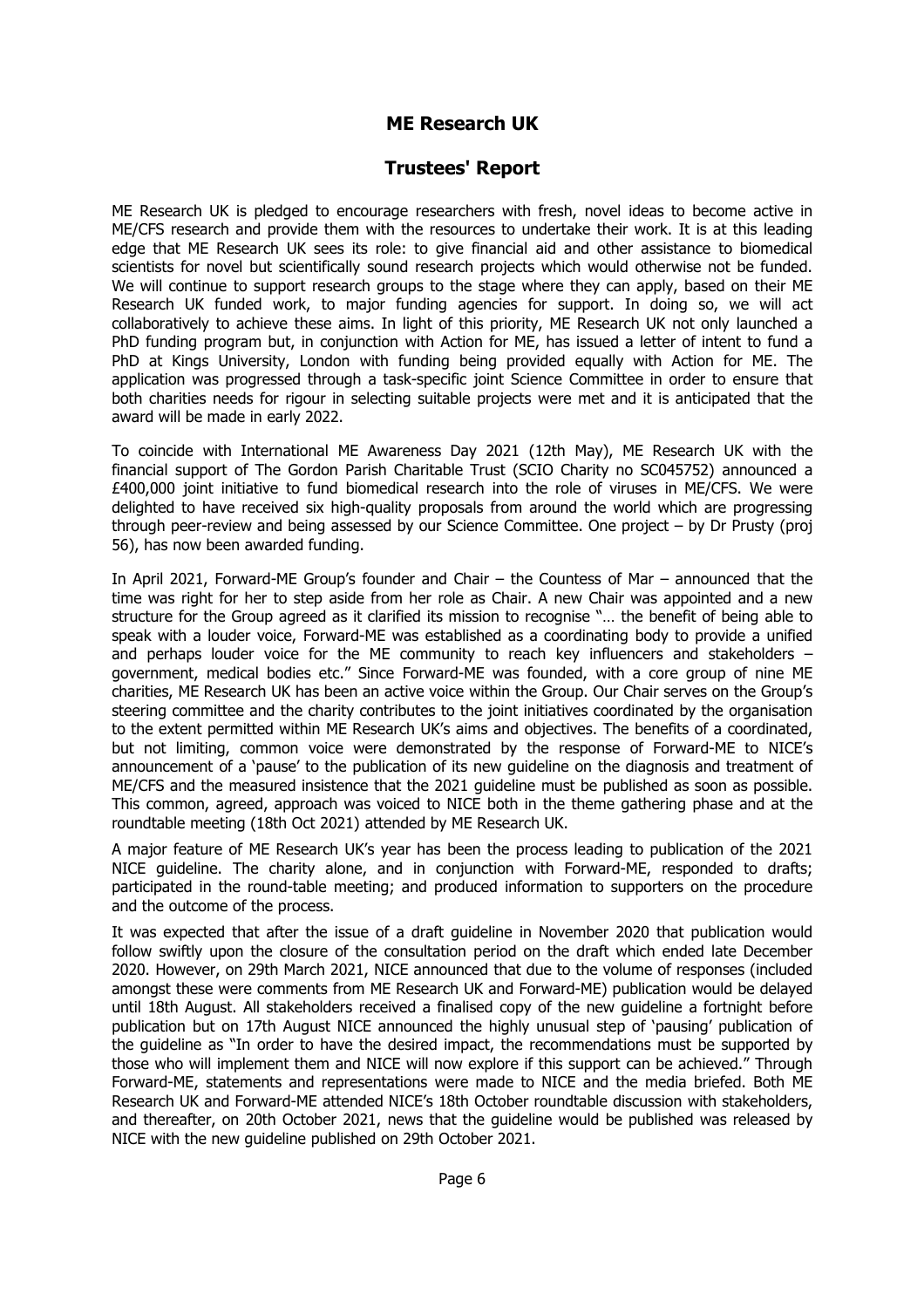### **Trustees' Report**

ME Research UK is pledged to encourage researchers with fresh, novel ideas to become active in ME/CFS research and provide them with the resources to undertake their work. It is at this leading edge that ME Research UK sees its role: to give financial aid and other assistance to biomedical scientists for novel but scientifically sound research projects which would otherwise not be funded. We will continue to support research groups to the stage where they can apply, based on their ME Research UK funded work, to major funding agencies for support. In doing so, we will act collaboratively to achieve these aims. In light of this priority, ME Research UK not only launched a PhD funding program but, in conjunction with Action for ME, has issued a letter of intent to fund a PhD at Kings University, London with funding being provided equally with Action for ME. The application was progressed through a task-specific joint Science Committee in order to ensure that both charities needs for rigour in selecting suitable projects were met and it is anticipated that the award will be made in early 2022.

To coincide with International ME Awareness Day 2021 (12th May), ME Research UK with the financial support of The Gordon Parish Charitable Trust (SCIO Charity no SC045752) announced a £400,000 joint initiative to fund biomedical research into the role of viruses in ME/CFS. We were delighted to have received six high-quality proposals from around the world which are progressing through peer-review and being assessed by our Science Committee. One project – by Dr Prusty (proj 56), has now been awarded funding.

In April 2021, Forward-ME Group's founder and Chair – the Countess of Mar – announced that the time was right for her to step aside from her role as Chair. A new Chair was appointed and a new structure for the Group agreed as it clarified its mission to recognise "… the benefit of being able to speak with a louder voice, Forward-ME was established as a coordinating body to provide a unified and perhaps louder voice for the ME community to reach key influencers and stakeholders – government, medical bodies etc." Since Forward-ME was founded, with a core group of nine ME charities, ME Research UK has been an active voice within the Group. Our Chair serves on the Group's steering committee and the charity contributes to the joint initiatives coordinated by the organisation to the extent permitted within ME Research UK's aims and objectives. The benefits of a coordinated, but not limiting, common voice were demonstrated by the response of Forward-ME to NICE's announcement of a 'pause' to the publication of its new guideline on the diagnosis and treatment of ME/CFS and the measured insistence that the 2021 guideline must be published as soon as possible. This common, agreed, approach was voiced to NICE both in the theme gathering phase and at the roundtable meeting (18th Oct 2021) attended by ME Research UK.

A major feature of ME Research UK's year has been the process leading to publication of the 2021 NICE guideline. The charity alone, and in conjunction with Forward-ME, responded to drafts; participated in the round-table meeting; and produced information to supporters on the procedure and the outcome of the process.

It was expected that after the issue of a draft guideline in November 2020 that publication would follow swiftly upon the closure of the consultation period on the draft which ended late December 2020. However, on 29th March 2021, NICE announced that due to the volume of responses (included amongst these were comments from ME Research UK and Forward-ME) publication would be delayed until 18th August. All stakeholders received a finalised copy of the new guideline a fortnight before publication but on 17th August NICE announced the highly unusual step of 'pausing' publication of the guideline as "In order to have the desired impact, the recommendations must be supported by those who will implement them and NICE will now explore if this support can be achieved." Through Forward-ME, statements and representations were made to NICE and the media briefed. Both ME Research UK and Forward-ME attended NICE's 18th October roundtable discussion with stakeholders, and thereafter, on 20th October 2021, news that the guideline would be published was released by NICE with the new guideline published on 29th October 2021.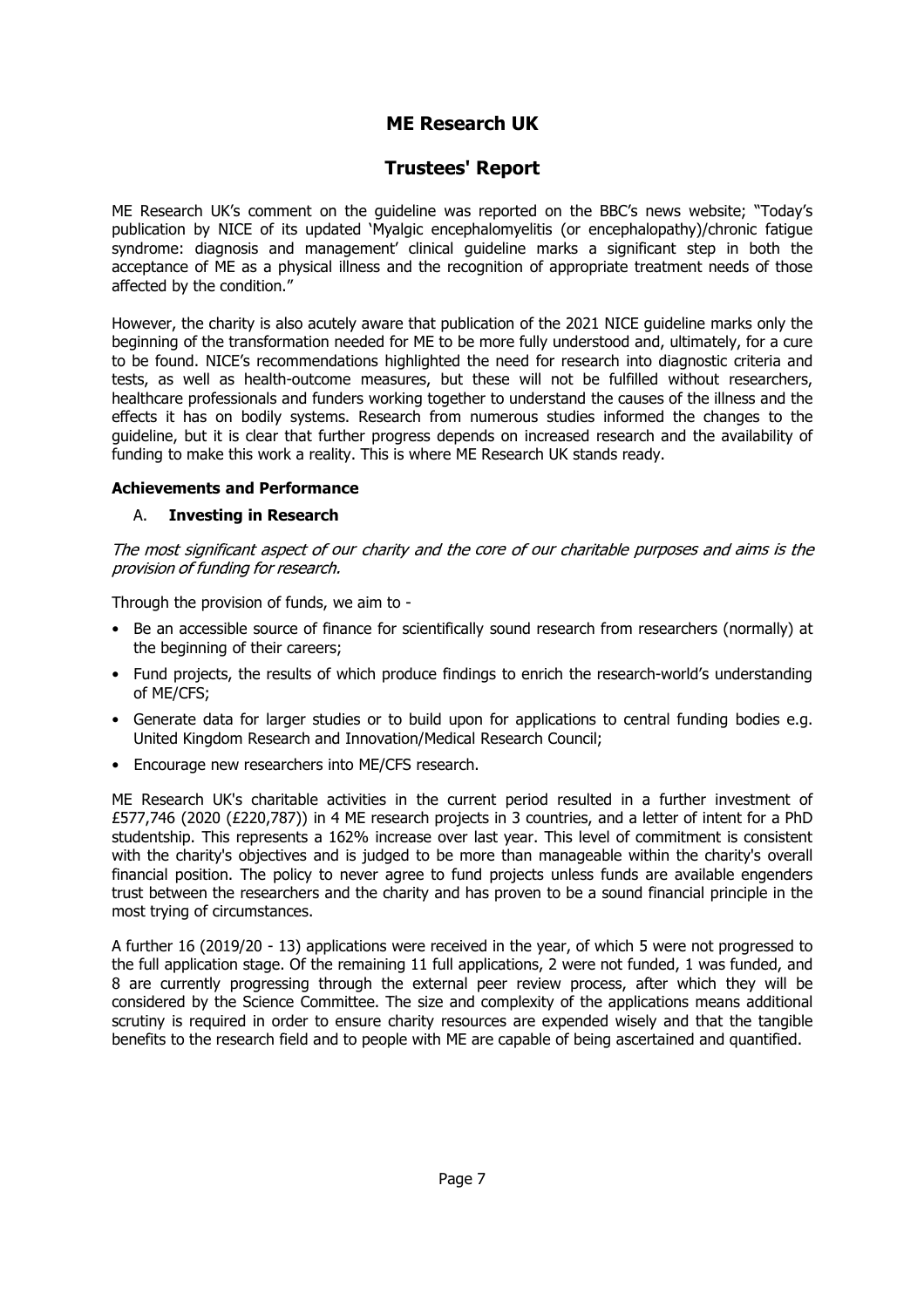### **Trustees' Report**

ME Research UK's comment on the guideline was reported on the BBC's news website; "Today's publication by NICE of its updated 'Myalgic encephalomyelitis (or encephalopathy)/chronic fatigue syndrome: diagnosis and management' clinical guideline marks a significant step in both the acceptance of ME as a physical illness and the recognition of appropriate treatment needs of those affected by the condition."

However, the charity is also acutely aware that publication of the 2021 NICE guideline marks only the beginning of the transformation needed for ME to be more fully understood and, ultimately, for a cure to be found. NICE's recommendations highlighted the need for research into diagnostic criteria and tests, as well as health-outcome measures, but these will not be fulfilled without researchers, healthcare professionals and funders working together to understand the causes of the illness and the effects it has on bodily systems. Research from numerous studies informed the changes to the guideline, but it is clear that further progress depends on increased research and the availability of funding to make this work a reality. This is where ME Research UK stands ready.

#### **Achievements and Performance**

#### A. **Investing in Research**

The most significant aspect of our charity and the core of our charitable purposes and aims is the provision of funding for research.

Through the provision of funds, we aim to -

- Be an accessible source of finance for scientifically sound research from researchers (normally) at the beginning of their careers;
- Fund projects, the results of which produce findings to enrich the research-world's understanding of ME/CFS;
- Generate data for larger studies or to build upon for applications to central funding bodies e.g. United Kingdom Research and Innovation/Medical Research Council;
- Encourage new researchers into ME/CFS research.

ME Research UK's charitable activities in the current period resulted in a further investment of £577,746 (2020 (£220,787)) in 4 ME research projects in 3 countries, and a letter of intent for a PhD studentship. This represents a 162% increase over last year. This level of commitment is consistent with the charity's objectives and is judged to be more than manageable within the charity's overall financial position. The policy to never agree to fund projects unless funds are available engenders trust between the researchers and the charity and has proven to be a sound financial principle in the most trying of circumstances.

A further 16 (2019/20 - 13) applications were received in the year, of which 5 were not progressed to the full application stage. Of the remaining 11 full applications, 2 were not funded, 1 was funded, and 8 are currently progressing through the external peer review process, after which they will be considered by the Science Committee. The size and complexity of the applications means additional scrutiny is required in order to ensure charity resources are expended wisely and that the tangible benefits to the research field and to people with ME are capable of being ascertained and quantified.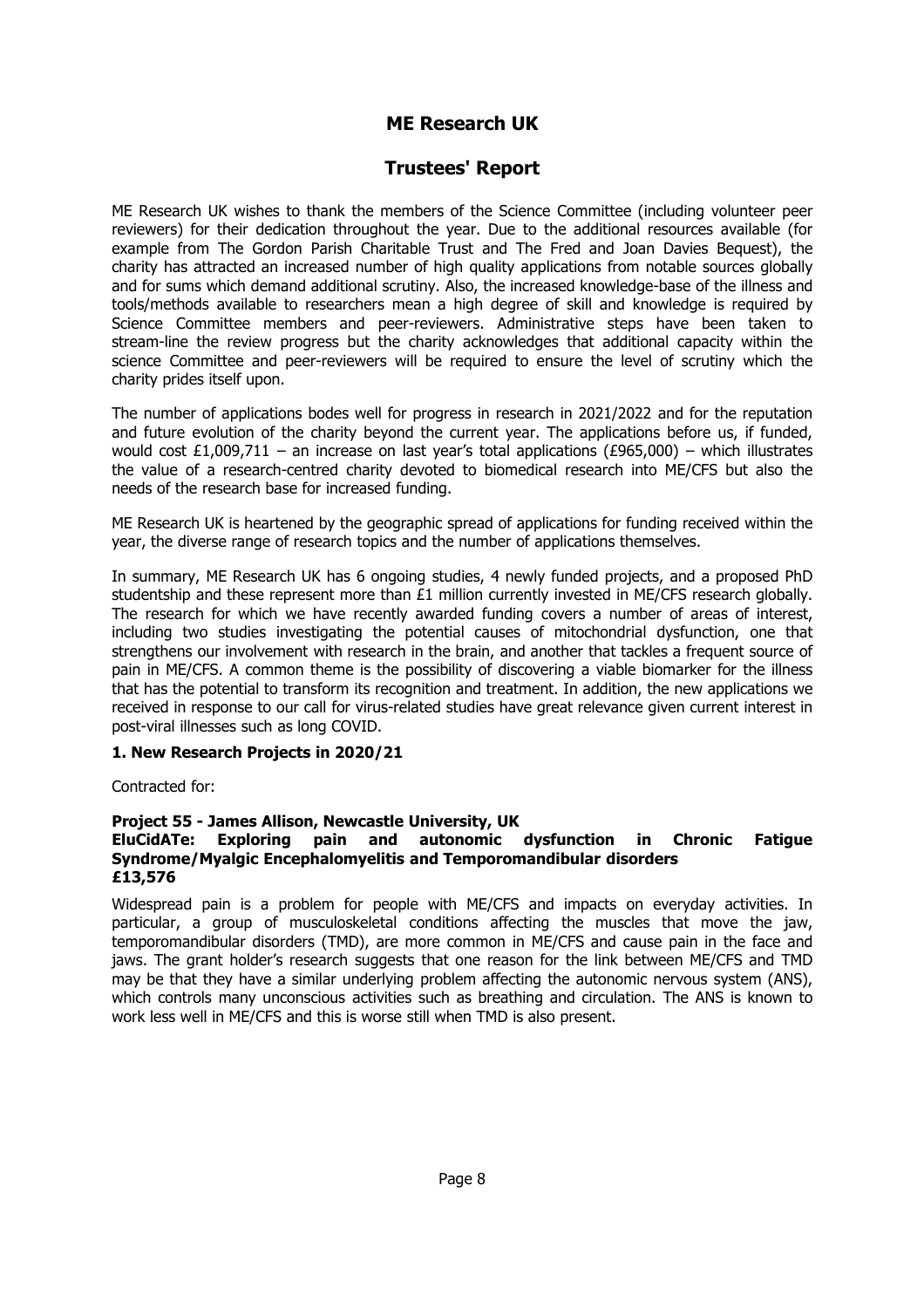### **Trustees' Report**

ME Research UK wishes to thank the members of the Science Committee (including volunteer peer reviewers) for their dedication throughout the year. Due to the additional resources available (for example from The Gordon Parish Charitable Trust and The Fred and Joan Davies Bequest), the charity has attracted an increased number of high quality applications from notable sources globally and for sums which demand additional scrutiny. Also, the increased knowledge-base of the illness and tools/methods available to researchers mean a high degree of skill and knowledge is required by Science Committee members and peer-reviewers. Administrative steps have been taken to stream-line the review progress but the charity acknowledges that additional capacity within the science Committee and peer-reviewers will be required to ensure the level of scrutiny which the charity prides itself upon.

The number of applications bodes well for progress in research in 2021/2022 and for the reputation and future evolution of the charity beyond the current year. The applications before us, if funded, would cost £1,009,711 – an increase on last year's total applications (£965,000) – which illustrates the value of a research-centred charity devoted to biomedical research into ME/CFS but also the needs of the research base for increased funding.

ME Research UK is heartened by the geographic spread of applications for funding received within the year, the diverse range of research topics and the number of applications themselves.

In summary, ME Research UK has 6 ongoing studies, 4 newly funded projects, and a proposed PhD studentship and these represent more than £1 million currently invested in ME/CFS research globally. The research for which we have recently awarded funding covers a number of areas of interest, including two studies investigating the potential causes of mitochondrial dysfunction, one that strengthens our involvement with research in the brain, and another that tackles a frequent source of pain in ME/CFS. A common theme is the possibility of discovering a viable biomarker for the illness that has the potential to transform its recognition and treatment. In addition, the new applications we received in response to our call for virus-related studies have great relevance given current interest in post-viral illnesses such as long COVID.

#### **1. New Research Projects in 2020/21**

Contracted for:

#### **Project 55 - James Allison, Newcastle University, UK**

#### **EluCidATe: Exploring pain and autonomic dysfunction in Chronic Fatigue Syndrome/Myalgic Encephalomyelitis and Temporomandibular disorders £13,576**

Widespread pain is a problem for people with ME/CFS and impacts on everyday activities. In particular, a group of musculoskeletal conditions affecting the muscles that move the jaw, temporomandibular disorders (TMD), are more common in ME/CFS and cause pain in the face and jaws. The grant holder's research suggests that one reason for the link between ME/CFS and TMD may be that they have a similar underlying problem affecting the autonomic nervous system (ANS), which controls many unconscious activities such as breathing and circulation. The ANS is known to work less well in ME/CFS and this is worse still when TMD is also present.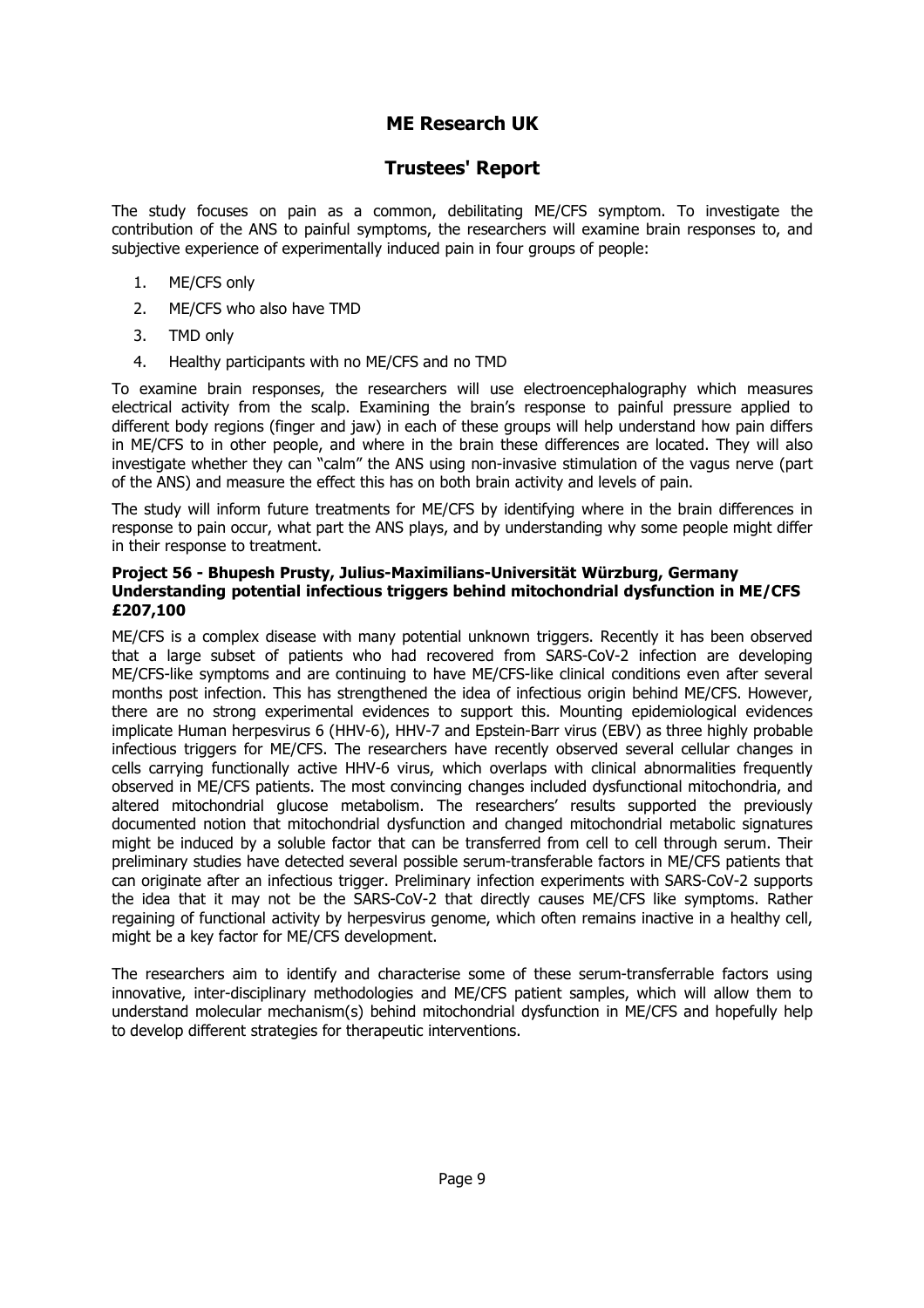### **Trustees' Report**

The study focuses on pain as a common, debilitating ME/CFS symptom. To investigate the contribution of the ANS to painful symptoms, the researchers will examine brain responses to, and subjective experience of experimentally induced pain in four groups of people:

- 1. ME/CFS only
- 2. ME/CFS who also have TMD
- 3. TMD only
- 4. Healthy participants with no ME/CFS and no TMD

To examine brain responses, the researchers will use electroencephalography which measures electrical activity from the scalp. Examining the brain's response to painful pressure applied to different body regions (finger and jaw) in each of these groups will help understand how pain differs in ME/CFS to in other people, and where in the brain these differences are located. They will also investigate whether they can "calm" the ANS using non-invasive stimulation of the vagus nerve (part of the ANS) and measure the effect this has on both brain activity and levels of pain.

The study will inform future treatments for ME/CFS by identifying where in the brain differences in response to pain occur, what part the ANS plays, and by understanding why some people might differ in their response to treatment.

#### **Project 56 - Bhupesh Prusty, Julius-Maximilians-Universität Würzburg, Germany Understanding potential infectious triggers behind mitochondrial dysfunction in ME/CFS £207,100**

ME/CFS is a complex disease with many potential unknown triggers. Recently it has been observed that a large subset of patients who had recovered from SARS-CoV-2 infection are developing ME/CFS-like symptoms and are continuing to have ME/CFS-like clinical conditions even after several months post infection. This has strengthened the idea of infectious origin behind ME/CFS. However, there are no strong experimental evidences to support this. Mounting epidemiological evidences implicate Human herpesvirus 6 (HHV-6), HHV-7 and Epstein-Barr virus (EBV) as three highly probable infectious triggers for ME/CFS. The researchers have recently observed several cellular changes in cells carrying functionally active HHV-6 virus, which overlaps with clinical abnormalities frequently observed in ME/CFS patients. The most convincing changes included dysfunctional mitochondria, and altered mitochondrial glucose metabolism. The researchers' results supported the previously documented notion that mitochondrial dysfunction and changed mitochondrial metabolic signatures might be induced by a soluble factor that can be transferred from cell to cell through serum. Their preliminary studies have detected several possible serum-transferable factors in ME/CFS patients that can originate after an infectious trigger. Preliminary infection experiments with SARS-CoV-2 supports the idea that it may not be the SARS-CoV-2 that directly causes ME/CFS like symptoms. Rather regaining of functional activity by herpesvirus genome, which often remains inactive in a healthy cell, might be a key factor for ME/CFS development.

The researchers aim to identify and characterise some of these serum-transferrable factors using innovative, inter-disciplinary methodologies and ME/CFS patient samples, which will allow them to understand molecular mechanism(s) behind mitochondrial dysfunction in ME/CFS and hopefully help to develop different strategies for therapeutic interventions.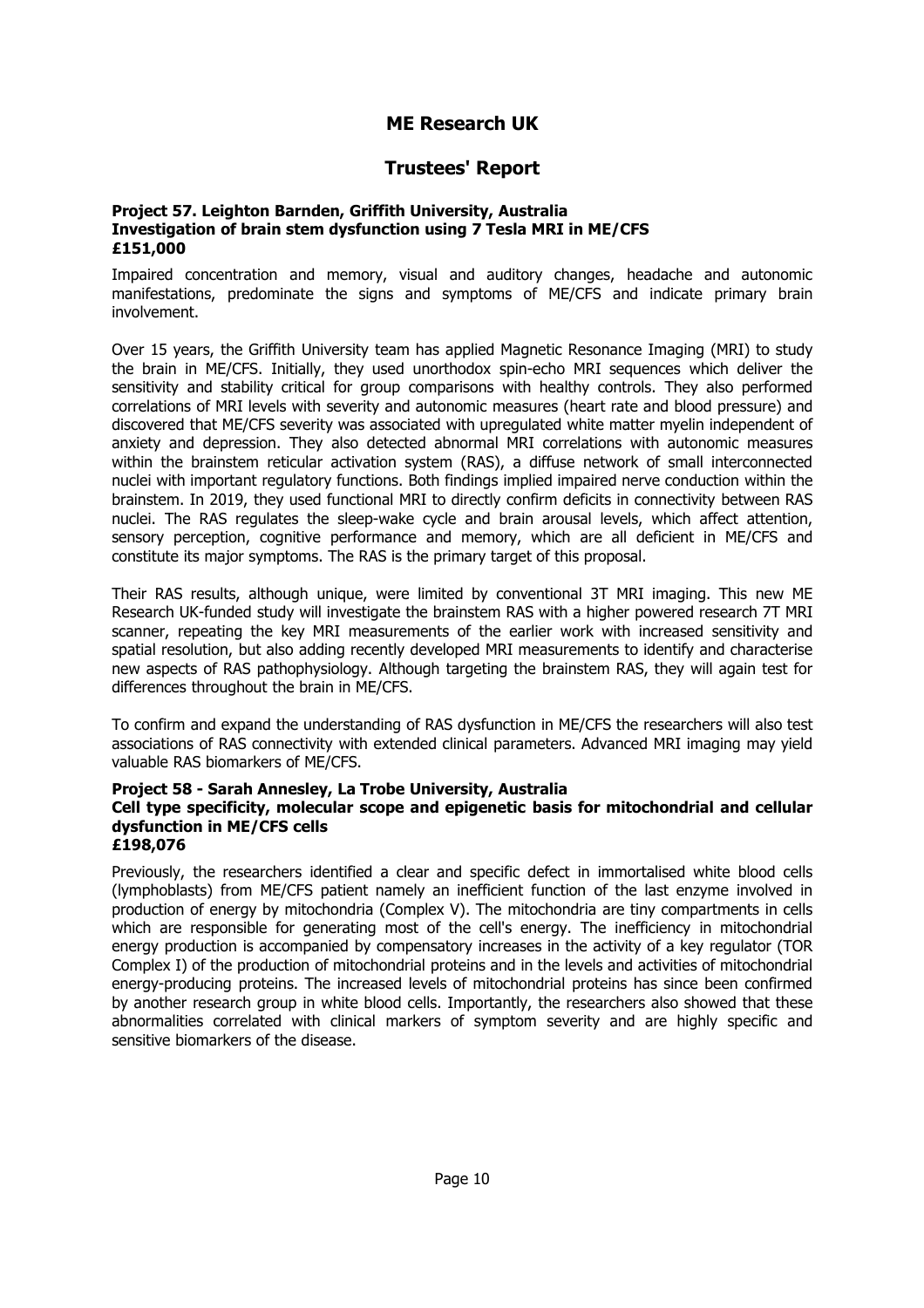### **Trustees' Report**

#### **Project 57. Leighton Barnden, Griffith University, Australia Investigation of brain stem dysfunction using 7 Tesla MRI in ME/CFS £151,000**

Impaired concentration and memory, visual and auditory changes, headache and autonomic manifestations, predominate the signs and symptoms of ME/CFS and indicate primary brain involvement.

Over 15 years, the Griffith University team has applied Magnetic Resonance Imaging (MRI) to study the brain in ME/CFS. Initially, they used unorthodox spin-echo MRI sequences which deliver the sensitivity and stability critical for group comparisons with healthy controls. They also performed correlations of MRI levels with severity and autonomic measures (heart rate and blood pressure) and discovered that ME/CFS severity was associated with upregulated white matter myelin independent of anxiety and depression. They also detected abnormal MRI correlations with autonomic measures within the brainstem reticular activation system (RAS), a diffuse network of small interconnected nuclei with important regulatory functions. Both findings implied impaired nerve conduction within the brainstem. In 2019, they used functional MRI to directly confirm deficits in connectivity between RAS nuclei. The RAS regulates the sleep-wake cycle and brain arousal levels, which affect attention, sensory perception, cognitive performance and memory, which are all deficient in ME/CFS and constitute its major symptoms. The RAS is the primary target of this proposal.

Their RAS results, although unique, were limited by conventional 3T MRI imaging. This new ME Research UK-funded study will investigate the brainstem RAS with a higher powered research 7T MRI scanner, repeating the key MRI measurements of the earlier work with increased sensitivity and spatial resolution, but also adding recently developed MRI measurements to identify and characterise new aspects of RAS pathophysiology. Although targeting the brainstem RAS, they will again test for differences throughout the brain in ME/CFS.

To confirm and expand the understanding of RAS dysfunction in ME/CFS the researchers will also test associations of RAS connectivity with extended clinical parameters. Advanced MRI imaging may yield valuable RAS biomarkers of ME/CFS.

#### **Project 58 - Sarah Annesley, La Trobe University, Australia**

#### **Cell type specificity, molecular scope and epigenetic basis for mitochondrial and cellular dysfunction in ME/CFS cells**

**£198,076**

Previously, the researchers identified a clear and specific defect in immortalised white blood cells (lymphoblasts) from ME/CFS patient namely an inefficient function of the last enzyme involved in production of energy by mitochondria (Complex V). The mitochondria are tiny compartments in cells which are responsible for generating most of the cell's energy. The inefficiency in mitochondrial energy production is accompanied by compensatory increases in the activity of a key regulator (TOR Complex I) of the production of mitochondrial proteins and in the levels and activities of mitochondrial energy-producing proteins. The increased levels of mitochondrial proteins has since been confirmed by another research group in white blood cells. Importantly, the researchers also showed that these abnormalities correlated with clinical markers of symptom severity and are highly specific and sensitive biomarkers of the disease.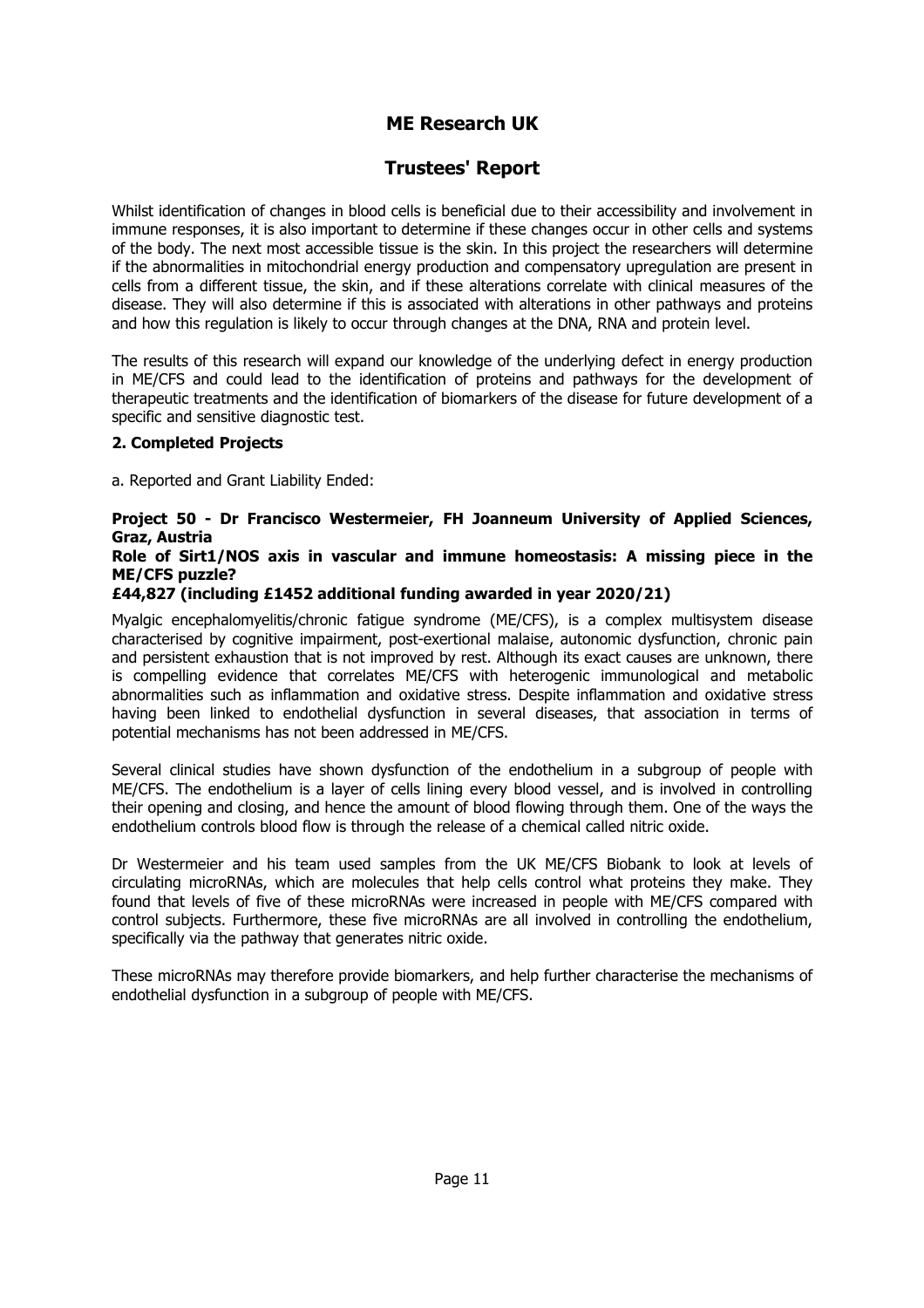### **Trustees' Report**

Whilst identification of changes in blood cells is beneficial due to their accessibility and involvement in immune responses, it is also important to determine if these changes occur in other cells and systems of the body. The next most accessible tissue is the skin. In this project the researchers will determine if the abnormalities in mitochondrial energy production and compensatory upregulation are present in cells from a different tissue, the skin, and if these alterations correlate with clinical measures of the disease. They will also determine if this is associated with alterations in other pathways and proteins and how this regulation is likely to occur through changes at the DNA, RNA and protein level.

The results of this research will expand our knowledge of the underlying defect in energy production in ME/CFS and could lead to the identification of proteins and pathways for the development of therapeutic treatments and the identification of biomarkers of the disease for future development of a specific and sensitive diagnostic test.

#### **2. Completed Projects**

a. Reported and Grant Liability Ended:

### **Project 50 - Dr Francisco Westermeier, FH Joanneum University of Applied Sciences, Graz, Austria**

#### **Role of Sirt1/NOS axis in vascular and immune homeostasis: A missing piece in the ME/CFS puzzle?**

#### **£44,827 (including £1452 additional funding awarded in year 2020/21)**

Myalgic encephalomyelitis/chronic fatigue syndrome (ME/CFS), is a complex multisystem disease characterised by cognitive impairment, post-exertional malaise, autonomic dysfunction, chronic pain and persistent exhaustion that is not improved by rest. Although its exact causes are unknown, there is compelling evidence that correlates ME/CFS with heterogenic immunological and metabolic abnormalities such as inflammation and oxidative stress. Despite inflammation and oxidative stress having been linked to endothelial dysfunction in several diseases, that association in terms of potential mechanisms has not been addressed in ME/CFS.

Several clinical studies have shown dysfunction of the endothelium in a subgroup of people with ME/CFS. The endothelium is a layer of cells lining every blood vessel, and is involved in controlling their opening and closing, and hence the amount of blood flowing through them. One of the ways the endothelium controls blood flow is through the release of a chemical called nitric oxide.

Dr Westermeier and his team used samples from the UK ME/CFS Biobank to look at levels of circulating microRNAs, which are molecules that help cells control what proteins they make. They found that levels of five of these microRNAs were increased in people with ME/CFS compared with control subjects. Furthermore, these five microRNAs are all involved in controlling the endothelium, specifically via the pathway that generates nitric oxide.

These microRNAs may therefore provide biomarkers, and help further characterise the mechanisms of endothelial dysfunction in a subgroup of people with ME/CFS.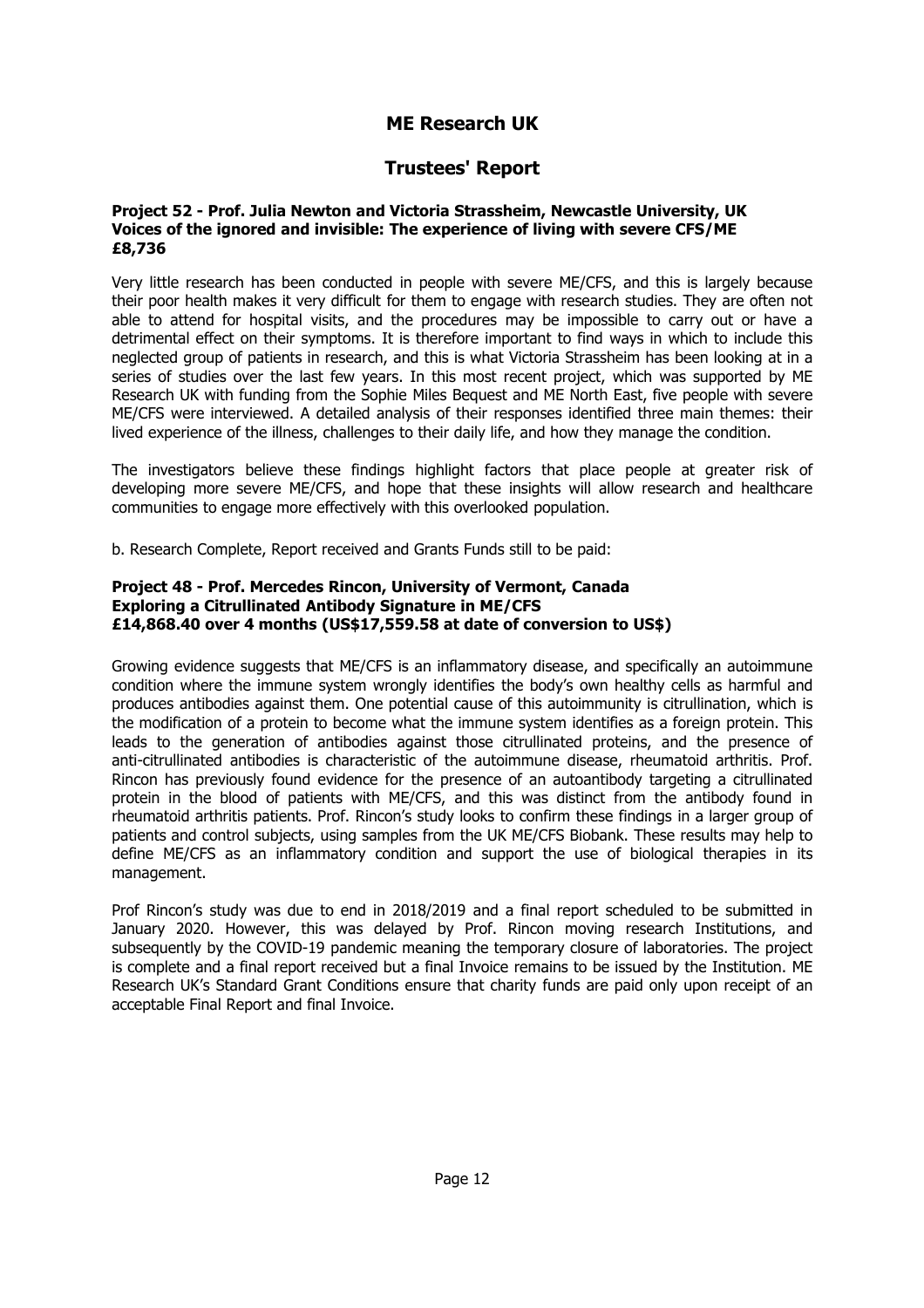### **Trustees' Report**

#### **Project 52 - Prof. Julia Newton and Victoria Strassheim, Newcastle University, UK Voices of the ignored and invisible: The experience of living with severe CFS/ME £8,736**

Very little research has been conducted in people with severe ME/CFS, and this is largely because their poor health makes it very difficult for them to engage with research studies. They are often not able to attend for hospital visits, and the procedures may be impossible to carry out or have a detrimental effect on their symptoms. It is therefore important to find ways in which to include this neglected group of patients in research, and this is what Victoria Strassheim has been looking at in a series of studies over the last few years. In this most recent project, which was supported by ME Research UK with funding from the Sophie Miles Bequest and ME North East, five people with severe ME/CFS were interviewed. A detailed analysis of their responses identified three main themes: their lived experience of the illness, challenges to their daily life, and how they manage the condition.

The investigators believe these findings highlight factors that place people at greater risk of developing more severe ME/CFS, and hope that these insights will allow research and healthcare communities to engage more effectively with this overlooked population.

b. Research Complete, Report received and Grants Funds still to be paid:

#### **Project 48 - Prof. Mercedes Rincon, University of Vermont, Canada Exploring a Citrullinated Antibody Signature in ME/CFS £14,868.40 over 4 months (US\$17,559.58 at date of conversion to US\$)**

Growing evidence suggests that ME/CFS is an inflammatory disease, and specifically an autoimmune condition where the immune system wrongly identifies the body's own healthy cells as harmful and produces antibodies against them. One potential cause of this autoimmunity is citrullination, which is the modification of a protein to become what the immune system identifies as a foreign protein. This leads to the generation of antibodies against those citrullinated proteins, and the presence of anti-citrullinated antibodies is characteristic of the autoimmune disease, rheumatoid arthritis. Prof. Rincon has previously found evidence for the presence of an autoantibody targeting a citrullinated protein in the blood of patients with ME/CFS, and this was distinct from the antibody found in rheumatoid arthritis patients. Prof. Rincon's study looks to confirm these findings in a larger group of patients and control subjects, using samples from the UK ME/CFS Biobank. These results may help to define ME/CFS as an inflammatory condition and support the use of biological therapies in its management.

Prof Rincon's study was due to end in 2018/2019 and a final report scheduled to be submitted in January 2020. However, this was delayed by Prof. Rincon moving research Institutions, and subsequently by the COVID-19 pandemic meaning the temporary closure of laboratories. The project is complete and a final report received but a final Invoice remains to be issued by the Institution. ME Research UK's Standard Grant Conditions ensure that charity funds are paid only upon receipt of an acceptable Final Report and final Invoice.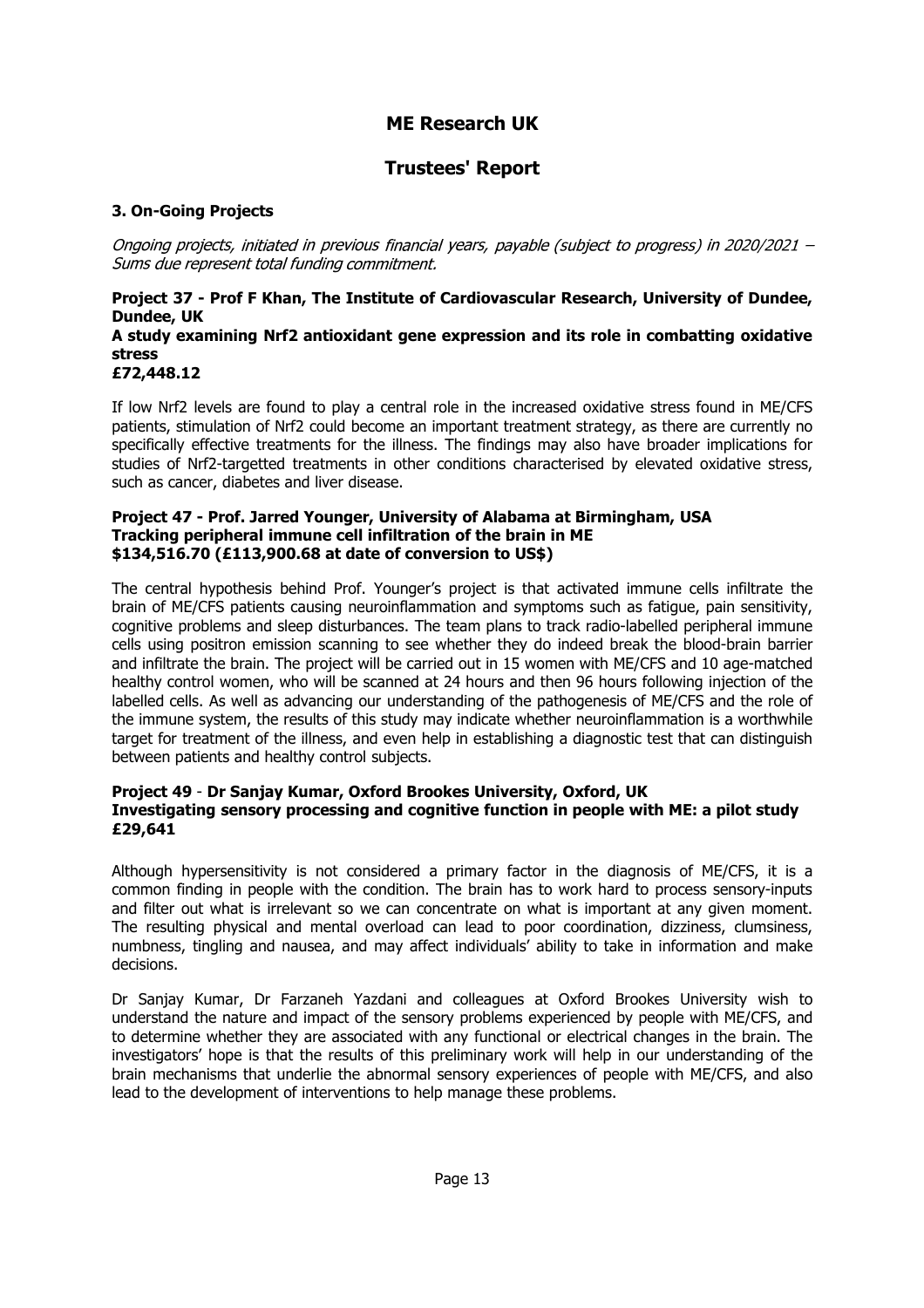### **Trustees' Report**

#### **3. On-Going Projects**

Ongoing projects, initiated in previous financial years, payable (subject to progress) in 2020/2021 -Sums due represent total funding commitment.

#### **Project 37 - Prof F Khan, The Institute of Cardiovascular Research, University of Dundee, Dundee, UK A study examining Nrf2 antioxidant gene expression and its role in combatting oxidative stress £72,448.12**

If low Nrf2 levels are found to play a central role in the increased oxidative stress found in ME/CFS patients, stimulation of Nrf2 could become an important treatment strategy, as there are currently no specifically effective treatments for the illness. The findings may also have broader implications for studies of Nrf2-targetted treatments in other conditions characterised by elevated oxidative stress, such as cancer, diabetes and liver disease.

#### **Project 47 - Prof. Jarred Younger, University of Alabama at Birmingham, USA Tracking peripheral immune cell infiltration of the brain in ME \$134,516.70 (£113,900.68 at date of conversion to US\$)**

The central hypothesis behind Prof. Younger's project is that activated immune cells infiltrate the brain of ME/CFS patients causing neuroinflammation and symptoms such as fatigue, pain sensitivity, cognitive problems and sleep disturbances. The team plans to track radio-labelled peripheral immune cells using positron emission scanning to see whether they do indeed break the blood-brain barrier and infiltrate the brain. The project will be carried out in 15 women with ME/CFS and 10 age-matched healthy control women, who will be scanned at 24 hours and then 96 hours following injection of the labelled cells. As well as advancing our understanding of the pathogenesis of ME/CFS and the role of the immune system, the results of this study may indicate whether neuroinflammation is a worthwhile target for treatment of the illness, and even help in establishing a diagnostic test that can distinguish between patients and healthy control subjects.

#### **Project 49** - **Dr Sanjay Kumar, Oxford Brookes University, Oxford, UK Investigating sensory processing and cognitive function in people with ME: a pilot study £29,641**

Although hypersensitivity is not considered a primary factor in the diagnosis of ME/CFS, it is a common finding in people with the condition. The brain has to work hard to process sensory-inputs and filter out what is irrelevant so we can concentrate on what is important at any given moment. The resulting physical and mental overload can lead to poor coordination, dizziness, clumsiness, numbness, tingling and nausea, and may affect individuals' ability to take in information and make decisions.

Dr Sanjay Kumar, Dr Farzaneh Yazdani and colleagues at Oxford Brookes University wish to understand the nature and impact of the sensory problems experienced by people with ME/CFS, and to determine whether they are associated with any functional or electrical changes in the brain. The investigators' hope is that the results of this preliminary work will help in our understanding of the brain mechanisms that underlie the abnormal sensory experiences of people with ME/CFS, and also lead to the development of interventions to help manage these problems.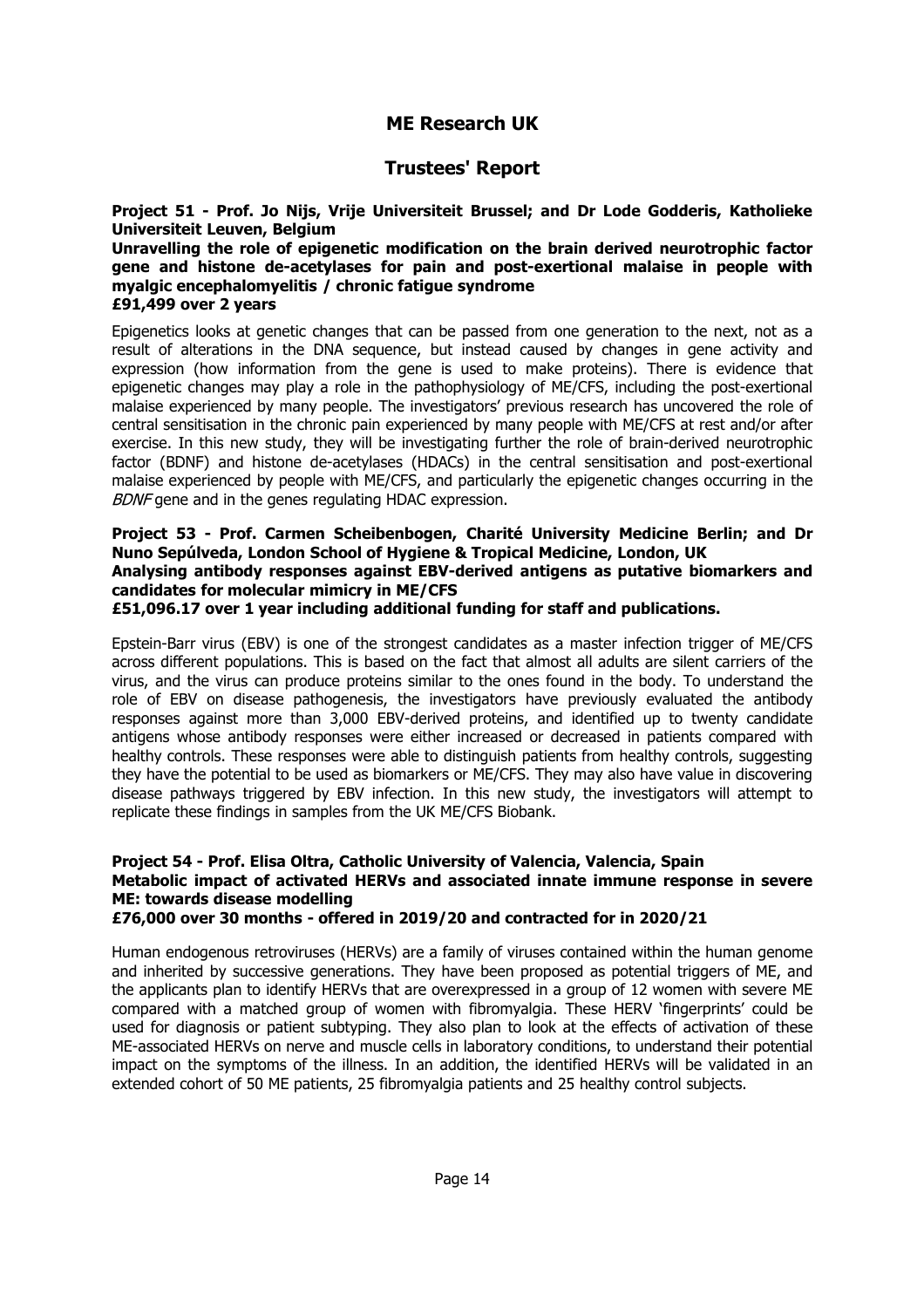### **Trustees' Report**

**Project 51 - Prof. Jo Nijs, Vrije Universiteit Brussel; and Dr Lode Godderis, Katholieke Universiteit Leuven, Belgium**

**Unravelling the role of epigenetic modification on the brain derived neurotrophic factor gene and histone de-acetylases for pain and post-exertional malaise in people with myalgic encephalomyelitis / chronic fatigue syndrome £91,499 over 2 years**

Epigenetics looks at genetic changes that can be passed from one generation to the next, not as a result of alterations in the DNA sequence, but instead caused by changes in gene activity and expression (how information from the gene is used to make proteins). There is evidence that epigenetic changes may play a role in the pathophysiology of ME/CFS, including the post-exertional malaise experienced by many people. The investigators' previous research has uncovered the role of central sensitisation in the chronic pain experienced by many people with ME/CFS at rest and/or after exercise. In this new study, they will be investigating further the role of brain-derived neurotrophic factor (BDNF) and histone de-acetylases (HDACs) in the central sensitisation and post-exertional malaise experienced by people with ME/CFS, and particularly the epigenetic changes occurring in the BDNF gene and in the genes regulating HDAC expression.

#### **Project 53 - Prof. Carmen Scheibenbogen, Charité University Medicine Berlin; and Dr Nuno Sepúlveda, London School of Hygiene & Tropical Medicine, London, UK Analysing antibody responses against EBV-derived antigens as putative biomarkers and candidates for molecular mimicry in ME/CFS**

**£51,096.17 over 1 year including additional funding for staff and publications.**

Epstein-Barr virus (EBV) is one of the strongest candidates as a master infection trigger of ME/CFS across different populations. This is based on the fact that almost all adults are silent carriers of the virus, and the virus can produce proteins similar to the ones found in the body. To understand the role of EBV on disease pathogenesis, the investigators have previously evaluated the antibody responses against more than 3,000 EBV-derived proteins, and identified up to twenty candidate antigens whose antibody responses were either increased or decreased in patients compared with healthy controls. These responses were able to distinguish patients from healthy controls, suggesting they have the potential to be used as biomarkers or ME/CFS. They may also have value in discovering disease pathways triggered by EBV infection. In this new study, the investigators will attempt to replicate these findings in samples from the UK ME/CFS Biobank.

#### **Project 54 - Prof. Elisa Oltra, Catholic University of Valencia, Valencia, Spain Metabolic impact of activated HERVs and associated innate immune response in severe ME: towards disease modelling**

**£76,000 over 30 months - offered in 2019/20 and contracted for in 2020/21**

Human endogenous retroviruses (HERVs) are a family of viruses contained within the human genome and inherited by successive generations. They have been proposed as potential triggers of ME, and the applicants plan to identify HERVs that are overexpressed in a group of 12 women with severe ME compared with a matched group of women with fibromyalgia. These HERV 'fingerprints' could be used for diagnosis or patient subtyping. They also plan to look at the effects of activation of these ME-associated HERVs on nerve and muscle cells in laboratory conditions, to understand their potential impact on the symptoms of the illness. In an addition, the identified HERVs will be validated in an extended cohort of 50 ME patients, 25 fibromyalgia patients and 25 healthy control subjects.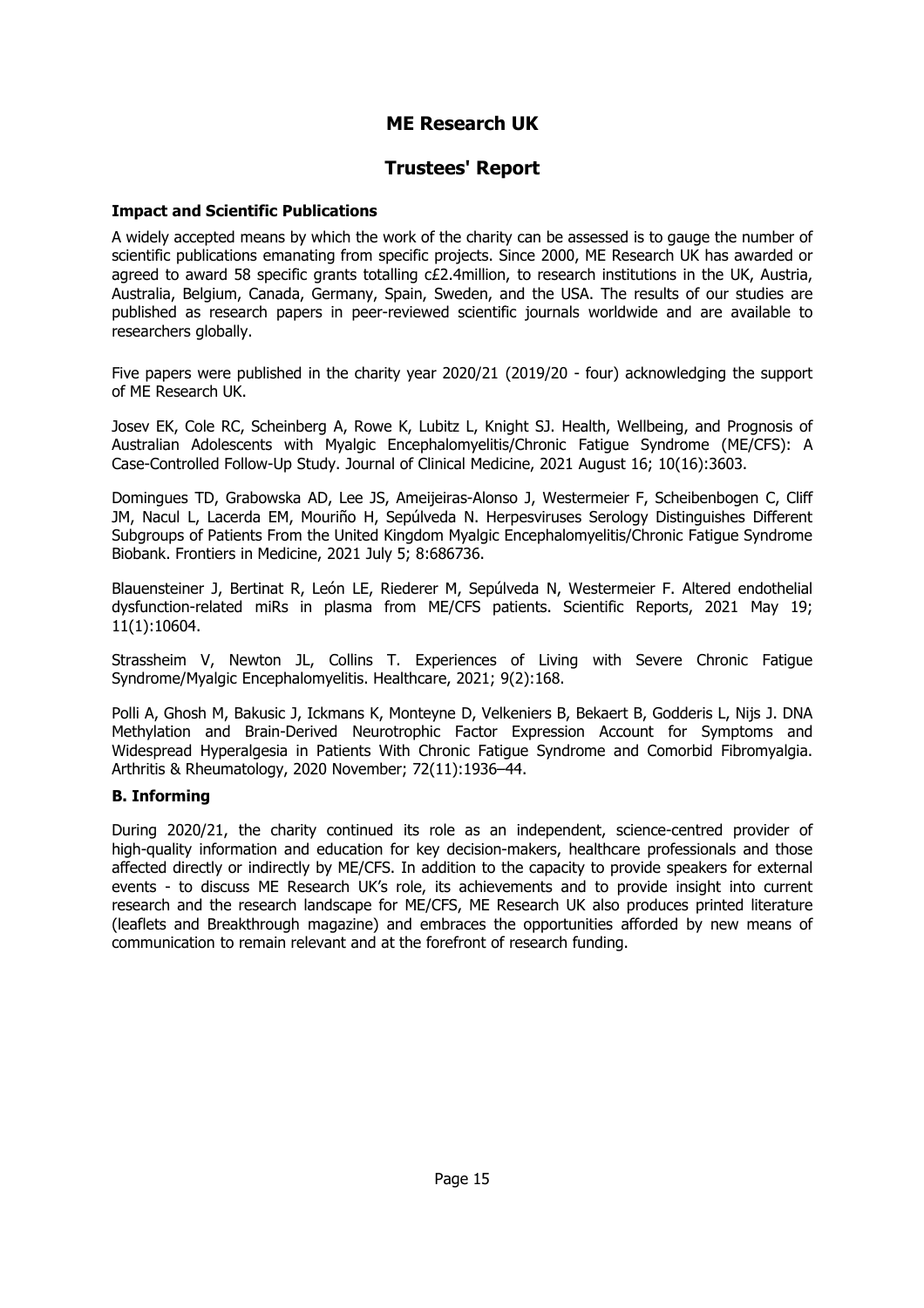### **Trustees' Report**

#### **Impact and Scientific Publications**

A widely accepted means by which the work of the charity can be assessed is to gauge the number of scientific publications emanating from specific projects. Since 2000, ME Research UK has awarded or agreed to award 58 specific grants totalling c£2.4million, to research institutions in the UK, Austria, Australia, Belgium, Canada, Germany, Spain, Sweden, and the USA. The results of our studies are published as research papers in peer-reviewed scientific journals worldwide and are available to researchers globally.

Five papers were published in the charity year 2020/21 (2019/20 - four) acknowledging the support of ME Research UK.

Josev EK, Cole RC, Scheinberg A, Rowe K, Lubitz L, Knight SJ. Health, Wellbeing, and Prognosis of Australian Adolescents with Myalgic Encephalomyelitis/Chronic Fatigue Syndrome (ME/CFS): A Case-Controlled Follow-Up Study. Journal of Clinical Medicine, 2021 August 16; 10(16):3603.

Domingues TD, Grabowska AD, Lee JS, Ameijeiras-Alonso J, Westermeier F, Scheibenbogen C, Cliff JM, Nacul L, Lacerda EM, Mouriño H, Sepúlveda N. Herpesviruses Serology Distinguishes Different Subgroups of Patients From the United Kingdom Myalgic Encephalomyelitis/Chronic Fatigue Syndrome Biobank. Frontiers in Medicine, 2021 July 5; 8:686736.

Blauensteiner J, Bertinat R, León LE, Riederer M, Sepúlveda N, Westermeier F. Altered endothelial dysfunction-related miRs in plasma from ME/CFS patients. Scientific Reports, 2021 May 19; 11(1):10604.

Strassheim V, Newton JL, Collins T. Experiences of Living with Severe Chronic Fatigue Syndrome/Myalgic Encephalomyelitis. Healthcare, 2021; 9(2):168.

Polli A, Ghosh M, Bakusic J, Ickmans K, Monteyne D, Velkeniers B, Bekaert B, Godderis L, Nijs J. DNA Methylation and Brain-Derived Neurotrophic Factor Expression Account for Symptoms and Widespread Hyperalgesia in Patients With Chronic Fatigue Syndrome and Comorbid Fibromyalgia. Arthritis & Rheumatology, 2020 November; 72(11):1936–44.

#### **B. Informing**

During 2020/21, the charity continued its role as an independent, science-centred provider of high-quality information and education for key decision-makers, healthcare professionals and those affected directly or indirectly by ME/CFS. In addition to the capacity to provide speakers for external events - to discuss ME Research UK's role, its achievements and to provide insight into current research and the research landscape for ME/CFS, ME Research UK also produces printed literature (leaflets and Breakthrough magazine) and embraces the opportunities afforded by new means of communication to remain relevant and at the forefront of research funding.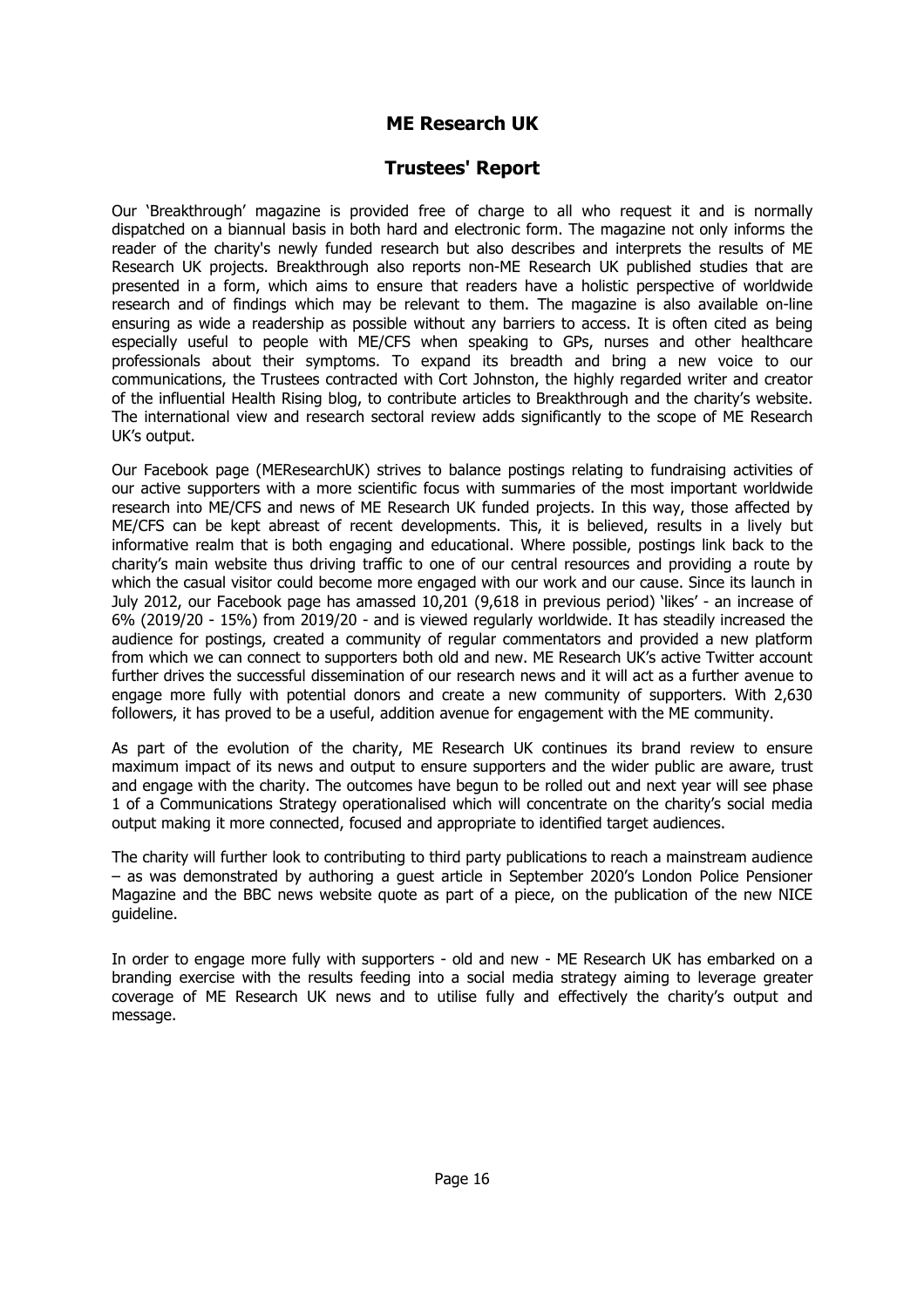### **Trustees' Report**

Our 'Breakthrough' magazine is provided free of charge to all who request it and is normally dispatched on a biannual basis in both hard and electronic form. The magazine not only informs the reader of the charity's newly funded research but also describes and interprets the results of ME Research UK projects. Breakthrough also reports non-ME Research UK published studies that are presented in a form, which aims to ensure that readers have a holistic perspective of worldwide research and of findings which may be relevant to them. The magazine is also available on-line ensuring as wide a readership as possible without any barriers to access. It is often cited as being especially useful to people with ME/CFS when speaking to GPs, nurses and other healthcare professionals about their symptoms. To expand its breadth and bring a new voice to our communications, the Trustees contracted with Cort Johnston, the highly regarded writer and creator of the influential Health Rising blog, to contribute articles to Breakthrough and the charity's website. The international view and research sectoral review adds significantly to the scope of ME Research UK's output.

Our Facebook page (MEResearchUK) strives to balance postings relating to fundraising activities of our active supporters with a more scientific focus with summaries of the most important worldwide research into ME/CFS and news of ME Research UK funded projects. In this way, those affected by ME/CFS can be kept abreast of recent developments. This, it is believed, results in a lively but informative realm that is both engaging and educational. Where possible, postings link back to the charity's main website thus driving traffic to one of our central resources and providing a route by which the casual visitor could become more engaged with our work and our cause. Since its launch in July 2012, our Facebook page has amassed 10,201 (9,618 in previous period) 'likes' - an increase of 6% (2019/20 - 15%) from 2019/20 - and is viewed regularly worldwide. It has steadily increased the audience for postings, created a community of regular commentators and provided a new platform from which we can connect to supporters both old and new. ME Research UK's active Twitter account further drives the successful dissemination of our research news and it will act as a further avenue to engage more fully with potential donors and create a new community of supporters. With 2,630 followers, it has proved to be a useful, addition avenue for engagement with the ME community.

As part of the evolution of the charity, ME Research UK continues its brand review to ensure maximum impact of its news and output to ensure supporters and the wider public are aware, trust and engage with the charity. The outcomes have begun to be rolled out and next year will see phase 1 of a Communications Strategy operationalised which will concentrate on the charity's social media output making it more connected, focused and appropriate to identified target audiences.

The charity will further look to contributing to third party publications to reach a mainstream audience – as was demonstrated by authoring a guest article in September 2020's London Police Pensioner Magazine and the BBC news website quote as part of a piece, on the publication of the new NICE guideline.

In order to engage more fully with supporters - old and new - ME Research UK has embarked on a branding exercise with the results feeding into a social media strategy aiming to leverage greater coverage of ME Research UK news and to utilise fully and effectively the charity's output and message.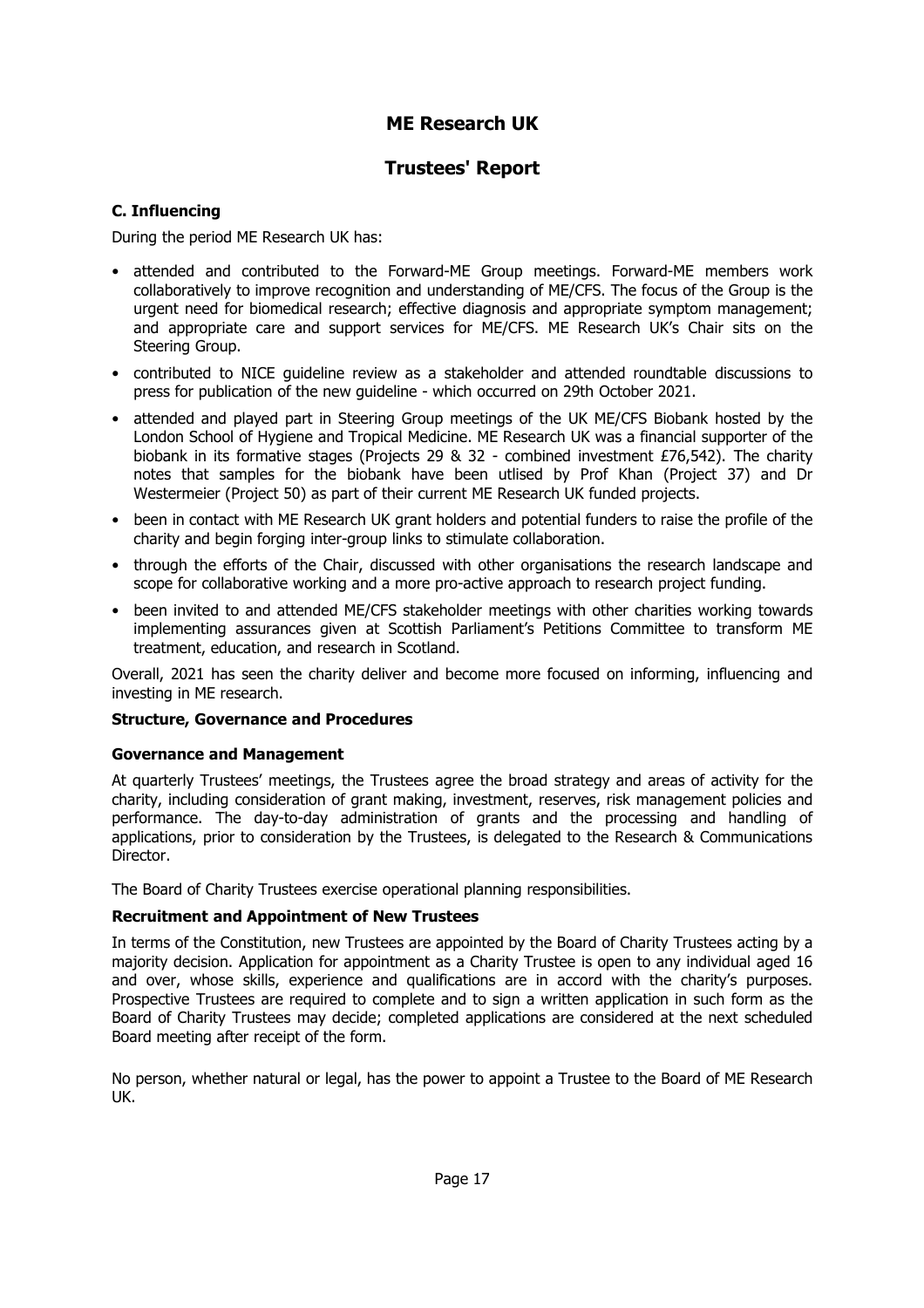### **Trustees' Report**

#### **C. Influencing**

During the period ME Research UK has:

- attended and contributed to the Forward-ME Group meetings. Forward-ME members work collaboratively to improve recognition and understanding of ME/CFS. The focus of the Group is the urgent need for biomedical research; effective diagnosis and appropriate symptom management; and appropriate care and support services for ME/CFS. ME Research UK's Chair sits on the Steering Group.
- contributed to NICE guideline review as a stakeholder and attended roundtable discussions to press for publication of the new guideline - which occurred on 29th October 2021.
- attended and played part in Steering Group meetings of the UK ME/CFS Biobank hosted by the London School of Hygiene and Tropical Medicine. ME Research UK was a financial supporter of the biobank in its formative stages (Projects 29 & 32 - combined investment £76,542). The charity notes that samples for the biobank have been utlised by Prof Khan (Project 37) and Dr Westermeier (Project 50) as part of their current ME Research UK funded projects.
- been in contact with ME Research UK grant holders and potential funders to raise the profile of the charity and begin forging inter-group links to stimulate collaboration.
- through the efforts of the Chair, discussed with other organisations the research landscape and scope for collaborative working and a more pro-active approach to research project funding.
- been invited to and attended ME/CFS stakeholder meetings with other charities working towards implementing assurances given at Scottish Parliament's Petitions Committee to transform ME treatment, education, and research in Scotland.

Overall, 2021 has seen the charity deliver and become more focused on informing, influencing and investing in ME research.

#### **Structure, Governance and Procedures**

#### **Governance and Management**

At quarterly Trustees' meetings, the Trustees agree the broad strategy and areas of activity for the charity, including consideration of grant making, investment, reserves, risk management policies and performance. The day-to-day administration of grants and the processing and handling of applications, prior to consideration by the Trustees, is delegated to the Research & Communications Director.

The Board of Charity Trustees exercise operational planning responsibilities.

#### **Recruitment and Appointment of New Trustees**

In terms of the Constitution, new Trustees are appointed by the Board of Charity Trustees acting by a majority decision. Application for appointment as a Charity Trustee is open to any individual aged 16 and over, whose skills, experience and qualifications are in accord with the charity's purposes. Prospective Trustees are required to complete and to sign a written application in such form as the Board of Charity Trustees may decide; completed applications are considered at the next scheduled Board meeting after receipt of the form.

No person, whether natural or legal, has the power to appoint a Trustee to the Board of ME Research UK.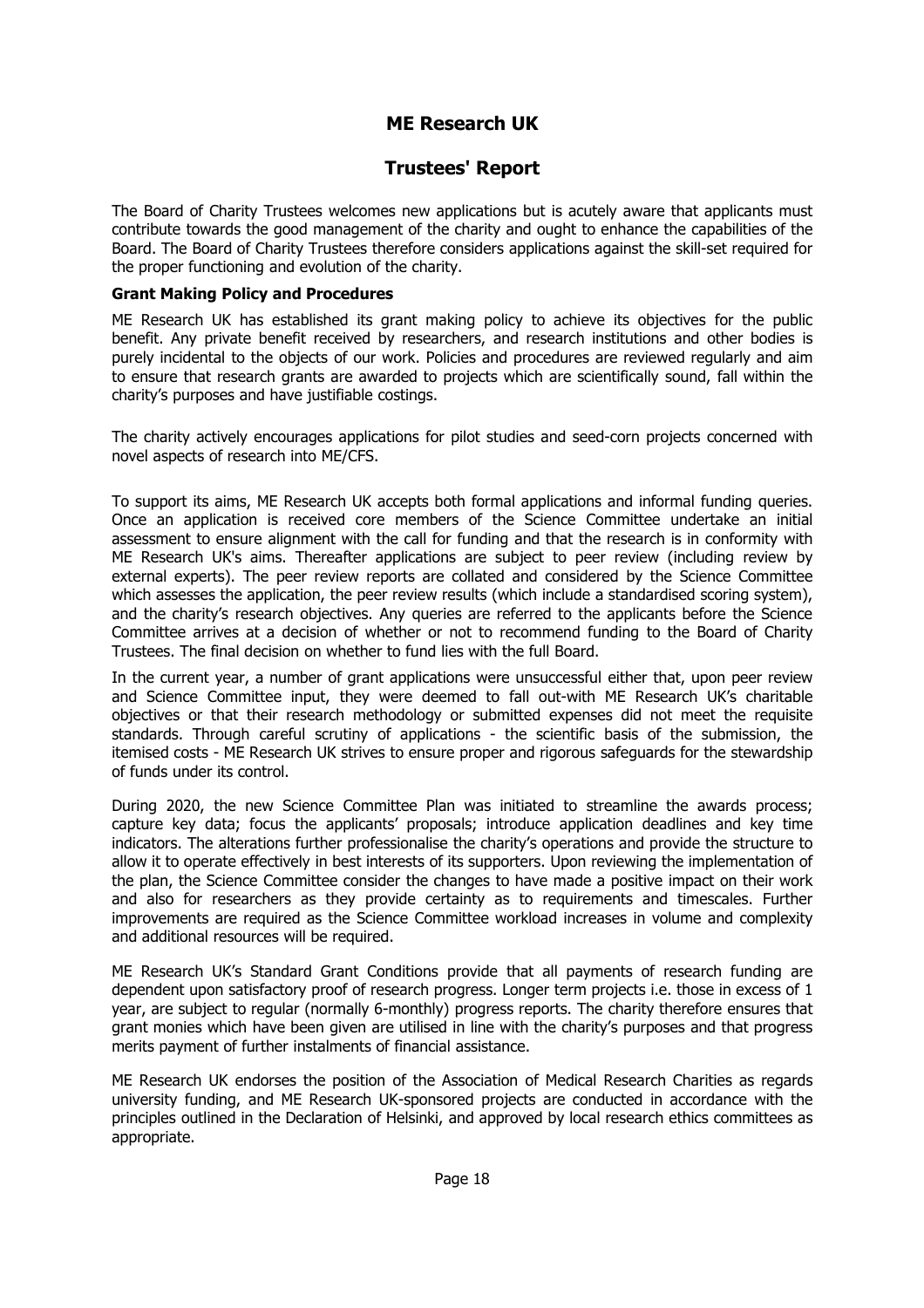### **Trustees' Report**

The Board of Charity Trustees welcomes new applications but is acutely aware that applicants must contribute towards the good management of the charity and ought to enhance the capabilities of the Board. The Board of Charity Trustees therefore considers applications against the skill-set required for the proper functioning and evolution of the charity.

#### **Grant Making Policy and Procedures**

ME Research UK has established its grant making policy to achieve its objectives for the public benefit. Any private benefit received by researchers, and research institutions and other bodies is purely incidental to the objects of our work. Policies and procedures are reviewed regularly and aim to ensure that research grants are awarded to projects which are scientifically sound, fall within the charity's purposes and have justifiable costings.

The charity actively encourages applications for pilot studies and seed-corn projects concerned with novel aspects of research into ME/CFS.

To support its aims, ME Research UK accepts both formal applications and informal funding queries. Once an application is received core members of the Science Committee undertake an initial assessment to ensure alignment with the call for funding and that the research is in conformity with ME Research UK's aims. Thereafter applications are subject to peer review (including review by external experts). The peer review reports are collated and considered by the Science Committee which assesses the application, the peer review results (which include a standardised scoring system), and the charity's research objectives. Any queries are referred to the applicants before the Science Committee arrives at a decision of whether or not to recommend funding to the Board of Charity Trustees. The final decision on whether to fund lies with the full Board.

In the current year, a number of grant applications were unsuccessful either that, upon peer review and Science Committee input, they were deemed to fall out-with ME Research UK's charitable objectives or that their research methodology or submitted expenses did not meet the requisite standards. Through careful scrutiny of applications - the scientific basis of the submission, the itemised costs - ME Research UK strives to ensure proper and rigorous safeguards for the stewardship of funds under its control.

During 2020, the new Science Committee Plan was initiated to streamline the awards process; capture key data; focus the applicants' proposals; introduce application deadlines and key time indicators. The alterations further professionalise the charity's operations and provide the structure to allow it to operate effectively in best interests of its supporters. Upon reviewing the implementation of the plan, the Science Committee consider the changes to have made a positive impact on their work and also for researchers as they provide certainty as to requirements and timescales. Further improvements are required as the Science Committee workload increases in volume and complexity and additional resources will be required.

ME Research UK's Standard Grant Conditions provide that all payments of research funding are dependent upon satisfactory proof of research progress. Longer term projects i.e. those in excess of 1 year, are subject to regular (normally 6-monthly) progress reports. The charity therefore ensures that grant monies which have been given are utilised in line with the charity's purposes and that progress merits payment of further instalments of financial assistance.

ME Research UK endorses the position of the Association of Medical Research Charities as regards university funding, and ME Research UK-sponsored projects are conducted in accordance with the principles outlined in the Declaration of Helsinki, and approved by local research ethics committees as appropriate.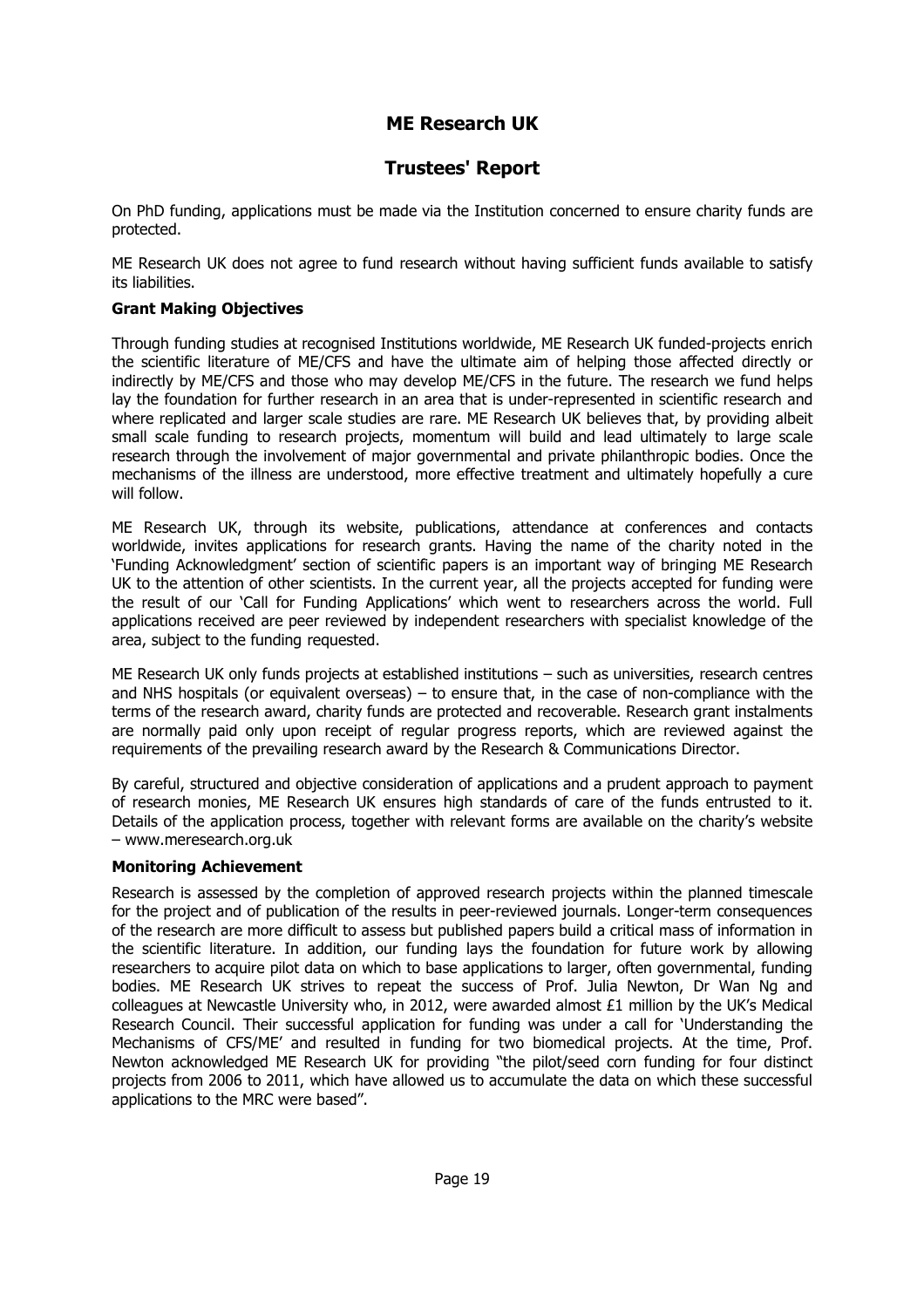### **Trustees' Report**

On PhD funding, applications must be made via the Institution concerned to ensure charity funds are protected.

ME Research UK does not agree to fund research without having sufficient funds available to satisfy its liabilities.

#### **Grant Making Objectives**

Through funding studies at recognised Institutions worldwide, ME Research UK funded-projects enrich the scientific literature of ME/CFS and have the ultimate aim of helping those affected directly or indirectly by ME/CFS and those who may develop ME/CFS in the future. The research we fund helps lay the foundation for further research in an area that is under-represented in scientific research and where replicated and larger scale studies are rare. ME Research UK believes that, by providing albeit small scale funding to research projects, momentum will build and lead ultimately to large scale research through the involvement of major governmental and private philanthropic bodies. Once the mechanisms of the illness are understood, more effective treatment and ultimately hopefully a cure will follow.

ME Research UK, through its website, publications, attendance at conferences and contacts worldwide, invites applications for research grants. Having the name of the charity noted in the 'Funding Acknowledgment' section of scientific papers is an important way of bringing ME Research UK to the attention of other scientists. In the current year, all the projects accepted for funding were the result of our 'Call for Funding Applications' which went to researchers across the world. Full applications received are peer reviewed by independent researchers with specialist knowledge of the area, subject to the funding requested.

ME Research UK only funds projects at established institutions – such as universities, research centres and NHS hospitals (or equivalent overseas) – to ensure that, in the case of non-compliance with the terms of the research award, charity funds are protected and recoverable. Research grant instalments are normally paid only upon receipt of regular progress reports, which are reviewed against the requirements of the prevailing research award by the Research & Communications Director.

By careful, structured and objective consideration of applications and a prudent approach to payment of research monies, ME Research UK ensures high standards of care of the funds entrusted to it. Details of the application process, together with relevant forms are available on the charity's website – www.meresearch.org.uk

#### **Monitoring Achievement**

Research is assessed by the completion of approved research projects within the planned timescale for the project and of publication of the results in peer-reviewed journals. Longer-term consequences of the research are more difficult to assess but published papers build a critical mass of information in the scientific literature. In addition, our funding lays the foundation for future work by allowing researchers to acquire pilot data on which to base applications to larger, often governmental, funding bodies. ME Research UK strives to repeat the success of Prof. Julia Newton, Dr Wan Ng and colleagues at Newcastle University who, in 2012, were awarded almost £1 million by the UK's Medical Research Council. Their successful application for funding was under a call for 'Understanding the Mechanisms of CFS/ME' and resulted in funding for two biomedical projects. At the time, Prof. Newton acknowledged ME Research UK for providing "the pilot/seed corn funding for four distinct projects from 2006 to 2011, which have allowed us to accumulate the data on which these successful applications to the MRC were based".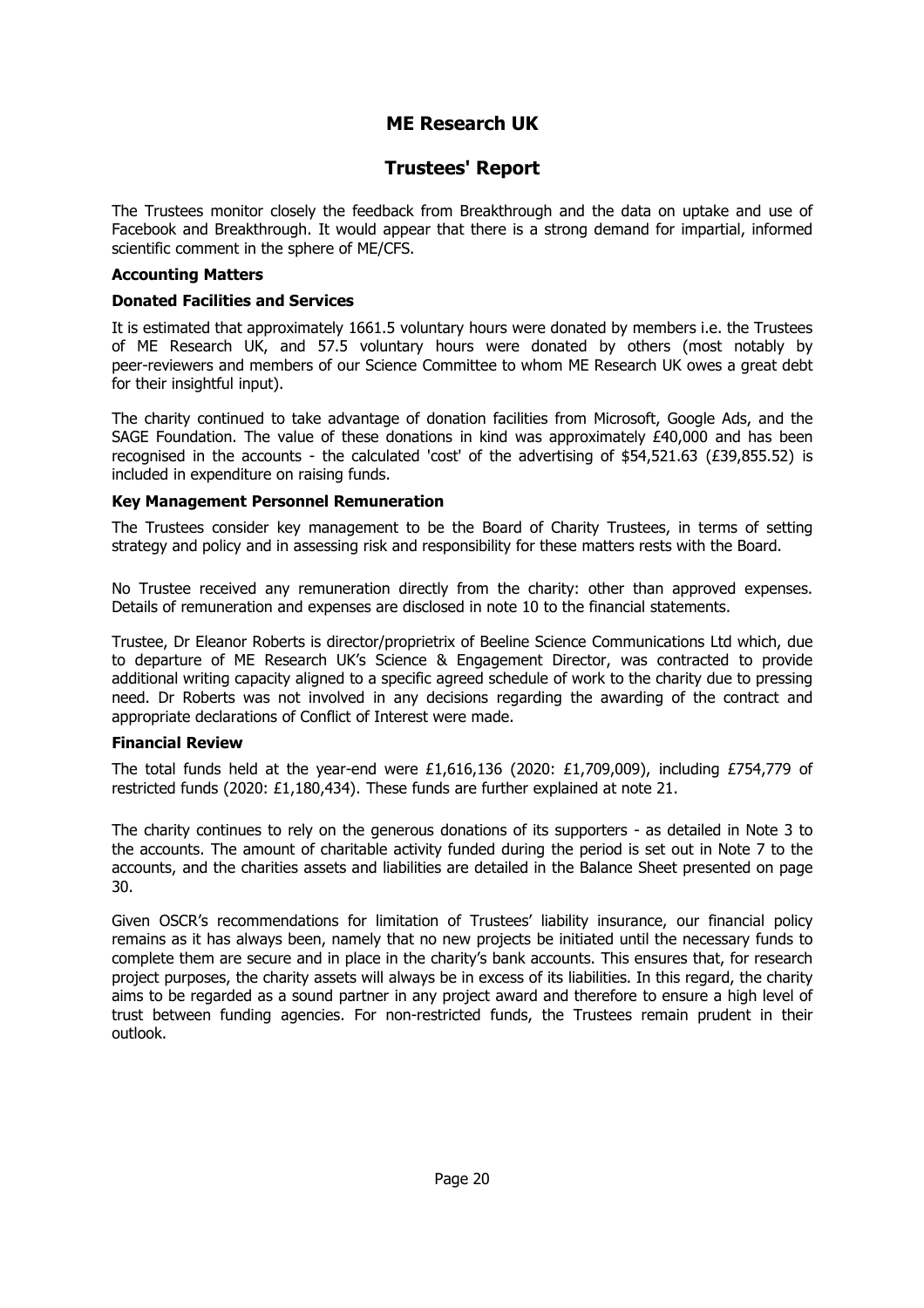### **Trustees' Report**

The Trustees monitor closely the feedback from Breakthrough and the data on uptake and use of Facebook and Breakthrough. It would appear that there is a strong demand for impartial, informed scientific comment in the sphere of ME/CFS.

#### **Accounting Matters**

#### **Donated Facilities and Services**

It is estimated that approximately 1661.5 voluntary hours were donated by members i.e. the Trustees of ME Research UK, and 57.5 voluntary hours were donated by others (most notably by peer-reviewers and members of our Science Committee to whom ME Research UK owes a great debt for their insightful input).

The charity continued to take advantage of donation facilities from Microsoft, Google Ads, and the SAGE Foundation. The value of these donations in kind was approximately £40,000 and has been recognised in the accounts - the calculated 'cost' of the advertising of \$54,521.63 (£39,855.52) is included in expenditure on raising funds.

#### **Key Management Personnel Remuneration**

The Trustees consider key management to be the Board of Charity Trustees, in terms of setting strategy and policy and in assessing risk and responsibility for these matters rests with the Board.

No Trustee received any remuneration directly from the charity: other than approved expenses. Details of remuneration and expenses are disclosed in note 10 to the financial statements.

Trustee, Dr Eleanor Roberts is director/proprietrix of Beeline Science Communications Ltd which, due to departure of ME Research UK's Science & Engagement Director, was contracted to provide additional writing capacity aligned to a specific agreed schedule of work to the charity due to pressing need. Dr Roberts was not involved in any decisions regarding the awarding of the contract and appropriate declarations of Conflict of Interest were made.

#### **Financial Review**

The total funds held at the year-end were £1,616,136 (2020: £1,709,009), including £754,779 of restricted funds (2020: £1,180,434). These funds are further explained at note 21.

The charity continues to rely on the generous donations of its supporters - as detailed in Note 3 to the accounts. The amount of charitable activity funded during the period is set out in Note 7 to the accounts, and the charities assets and liabilities are detailed in the Balance Sheet presented on page 30.

Given OSCR's recommendations for limitation of Trustees' liability insurance, our financial policy remains as it has always been, namely that no new projects be initiated until the necessary funds to complete them are secure and in place in the charity's bank accounts. This ensures that, for research project purposes, the charity assets will always be in excess of its liabilities. In this regard, the charity aims to be regarded as a sound partner in any project award and therefore to ensure a high level of trust between funding agencies. For non-restricted funds, the Trustees remain prudent in their outlook.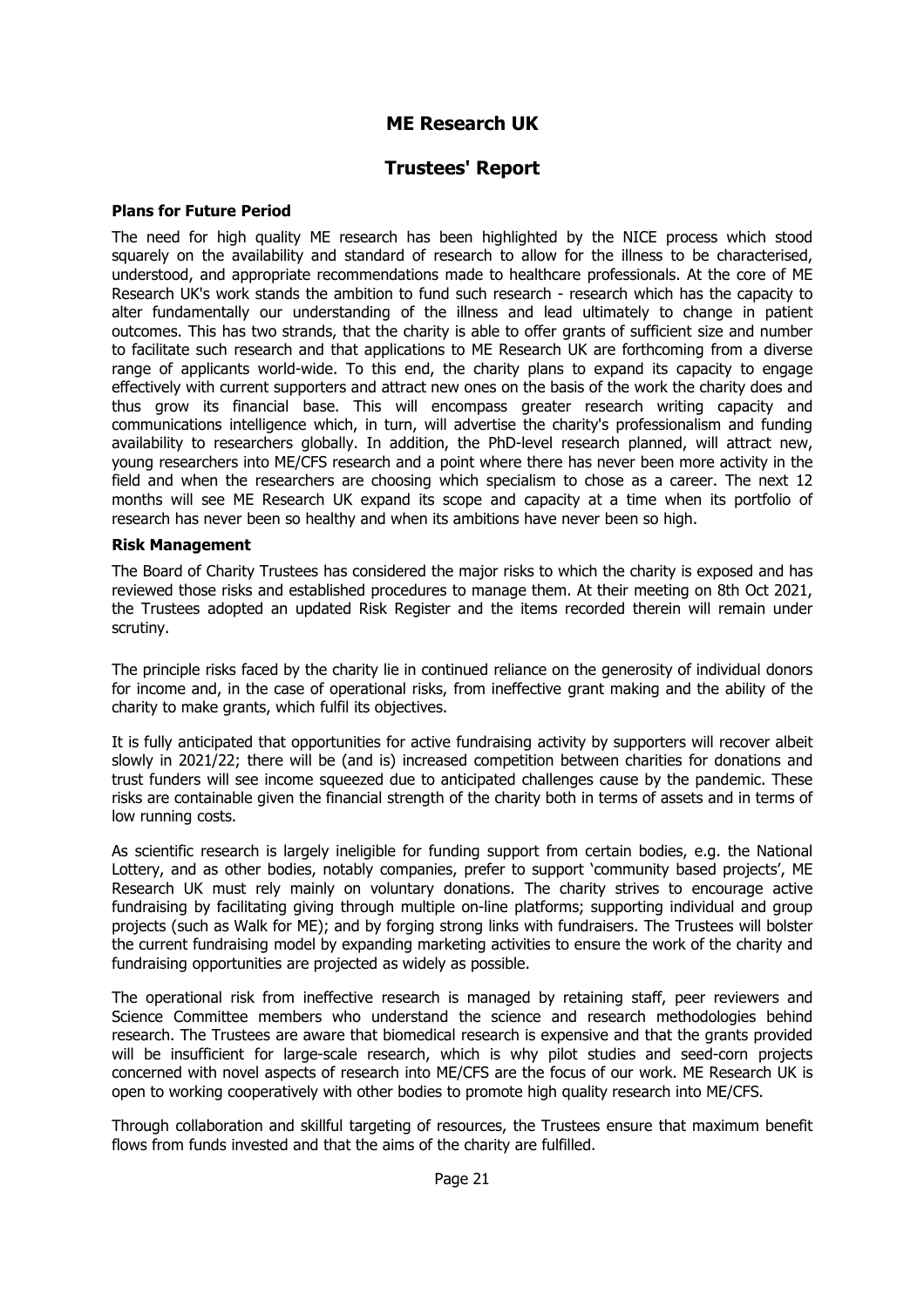### **Trustees' Report**

#### **Plans for Future Period**

The need for high quality ME research has been highlighted by the NICE process which stood squarely on the availability and standard of research to allow for the illness to be characterised, understood, and appropriate recommendations made to healthcare professionals. At the core of ME Research UK's work stands the ambition to fund such research - research which has the capacity to alter fundamentally our understanding of the illness and lead ultimately to change in patient outcomes. This has two strands, that the charity is able to offer grants of sufficient size and number to facilitate such research and that applications to ME Research UK are forthcoming from a diverse range of applicants world-wide. To this end, the charity plans to expand its capacity to engage effectively with current supporters and attract new ones on the basis of the work the charity does and thus grow its financial base. This will encompass greater research writing capacity and communications intelligence which, in turn, will advertise the charity's professionalism and funding availability to researchers globally. In addition, the PhD-level research planned, will attract new, young researchers into ME/CFS research and a point where there has never been more activity in the field and when the researchers are choosing which specialism to chose as a career. The next 12 months will see ME Research UK expand its scope and capacity at a time when its portfolio of research has never been so healthy and when its ambitions have never been so high.

#### **Risk Management**

The Board of Charity Trustees has considered the major risks to which the charity is exposed and has reviewed those risks and established procedures to manage them. At their meeting on 8th Oct 2021, the Trustees adopted an updated Risk Register and the items recorded therein will remain under scrutiny.

The principle risks faced by the charity lie in continued reliance on the generosity of individual donors for income and, in the case of operational risks, from ineffective grant making and the ability of the charity to make grants, which fulfil its objectives.

It is fully anticipated that opportunities for active fundraising activity by supporters will recover albeit slowly in 2021/22; there will be (and is) increased competition between charities for donations and trust funders will see income squeezed due to anticipated challenges cause by the pandemic. These risks are containable given the financial strength of the charity both in terms of assets and in terms of low running costs.

As scientific research is largely ineligible for funding support from certain bodies, e.g. the National Lottery, and as other bodies, notably companies, prefer to support 'community based projects', ME Research UK must rely mainly on voluntary donations. The charity strives to encourage active fundraising by facilitating giving through multiple on-line platforms; supporting individual and group projects (such as Walk for ME); and by forging strong links with fundraisers. The Trustees will bolster the current fundraising model by expanding marketing activities to ensure the work of the charity and fundraising opportunities are projected as widely as possible.

The operational risk from ineffective research is managed by retaining staff, peer reviewers and Science Committee members who understand the science and research methodologies behind research. The Trustees are aware that biomedical research is expensive and that the grants provided will be insufficient for large-scale research, which is why pilot studies and seed-corn projects concerned with novel aspects of research into ME/CFS are the focus of our work. ME Research UK is open to working cooperatively with other bodies to promote high quality research into ME/CFS.

Through collaboration and skillful targeting of resources, the Trustees ensure that maximum benefit flows from funds invested and that the aims of the charity are fulfilled.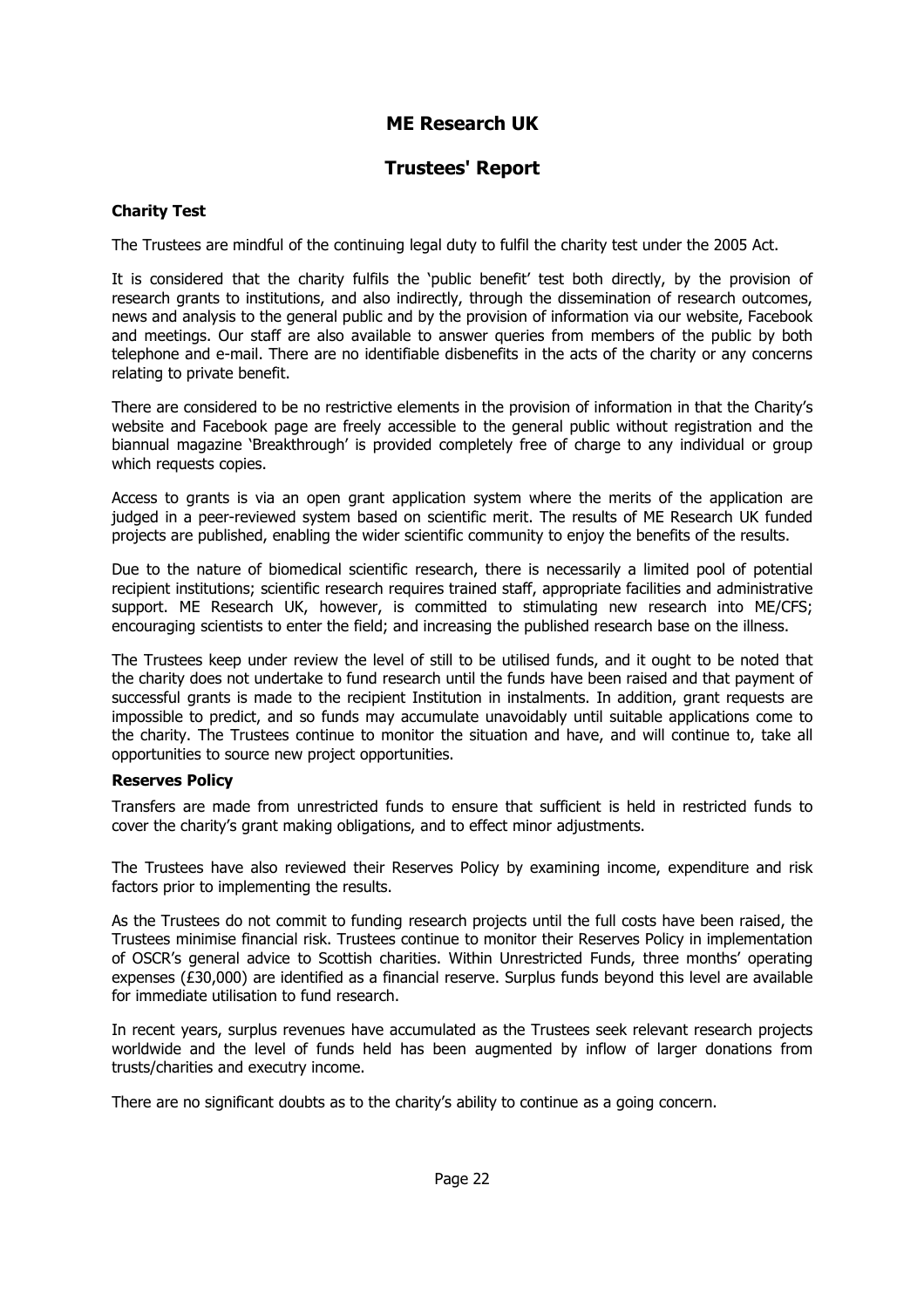### **Trustees' Report**

#### **Charity Test**

The Trustees are mindful of the continuing legal duty to fulfil the charity test under the 2005 Act.

It is considered that the charity fulfils the 'public benefit' test both directly, by the provision of research grants to institutions, and also indirectly, through the dissemination of research outcomes, news and analysis to the general public and by the provision of information via our website, Facebook and meetings. Our staff are also available to answer queries from members of the public by both telephone and e-mail. There are no identifiable disbenefits in the acts of the charity or any concerns relating to private benefit.

There are considered to be no restrictive elements in the provision of information in that the Charity's website and Facebook page are freely accessible to the general public without registration and the biannual magazine 'Breakthrough' is provided completely free of charge to any individual or group which requests copies.

Access to grants is via an open grant application system where the merits of the application are judged in a peer-reviewed system based on scientific merit. The results of ME Research UK funded projects are published, enabling the wider scientific community to enjoy the benefits of the results.

Due to the nature of biomedical scientific research, there is necessarily a limited pool of potential recipient institutions; scientific research requires trained staff, appropriate facilities and administrative support. ME Research UK, however, is committed to stimulating new research into ME/CFS; encouraging scientists to enter the field; and increasing the published research base on the illness.

The Trustees keep under review the level of still to be utilised funds, and it ought to be noted that the charity does not undertake to fund research until the funds have been raised and that payment of successful grants is made to the recipient Institution in instalments. In addition, grant requests are impossible to predict, and so funds may accumulate unavoidably until suitable applications come to the charity. The Trustees continue to monitor the situation and have, and will continue to, take all opportunities to source new project opportunities.

#### **Reserves Policy**

Transfers are made from unrestricted funds to ensure that sufficient is held in restricted funds to cover the charity's grant making obligations, and to effect minor adjustments.

The Trustees have also reviewed their Reserves Policy by examining income, expenditure and risk factors prior to implementing the results.

As the Trustees do not commit to funding research projects until the full costs have been raised, the Trustees minimise financial risk. Trustees continue to monitor their Reserves Policy in implementation of OSCR's general advice to Scottish charities. Within Unrestricted Funds, three months' operating expenses (£30,000) are identified as a financial reserve. Surplus funds beyond this level are available for immediate utilisation to fund research.

In recent years, surplus revenues have accumulated as the Trustees seek relevant research projects worldwide and the level of funds held has been augmented by inflow of larger donations from trusts/charities and executry income.

There are no significant doubts as to the charity's ability to continue as a going concern.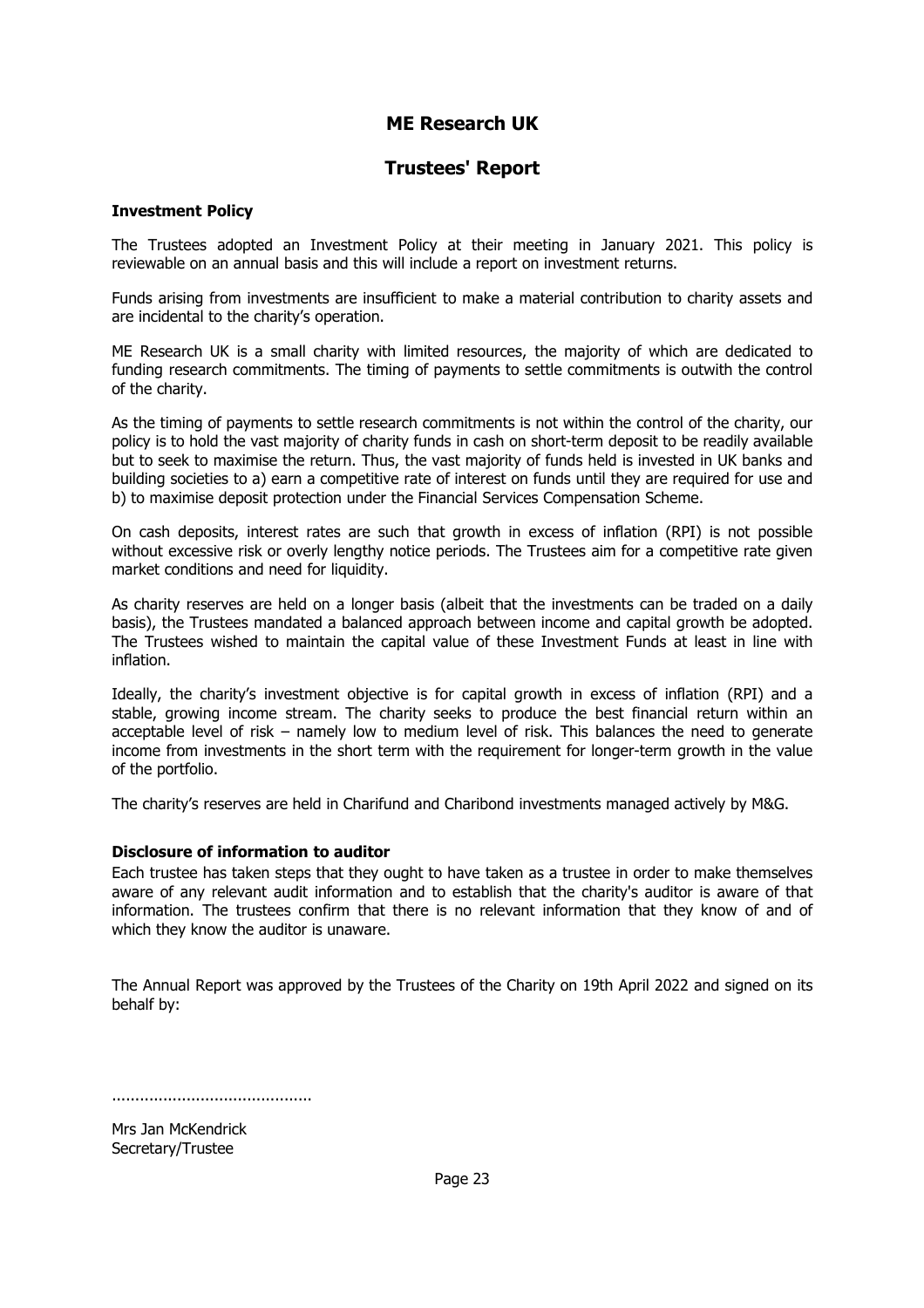### **Trustees' Report**

#### **Investment Policy**

The Trustees adopted an Investment Policy at their meeting in January 2021. This policy is reviewable on an annual basis and this will include a report on investment returns.

Funds arising from investments are insufficient to make a material contribution to charity assets and are incidental to the charity's operation.

ME Research UK is a small charity with limited resources, the majority of which are dedicated to funding research commitments. The timing of payments to settle commitments is outwith the control of the charity.

As the timing of payments to settle research commitments is not within the control of the charity, our policy is to hold the vast majority of charity funds in cash on short-term deposit to be readily available but to seek to maximise the return. Thus, the vast majority of funds held is invested in UK banks and building societies to a) earn a competitive rate of interest on funds until they are required for use and b) to maximise deposit protection under the Financial Services Compensation Scheme.

On cash deposits, interest rates are such that growth in excess of inflation (RPI) is not possible without excessive risk or overly lengthy notice periods. The Trustees aim for a competitive rate given market conditions and need for liquidity.

As charity reserves are held on a longer basis (albeit that the investments can be traded on a daily basis), the Trustees mandated a balanced approach between income and capital growth be adopted. The Trustees wished to maintain the capital value of these Investment Funds at least in line with inflation.

Ideally, the charity's investment objective is for capital growth in excess of inflation (RPI) and a stable, growing income stream. The charity seeks to produce the best financial return within an acceptable level of risk – namely low to medium level of risk. This balances the need to generate income from investments in the short term with the requirement for longer-term growth in the value of the portfolio.

The charity's reserves are held in Charifund and Charibond investments managed actively by M&G.

#### **Disclosure of information to auditor**

Each trustee has taken steps that they ought to have taken as a trustee in order to make themselves aware of any relevant audit information and to establish that the charity's auditor is aware of that information. The trustees confirm that there is no relevant information that they know of and of which they know the auditor is unaware.

The Annual Report was approved by the Trustees of the Charity on 19th April 2022 and signed on its behalf by:

...........................................

Mrs Jan McKendrick Secretary/Trustee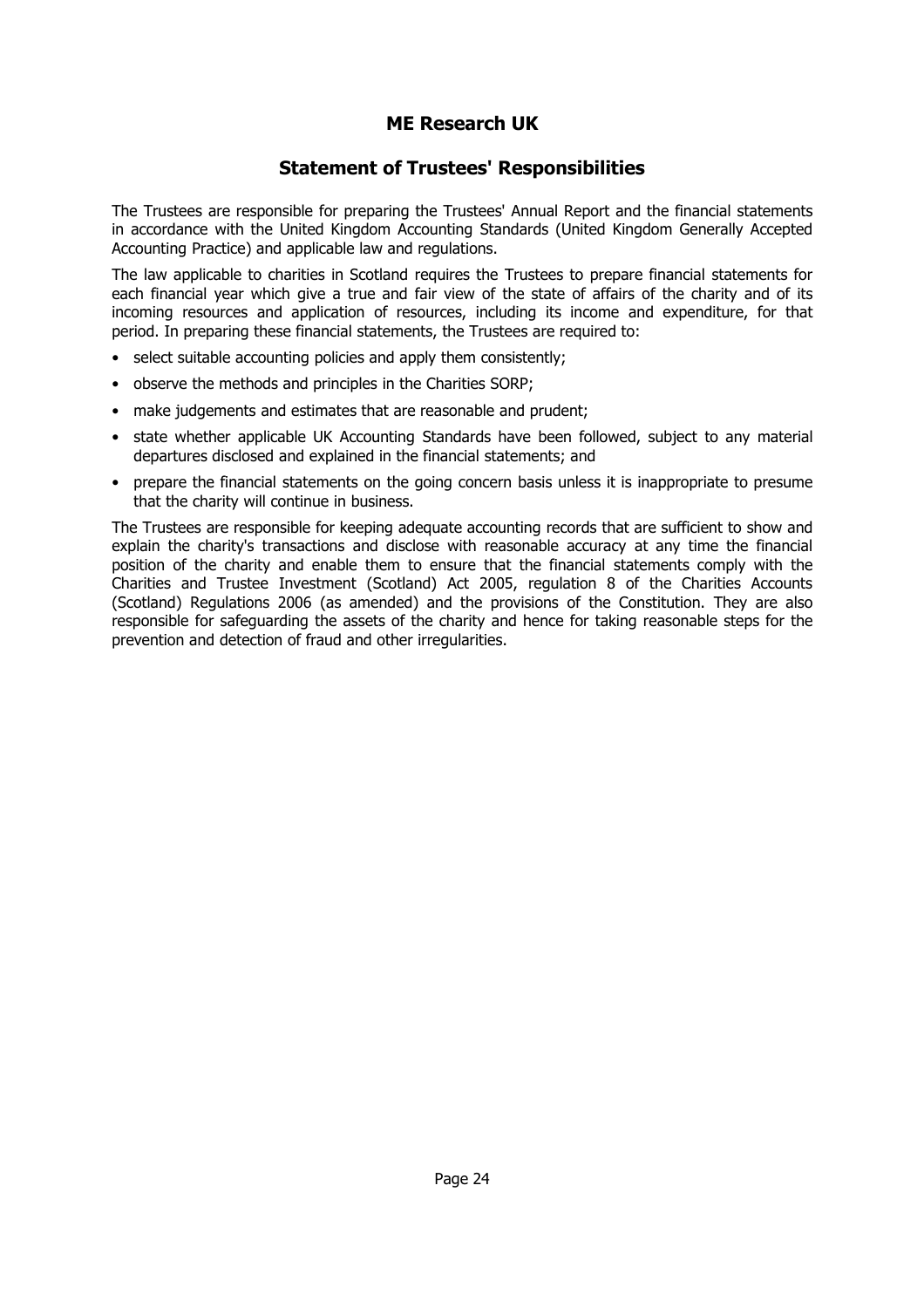### **Statement of Trustees' Responsibilities**

The Trustees are responsible for preparing the Trustees' Annual Report and the financial statements in accordance with the United Kingdom Accounting Standards (United Kingdom Generally Accepted Accounting Practice) and applicable law and regulations.

The law applicable to charities in Scotland requires the Trustees to prepare financial statements for each financial year which give a true and fair view of the state of affairs of the charity and of its incoming resources and application of resources, including its income and expenditure, for that period. In preparing these financial statements, the Trustees are required to:

- select suitable accounting policies and apply them consistently;
- observe the methods and principles in the Charities SORP;
- make judgements and estimates that are reasonable and prudent;
- state whether applicable UK Accounting Standards have been followed, subject to any material departures disclosed and explained in the financial statements; and
- prepare the financial statements on the going concern basis unless it is inappropriate to presume that the charity will continue in business.

The Trustees are responsible for keeping adequate accounting records that are sufficient to show and explain the charity's transactions and disclose with reasonable accuracy at any time the financial position of the charity and enable them to ensure that the financial statements comply with the Charities and Trustee Investment (Scotland) Act 2005, regulation 8 of the Charities Accounts (Scotland) Regulations 2006 (as amended) and the provisions of the Constitution. They are also responsible for safeguarding the assets of the charity and hence for taking reasonable steps for the prevention and detection of fraud and other irregularities.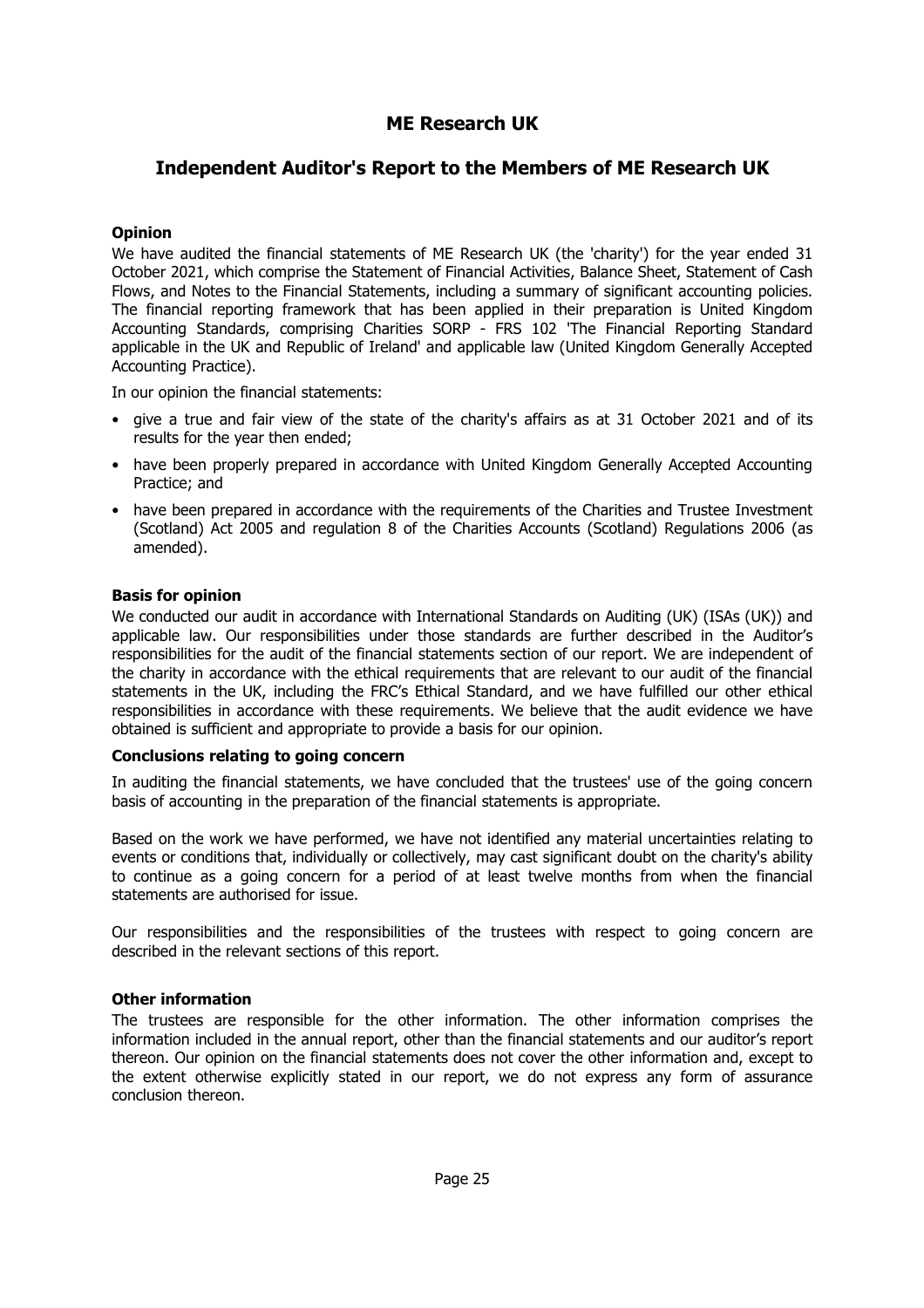### **Independent Auditor's Report to the Members of ME Research UK**

#### **Opinion**

We have audited the financial statements of ME Research UK (the 'charity') for the year ended 31 October 2021, which comprise the Statement of Financial Activities, Balance Sheet, Statement of Cash Flows, and Notes to the Financial Statements, including a summary of significant accounting policies. The financial reporting framework that has been applied in their preparation is United Kingdom Accounting Standards, comprising Charities SORP - FRS 102 'The Financial Reporting Standard applicable in the UK and Republic of Ireland' and applicable law (United Kingdom Generally Accepted Accounting Practice).

In our opinion the financial statements:

- give a true and fair view of the state of the charity's affairs as at 31 October 2021 and of its results for the year then ended;
- have been properly prepared in accordance with United Kingdom Generally Accepted Accounting Practice; and
- have been prepared in accordance with the requirements of the Charities and Trustee Investment (Scotland) Act 2005 and regulation 8 of the Charities Accounts (Scotland) Regulations 2006 (as amended).

#### **Basis for opinion**

We conducted our audit in accordance with International Standards on Auditing (UK) (ISAs (UK)) and applicable law. Our responsibilities under those standards are further described in the Auditor's responsibilities for the audit of the financial statements section of our report. We are independent of the charity in accordance with the ethical requirements that are relevant to our audit of the financial statements in the UK, including the FRC's Ethical Standard, and we have fulfilled our other ethical responsibilities in accordance with these requirements. We believe that the audit evidence we have obtained is sufficient and appropriate to provide a basis for our opinion.

#### **Conclusions relating to going concern**

In auditing the financial statements, we have concluded that the trustees' use of the going concern basis of accounting in the preparation of the financial statements is appropriate.

Based on the work we have performed, we have not identified any material uncertainties relating to events or conditions that, individually or collectively, may cast significant doubt on the charity's ability to continue as a going concern for a period of at least twelve months from when the financial statements are authorised for issue.

Our responsibilities and the responsibilities of the trustees with respect to going concern are described in the relevant sections of this report.

#### **Other information**

The trustees are responsible for the other information. The other information comprises the information included in the annual report, other than the financial statements and our auditor's report thereon. Our opinion on the financial statements does not cover the other information and, except to the extent otherwise explicitly stated in our report, we do not express any form of assurance conclusion thereon.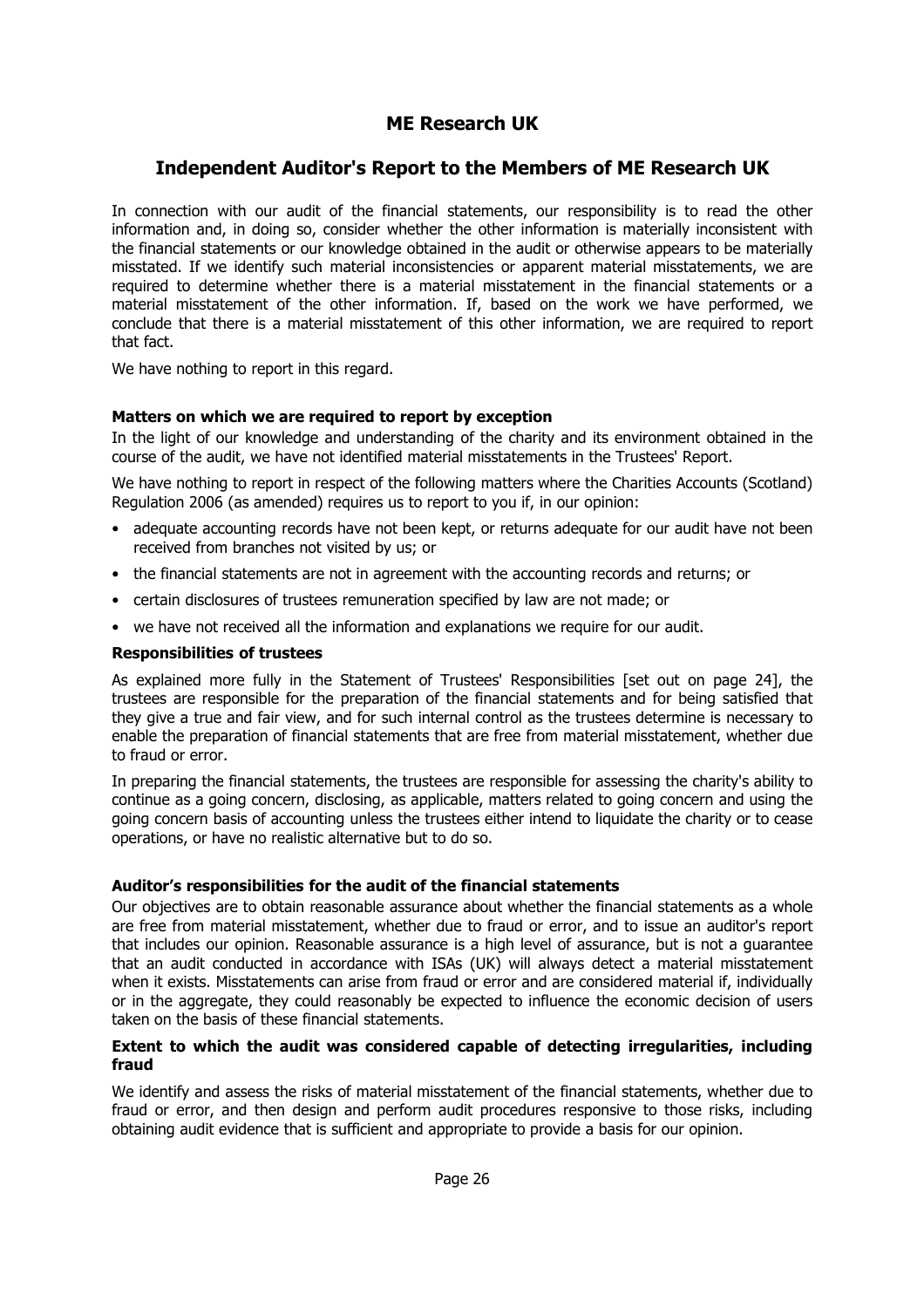### **Independent Auditor's Report to the Members of ME Research UK**

In connection with our audit of the financial statements, our responsibility is to read the other information and, in doing so, consider whether the other information is materially inconsistent with the financial statements or our knowledge obtained in the audit or otherwise appears to be materially misstated. If we identify such material inconsistencies or apparent material misstatements, we are required to determine whether there is a material misstatement in the financial statements or a material misstatement of the other information. If, based on the work we have performed, we conclude that there is a material misstatement of this other information, we are required to report that fact.

We have nothing to report in this regard.

#### **Matters on which we are required to report by exception**

In the light of our knowledge and understanding of the charity and its environment obtained in the course of the audit, we have not identified material misstatements in the Trustees' Report.

We have nothing to report in respect of the following matters where the Charities Accounts (Scotland) Regulation 2006 (as amended) requires us to report to you if, in our opinion:

- adequate accounting records have not been kept, or returns adequate for our audit have not been received from branches not visited by us; or
- the financial statements are not in agreement with the accounting records and returns; or
- certain disclosures of trustees remuneration specified by law are not made; or
- we have not received all the information and explanations we require for our audit.

#### **Responsibilities of trustees**

As explained more fully in the Statement of Trustees' Responsibilities [set out on page 24], the trustees are responsible for the preparation of the financial statements and for being satisfied that they give a true and fair view, and for such internal control as the trustees determine is necessary to enable the preparation of financial statements that are free from material misstatement, whether due to fraud or error.

In preparing the financial statements, the trustees are responsible for assessing the charity's ability to continue as a going concern, disclosing, as applicable, matters related to going concern and using the going concern basis of accounting unless the trustees either intend to liquidate the charity or to cease operations, or have no realistic alternative but to do so.

#### **Auditor's responsibilities for the audit of the financial statements**

Our objectives are to obtain reasonable assurance about whether the financial statements as a whole are free from material misstatement, whether due to fraud or error, and to issue an auditor's report that includes our opinion. Reasonable assurance is a high level of assurance, but is not a guarantee that an audit conducted in accordance with ISAs (UK) will always detect a material misstatement when it exists. Misstatements can arise from fraud or error and are considered material if, individually or in the aggregate, they could reasonably be expected to influence the economic decision of users taken on the basis of these financial statements.

#### **Extent to which the audit was considered capable of detecting irregularities, including fraud**

We identify and assess the risks of material misstatement of the financial statements, whether due to fraud or error, and then design and perform audit procedures responsive to those risks, including obtaining audit evidence that is sufficient and appropriate to provide a basis for our opinion.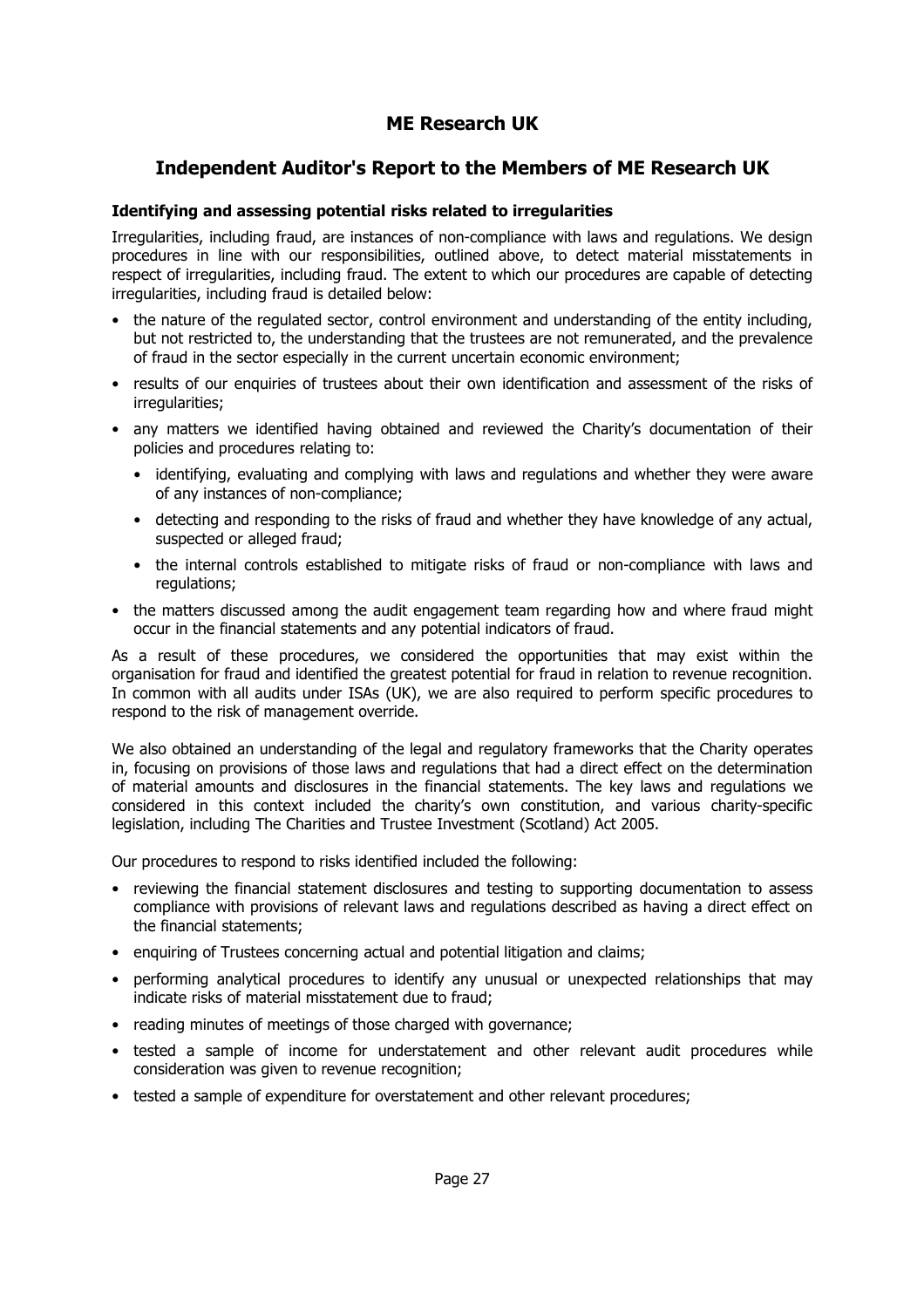### **Independent Auditor's Report to the Members of ME Research UK**

#### **Identifying and assessing potential risks related to irregularities**

Irregularities, including fraud, are instances of non-compliance with laws and regulations. We design procedures in line with our responsibilities, outlined above, to detect material misstatements in respect of irregularities, including fraud. The extent to which our procedures are capable of detecting irregularities, including fraud is detailed below:

- the nature of the regulated sector, control environment and understanding of the entity including, but not restricted to, the understanding that the trustees are not remunerated, and the prevalence of fraud in the sector especially in the current uncertain economic environment;
- results of our enquiries of trustees about their own identification and assessment of the risks of irregularities;
- any matters we identified having obtained and reviewed the Charity's documentation of their policies and procedures relating to:
	- identifying, evaluating and complying with laws and regulations and whether they were aware of any instances of non-compliance;
	- detecting and responding to the risks of fraud and whether they have knowledge of any actual, suspected or alleged fraud;
	- the internal controls established to mitigate risks of fraud or non-compliance with laws and regulations;
- the matters discussed among the audit engagement team regarding how and where fraud might occur in the financial statements and any potential indicators of fraud.

As a result of these procedures, we considered the opportunities that may exist within the organisation for fraud and identified the greatest potential for fraud in relation to revenue recognition. In common with all audits under ISAs (UK), we are also required to perform specific procedures to respond to the risk of management override.

We also obtained an understanding of the legal and regulatory frameworks that the Charity operates in, focusing on provisions of those laws and regulations that had a direct effect on the determination of material amounts and disclosures in the financial statements. The key laws and regulations we considered in this context included the charity's own constitution, and various charity-specific legislation, including The Charities and Trustee Investment (Scotland) Act 2005.

Our procedures to respond to risks identified included the following:

- reviewing the financial statement disclosures and testing to supporting documentation to assess compliance with provisions of relevant laws and regulations described as having a direct effect on the financial statements;
- enquiring of Trustees concerning actual and potential litigation and claims;
- performing analytical procedures to identify any unusual or unexpected relationships that may indicate risks of material misstatement due to fraud;
- reading minutes of meetings of those charged with governance;
- tested a sample of income for understatement and other relevant audit procedures while consideration was given to revenue recognition;
- tested a sample of expenditure for overstatement and other relevant procedures;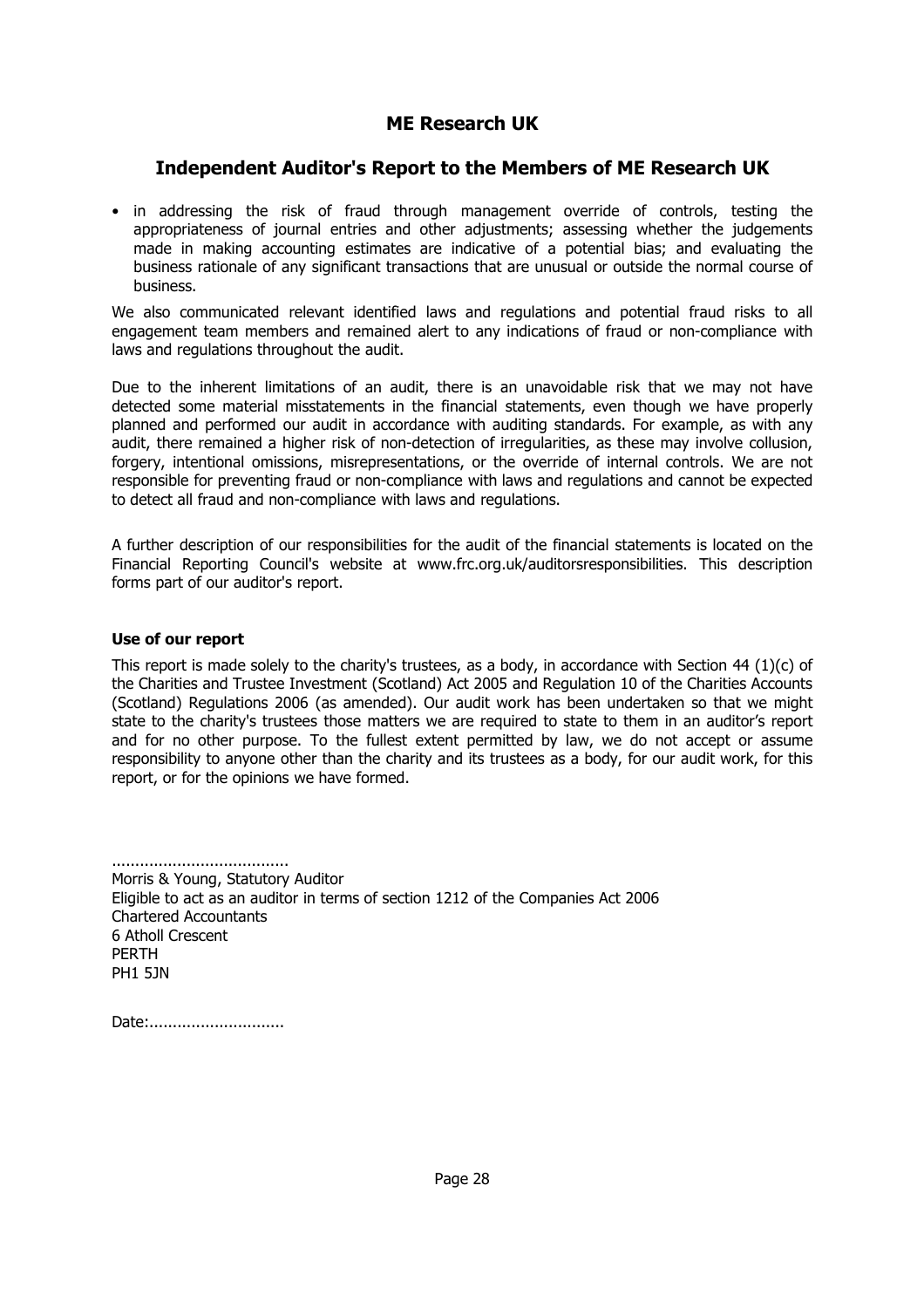### **Independent Auditor's Report to the Members of ME Research UK**

• in addressing the risk of fraud through management override of controls, testing the appropriateness of journal entries and other adjustments; assessing whether the judgements made in making accounting estimates are indicative of a potential bias; and evaluating the business rationale of any significant transactions that are unusual or outside the normal course of business.

We also communicated relevant identified laws and regulations and potential fraud risks to all engagement team members and remained alert to any indications of fraud or non-compliance with laws and regulations throughout the audit.

Due to the inherent limitations of an audit, there is an unavoidable risk that we may not have detected some material misstatements in the financial statements, even though we have properly planned and performed our audit in accordance with auditing standards. For example, as with any audit, there remained a higher risk of non-detection of irregularities, as these may involve collusion, forgery, intentional omissions, misrepresentations, or the override of internal controls. We are not responsible for preventing fraud or non-compliance with laws and regulations and cannot be expected to detect all fraud and non-compliance with laws and regulations.

A further description of our responsibilities for the audit of the financial statements is located on the Financial Reporting Council's website at www.frc.org.uk/auditorsresponsibilities. This description forms part of our auditor's report.

#### **Use of our report**

This report is made solely to the charity's trustees, as a body, in accordance with Section 44 (1)(c) of the Charities and Trustee Investment (Scotland) Act 2005 and Regulation 10 of the Charities Accounts (Scotland) Regulations 2006 (as amended). Our audit work has been undertaken so that we might state to the charity's trustees those matters we are required to state to them in an auditor's report and for no other purpose. To the fullest extent permitted by law, we do not accept or assume responsibility to anyone other than the charity and its trustees as a body, for our audit work, for this report, or for the opinions we have formed.

...................................... Morris & Young, Statutory Auditor Eligible to act as an auditor in terms of section 1212 of the Companies Act 2006 Chartered Accountants 6 Atholl Crescent PERTH PH1 5JN

Date:..............................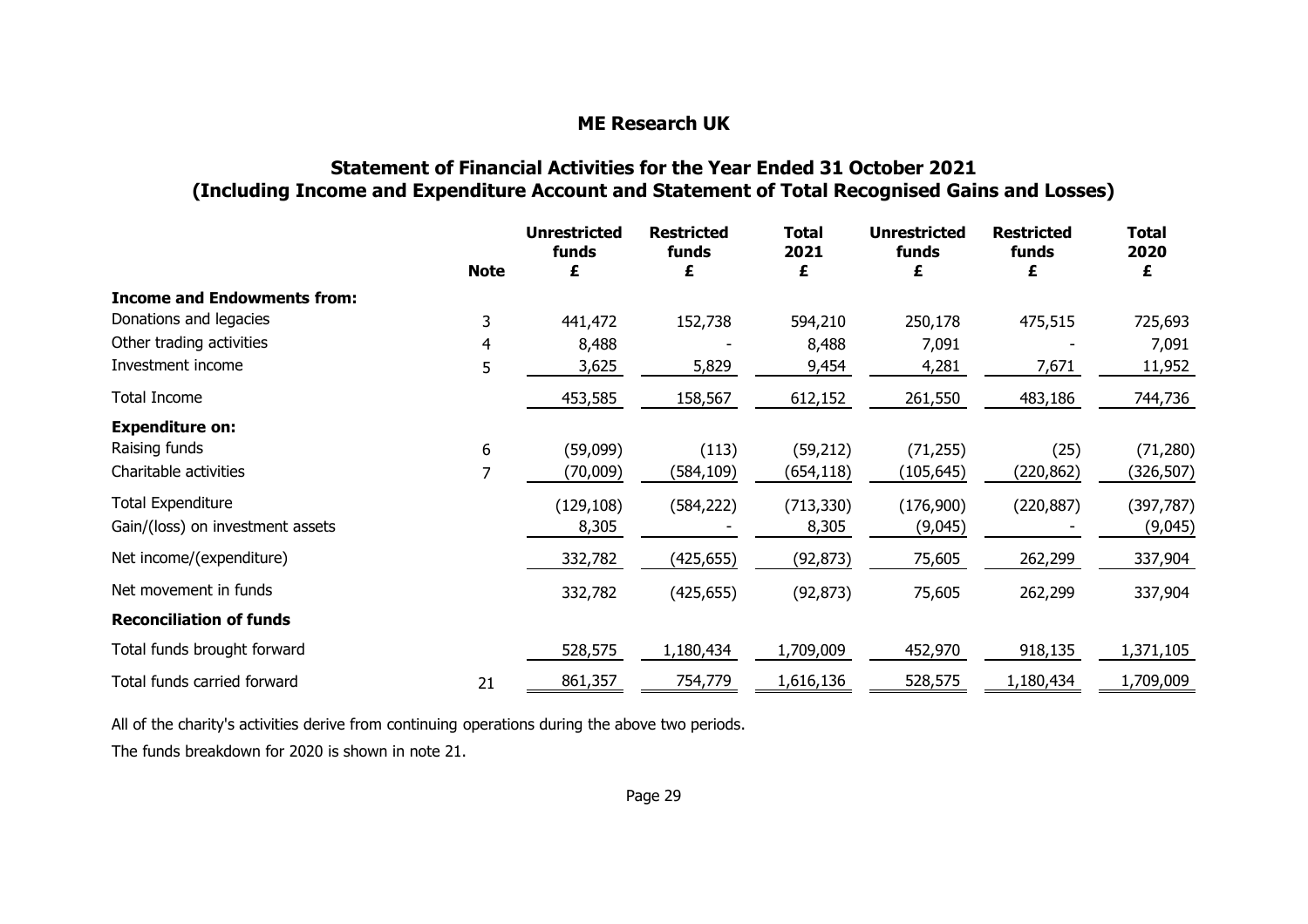## **Statement of Financial Activities for the Year Ended <sup>31</sup> October <sup>2021</sup>** (Including Income and Expenditure Account and Statement of Total Recognised Gains and Losses)<br>-

|                                    | <b>Note</b>    | <b>Unrestricted</b><br>funds<br>£ | <b>Restricted</b><br>funds<br>£ | <b>Total</b><br>2021<br>£ | <b>Unrestricted</b><br>funds<br>£ | <b>Restricted</b><br>funds<br>£ | <b>Total</b><br>2020<br>£ |
|------------------------------------|----------------|-----------------------------------|---------------------------------|---------------------------|-----------------------------------|---------------------------------|---------------------------|
| <b>Income and Endowments from:</b> |                |                                   |                                 |                           |                                   |                                 |                           |
| Donations and legacies             | 3              | 441,472                           | 152,738                         | 594,210                   | 250,178                           | 475,515                         | 725,693                   |
| Other trading activities           | 4              | 8,488                             |                                 | 8,488                     | 7,091                             |                                 | 7,091                     |
| Investment income                  | 5              | 3,625                             | 5,829                           | 9,454                     | 4,281                             | 7,671                           | 11,952                    |
| Total Income                       |                | 453,585                           | 158,567                         | 612,152                   | 261,550                           | 483,186                         | 744,736                   |
| <b>Expenditure on:</b>             |                |                                   |                                 |                           |                                   |                                 |                           |
| Raising funds                      | 6              | (59,099)                          | (113)                           | (59, 212)                 | (71, 255)                         | (25)                            | (71, 280)                 |
| Charitable activities              | $\overline{7}$ | (70,009)                          | (584,109)                       | (654,118)                 | (105, 645)                        | (220,862)                       | (326,507)                 |
| <b>Total Expenditure</b>           |                | (129, 108)                        | (584, 222)                      | (713, 330)                | (176,900)                         | (220, 887)                      | (397, 787)                |
| Gain/(loss) on investment assets   |                | 8,305                             |                                 | 8,305                     | (9,045)                           |                                 | (9,045)                   |
| Net income/(expenditure)           |                | 332,782                           | (425,655)                       | (92, 873)                 | 75,605                            | 262,299                         | 337,904                   |
| Net movement in funds              |                | 332,782                           | (425, 655)                      | (92, 873)                 | 75,605                            | 262,299                         | 337,904                   |
| <b>Reconciliation of funds</b>     |                |                                   |                                 |                           |                                   |                                 |                           |
| Total funds brought forward        |                | 528,575                           | 1,180,434                       | 1,709,009                 | 452,970                           | 918,135                         | 1,371,105                 |
| Total funds carried forward        | 21             | 861,357                           | 754,779                         | 1,616,136                 | 528,575                           | 1,180,434                       | 1,709,009                 |
|                                    |                |                                   |                                 |                           |                                   |                                 |                           |

All of the charity's activities derive from continuing operations during the above two periods. The funds breakdown for <sup>2020</sup> is shown in note 21.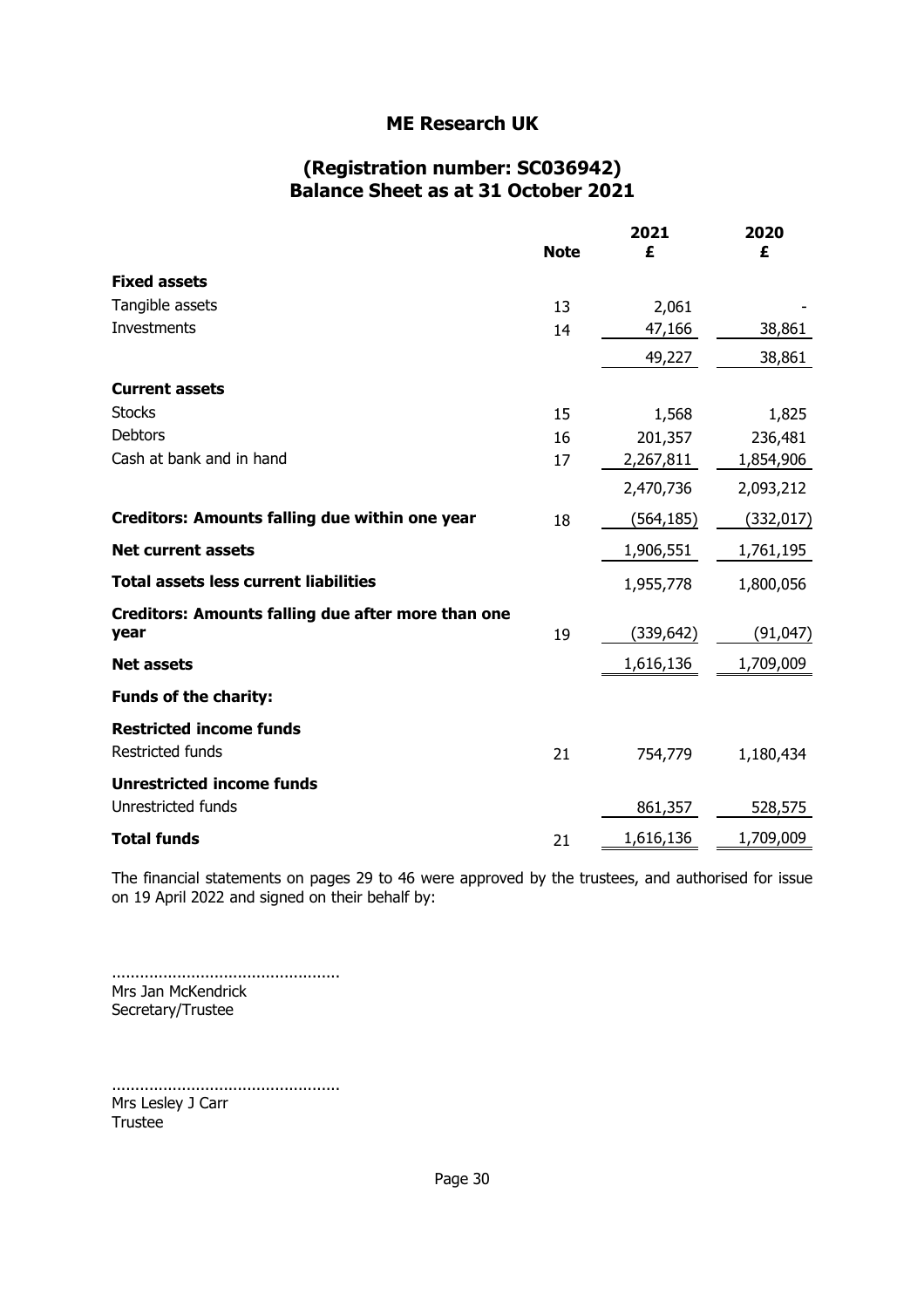### **(Registration number: SC036942) Balance Sheet as at 31 October 2021**

|                                                       | <b>Note</b> | 2021<br>£  | 2020<br>£ |
|-------------------------------------------------------|-------------|------------|-----------|
| <b>Fixed assets</b>                                   |             |            |           |
| Tangible assets                                       | 13          | 2,061      |           |
| <b>Investments</b>                                    | 14          | 47,166     | 38,861    |
|                                                       |             | 49,227     | 38,861    |
| <b>Current assets</b>                                 |             |            |           |
| <b>Stocks</b>                                         | 15          | 1,568      | 1,825     |
| Debtors                                               | 16          | 201,357    | 236,481   |
| Cash at bank and in hand                              | 17          | 2,267,811  | 1,854,906 |
|                                                       |             | 2,470,736  | 2,093,212 |
| <b>Creditors: Amounts falling due within one year</b> | 18          | (564,185)  | (332,017) |
| <b>Net current assets</b>                             |             | 1,906,551  | 1,761,195 |
| <b>Total assets less current liabilities</b>          |             | 1,955,778  | 1,800,056 |
| Creditors: Amounts falling due after more than one    |             |            |           |
| year                                                  | 19          | (339, 642) | (91, 047) |
| <b>Net assets</b>                                     |             | 1,616,136  | 1,709,009 |
| <b>Funds of the charity:</b>                          |             |            |           |
| <b>Restricted income funds</b>                        |             |            |           |
| Restricted funds                                      | 21          | 754,779    | 1,180,434 |
| <b>Unrestricted income funds</b>                      |             |            |           |
| Unrestricted funds                                    |             | 861,357    | 528,575   |
| <b>Total funds</b>                                    | 21          | 1,616,136  | 1,709,009 |

The financial statements on pages 29 to 46 were approved by the trustees, and authorised for issue on 19 April 2022 and signed on their behalf by:

................................................. Mrs Jan McKendrick Secretary/Trustee

................................................. Mrs Lesley J Carr Trustee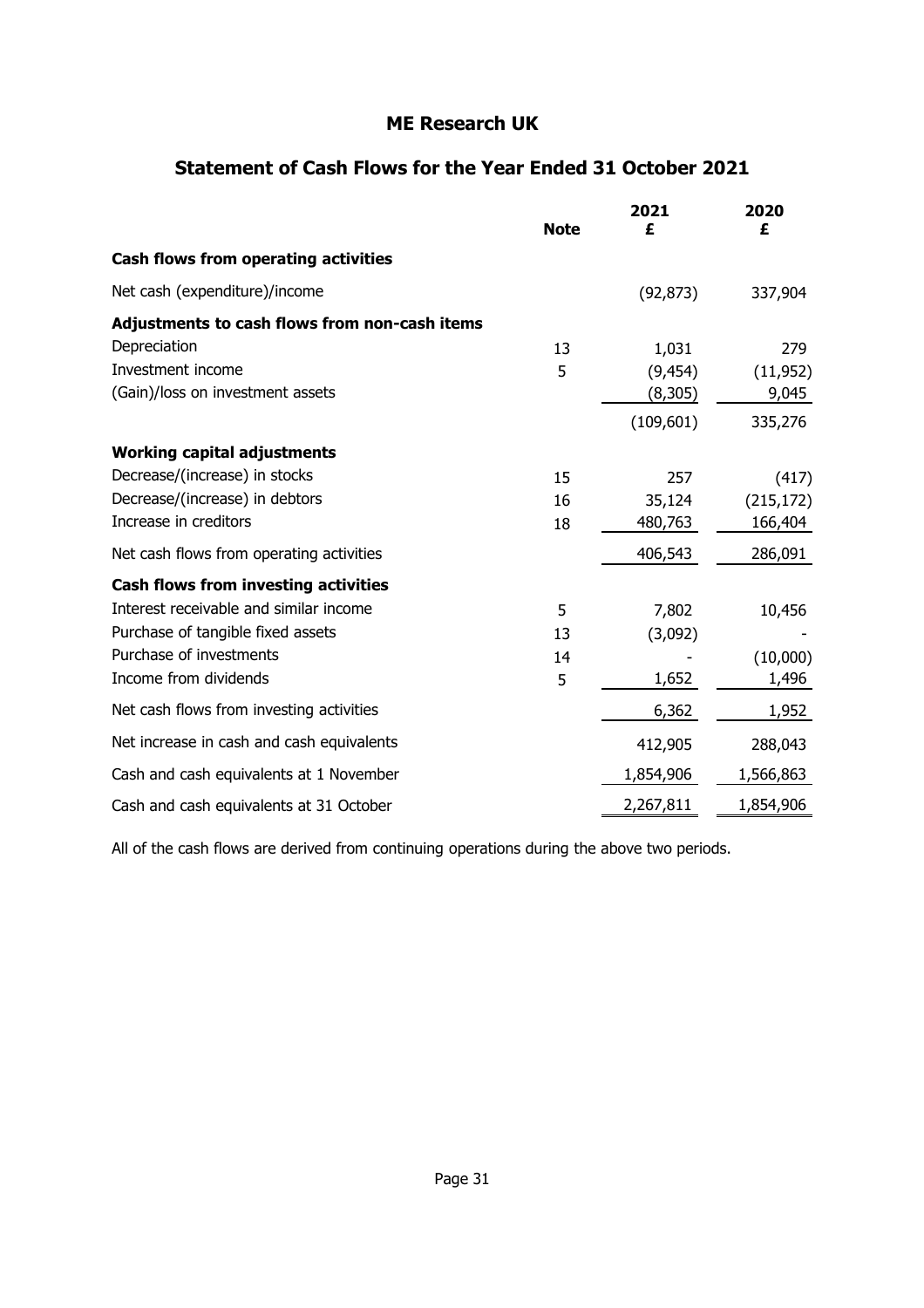### **Statement of Cash Flows for the Year Ended 31 October 2021**

|                                               | <b>Note</b> | 2021<br>£  | 2020<br>£  |
|-----------------------------------------------|-------------|------------|------------|
| Cash flows from operating activities          |             |            |            |
| Net cash (expenditure)/income                 |             | (92, 873)  | 337,904    |
| Adjustments to cash flows from non-cash items |             |            |            |
| Depreciation                                  | 13          | 1,031      | 279        |
| Investment income                             | 5           | (9, 454)   | (11, 952)  |
| (Gain)/loss on investment assets              |             | (8,305)    | 9,045      |
|                                               |             | (109, 601) | 335,276    |
| <b>Working capital adjustments</b>            |             |            |            |
| Decrease/(increase) in stocks                 | 15          | 257        | (417)      |
| Decrease/(increase) in debtors                | 16          | 35,124     | (215, 172) |
| Increase in creditors                         | 18          | 480,763    | 166,404    |
| Net cash flows from operating activities      |             | 406,543    | 286,091    |
| <b>Cash flows from investing activities</b>   |             |            |            |
| Interest receivable and similar income        | 5           | 7,802      | 10,456     |
| Purchase of tangible fixed assets             | 13          | (3,092)    |            |
| Purchase of investments                       | 14          |            | (10,000)   |
| Income from dividends                         | 5           | 1,652      | 1,496      |
| Net cash flows from investing activities      |             | 6,362      | 1,952      |
| Net increase in cash and cash equivalents     |             | 412,905    | 288,043    |
| Cash and cash equivalents at 1 November       |             | 1,854,906  | 1,566,863  |
| Cash and cash equivalents at 31 October       |             | 2,267,811  | 1,854,906  |

All of the cash flows are derived from continuing operations during the above two periods.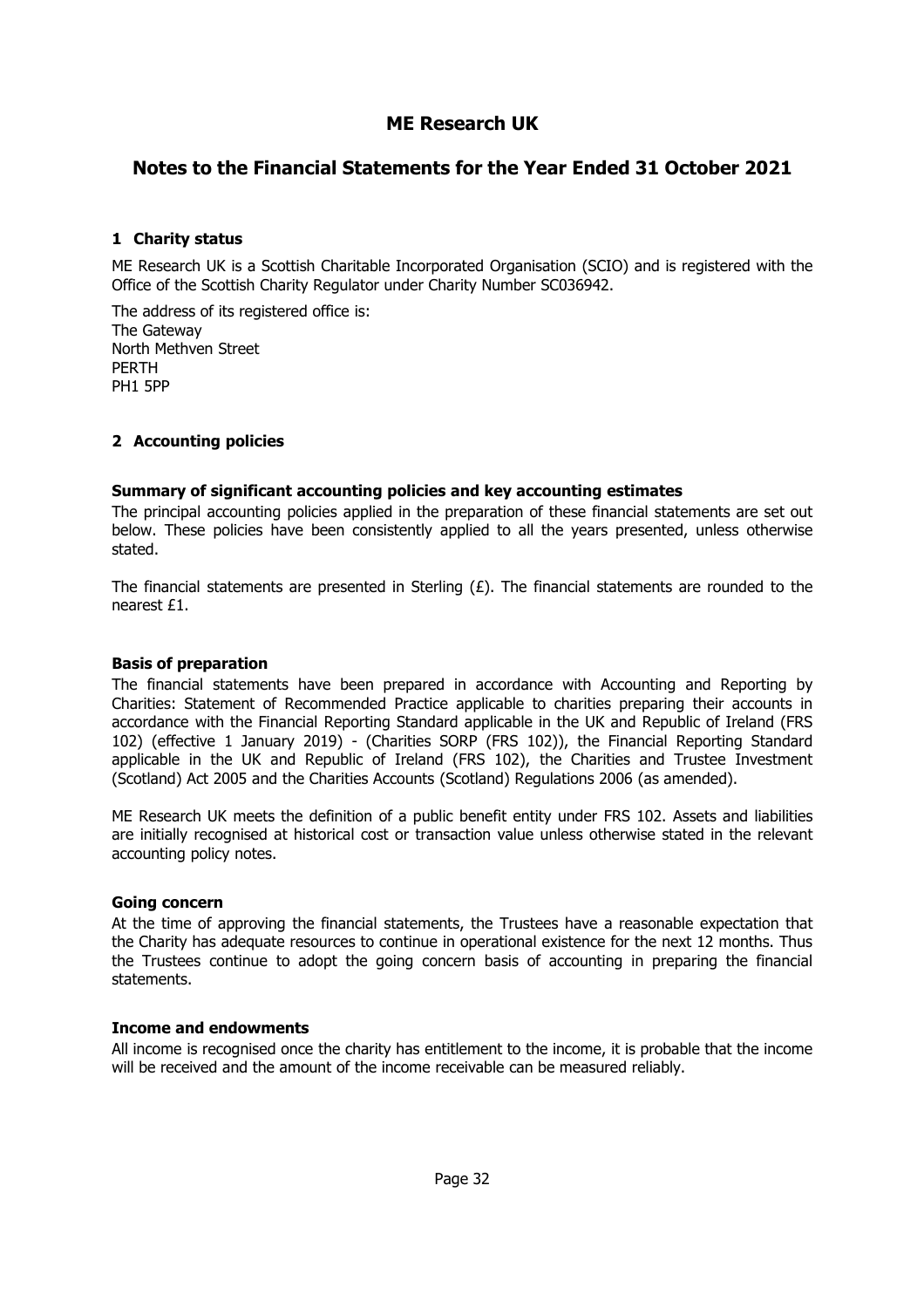### **Notes to the Financial Statements for the Year Ended 31 October 2021**

#### **1 Charity status**

ME Research UK is a Scottish Charitable Incorporated Organisation (SCIO) and is registered with the Office of the Scottish Charity Regulator under Charity Number SC036942.

The address of its registered office is: The Gateway North Methven Street PERTH PH1 5PP

#### **2 Accounting policies**

#### **Summary of significant accounting policies and key accounting estimates**

The principal accounting policies applied in the preparation of these financial statements are set out below. These policies have been consistently applied to all the years presented, unless otherwise stated.

The financial statements are presented in Sterling  $(E)$ . The financial statements are rounded to the nearest £1.

#### **Basis of preparation**

The financial statements have been prepared in accordance with Accounting and Reporting by Charities: Statement of Recommended Practice applicable to charities preparing their accounts in accordance with the Financial Reporting Standard applicable in the UK and Republic of Ireland (FRS 102) (effective 1 January 2019) - (Charities SORP (FRS 102)), the Financial Reporting Standard applicable in the UK and Republic of Ireland (FRS 102), the Charities and Trustee Investment (Scotland) Act 2005 and the Charities Accounts (Scotland) Regulations 2006 (as amended).

ME Research UK meets the definition of a public benefit entity under FRS 102. Assets and liabilities are initially recognised at historical cost or transaction value unless otherwise stated in the relevant accounting policy notes.

#### **Going concern**

At the time of approving the financial statements, the Trustees have a reasonable expectation that the Charity has adequate resources to continue in operational existence for the next 12 months. Thus the Trustees continue to adopt the going concern basis of accounting in preparing the financial statements.

#### **Income and endowments**

All income is recognised once the charity has entitlement to the income, it is probable that the income will be received and the amount of the income receivable can be measured reliably.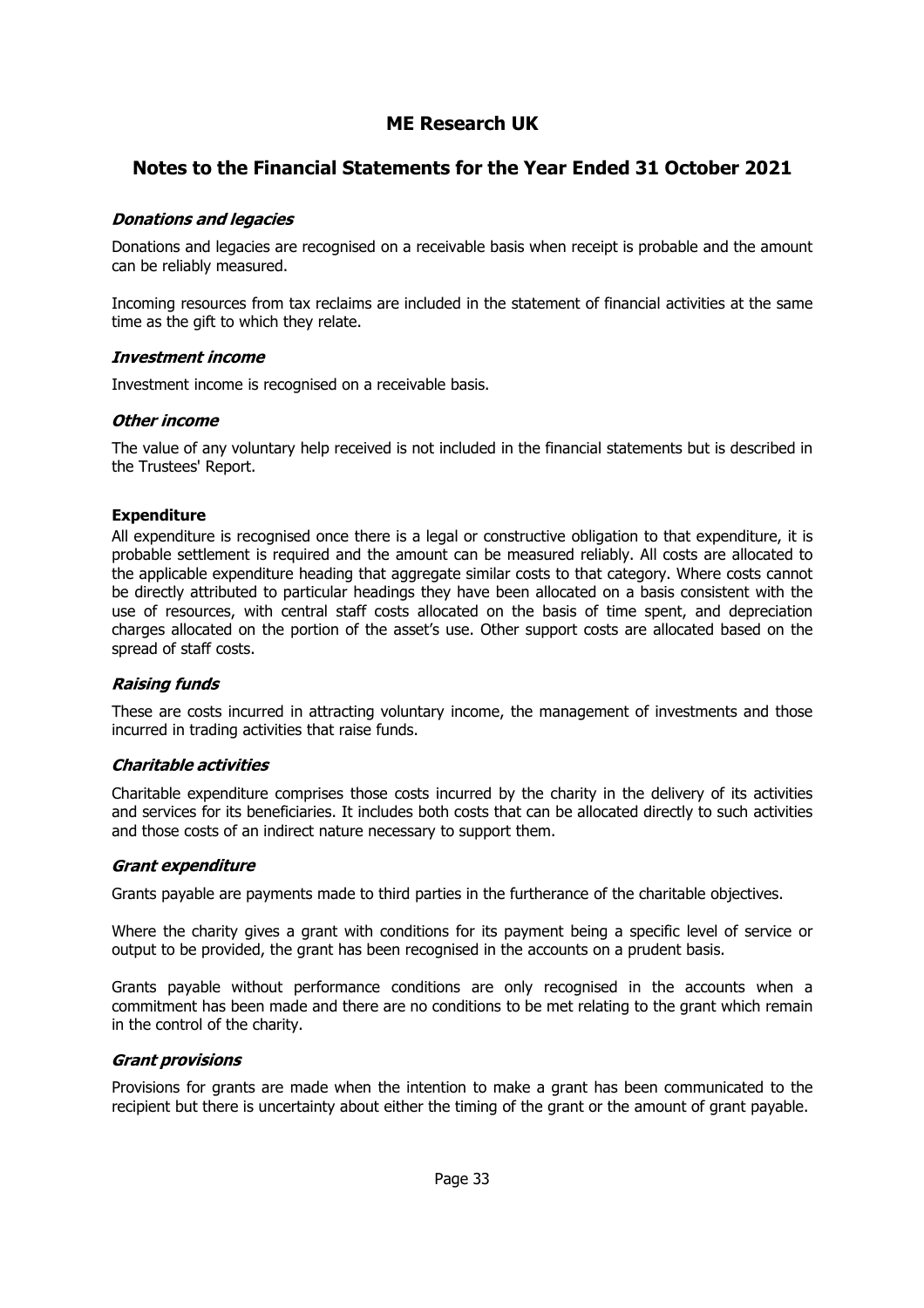### **Notes to the Financial Statements for the Year Ended 31 October 2021**

#### **Donations and legacies**

Donations and legacies are recognised on a receivable basis when receipt is probable and the amount can be reliably measured.

Incoming resources from tax reclaims are included in the statement of financial activities at the same time as the gift to which they relate.

#### **Investment income**

Investment income is recognised on a receivable basis.

#### Other income

The value of any voluntary help received is not included in the financial statements but is described in the Trustees' Report.

#### **Expenditure**

All expenditure is recognised once there is a legal or constructive obligation to that expenditure, it is probable settlement is required and the amount can be measured reliably. All costs are allocated to the applicable expenditure heading that aggregate similar costs to that category. Where costs cannot be directly attributed to particular headings they have been allocated on a basis consistent with the use of resources, with central staff costs allocated on the basis of time spent, and depreciation charges allocated on the portion of the asset's use. Other support costs are allocated based on the spread of staff costs.

#### **Raising funds**

These are costs incurred in attracting voluntary income, the management of investments and those incurred in trading activities that raise funds.

#### **Charitable activities**

Charitable expenditure comprises those costs incurred by the charity in the delivery of its activities and services for its beneficiaries. It includes both costs that can be allocated directly to such activities and those costs of an indirect nature necessary to support them.

#### **Grant expenditure**

Grants payable are payments made to third parties in the furtherance of the charitable objectives.

Where the charity gives a grant with conditions for its payment being a specific level of service or output to be provided, the grant has been recognised in the accounts on a prudent basis.

Grants payable without performance conditions are only recognised in the accounts when a commitment has been made and there are no conditions to be met relating to the grant which remain in the control of the charity.

#### **Grant provisions**

Provisions for grants are made when the intention to make a grant has been communicated to the recipient but there is uncertainty about either the timing of the grant or the amount of grant payable.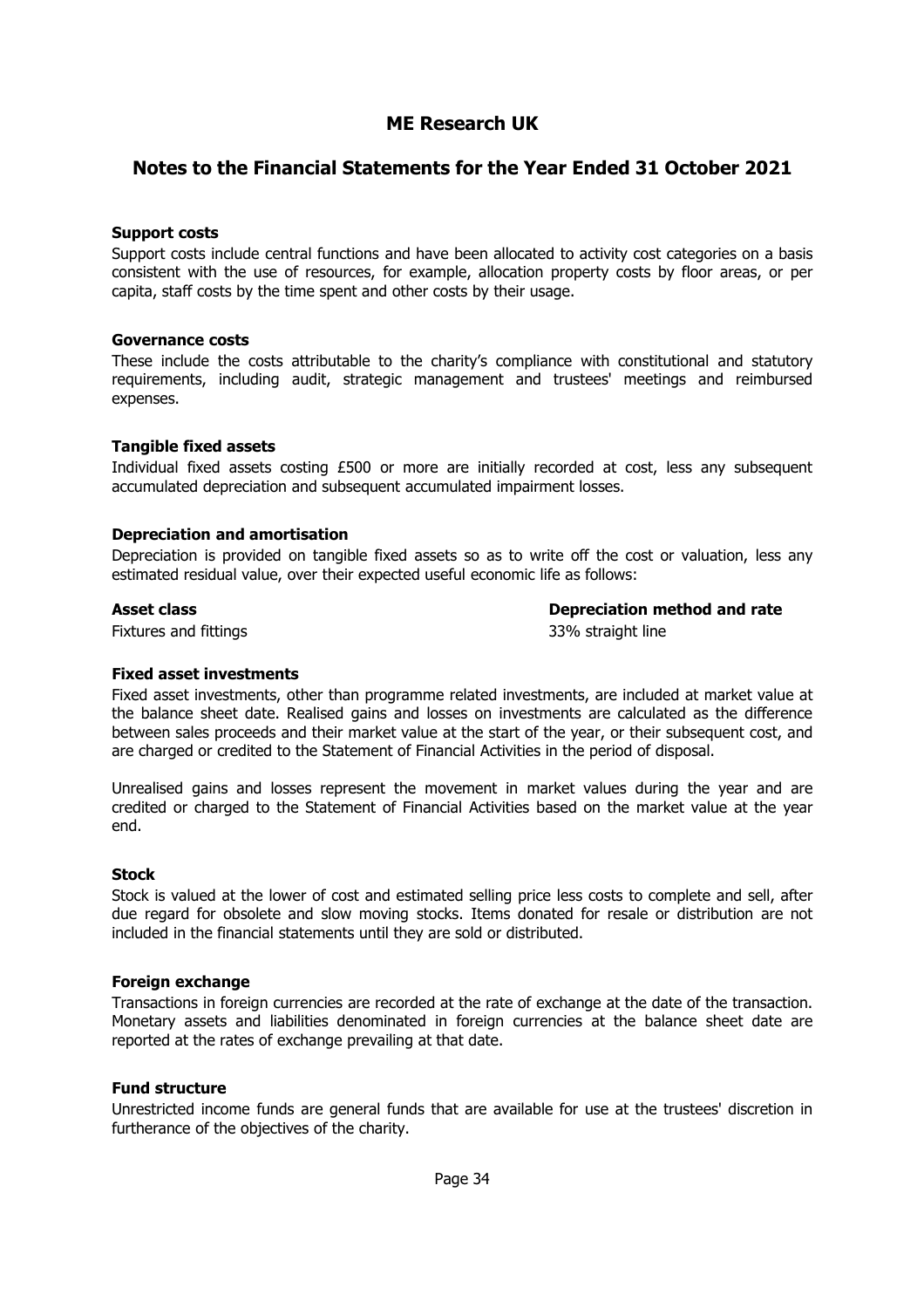#### **Notes to the Financial Statements for the Year Ended 31 October 2021**

#### **Support costs**

Support costs include central functions and have been allocated to activity cost categories on a basis consistent with the use of resources, for example, allocation property costs by floor areas, or per capita, staff costs by the time spent and other costs by their usage.

#### **Governance costs**

These include the costs attributable to the charity's compliance with constitutional and statutory requirements, including audit, strategic management and trustees' meetings and reimbursed expenses.

#### **Tangible fixed assets**

Individual fixed assets costing £500 or more are initially recorded at cost, less any subsequent accumulated depreciation and subsequent accumulated impairment losses.

#### **Depreciation and amortisation**

Depreciation is provided on tangible fixed assets so as to write off the cost or valuation, less any estimated residual value, over their expected useful economic life as follows:

**Asset class Depreciation method and rate**

Fixtures and fittings 33% straight line

#### **Fixed asset investments**

Fixed asset investments, other than programme related investments, are included at market value at the balance sheet date. Realised gains and losses on investments are calculated as the difference between sales proceeds and their market value at the start of the year, or their subsequent cost, and are charged or credited to the Statement of Financial Activities in the period of disposal.

Unrealised gains and losses represent the movement in market values during the year and are credited or charged to the Statement of Financial Activities based on the market value at the year end.

#### **Stock**

Stock is valued at the lower of cost and estimated selling price less costs to complete and sell, after due regard for obsolete and slow moving stocks. Items donated for resale or distribution are not included in the financial statements until they are sold or distributed.

#### **Foreign exchange**

Transactions in foreign currencies are recorded at the rate of exchange at the date of the transaction. Monetary assets and liabilities denominated in foreign currencies at the balance sheet date are reported at the rates of exchange prevailing at that date.

#### **Fund structure**

Unrestricted income funds are general funds that are available for use at the trustees' discretion in furtherance of the objectives of the charity.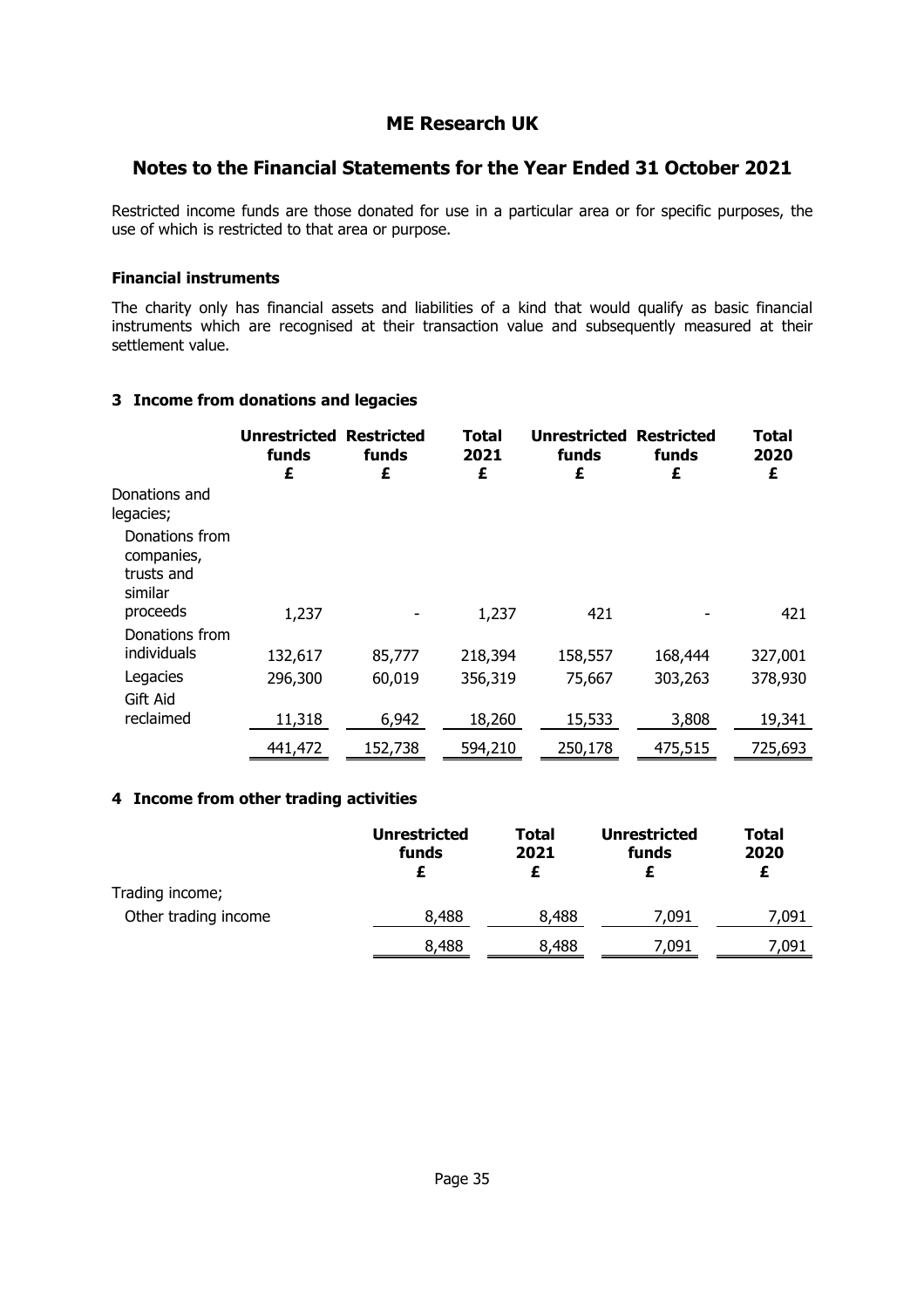### **Notes to the Financial Statements for the Year Ended 31 October 2021**

Restricted income funds are those donated for use in a particular area or for specific purposes, the use of which is restricted to that area or purpose.

#### **Financial instruments**

The charity only has financial assets and liabilities of a kind that would qualify as basic financial instruments which are recognised at their transaction value and subsequently measured at their settlement value.

#### **3 Income from donations and legacies**

|                                                       | <b>Unrestricted</b><br>funds<br>£ | <b>Restricted</b><br>funds<br>£ | <b>Total</b><br>2021<br>£ | <b>Unrestricted</b><br>funds<br>£ | <b>Restricted</b><br>funds<br>£ | Total<br>2020<br>£ |
|-------------------------------------------------------|-----------------------------------|---------------------------------|---------------------------|-----------------------------------|---------------------------------|--------------------|
| Donations and<br>legacies;                            |                                   |                                 |                           |                                   |                                 |                    |
| Donations from<br>companies,<br>trusts and<br>similar |                                   |                                 |                           |                                   |                                 |                    |
| proceeds<br>Donations from                            | 1,237                             |                                 | 1,237                     | 421                               |                                 | 421                |
| individuals                                           | 132,617                           | 85,777                          | 218,394                   | 158,557                           | 168,444                         | 327,001            |
| Legacies                                              | 296,300                           | 60,019                          | 356,319                   | 75,667                            | 303,263                         | 378,930            |
| Gift Aid                                              |                                   |                                 |                           |                                   |                                 |                    |
| reclaimed                                             | 11,318                            | 6,942                           | 18,260                    | 15,533                            | 3,808                           | 19,341             |
|                                                       | 441,472                           | 152,738                         | 594,210                   | 250,178                           | 475,515                         | 725,693            |

#### **4 Income from other trading activities**

|                      | <b>Unrestricted</b><br>funds | Total<br>2021 | Unrestricted<br>funds | <b>Total</b><br>2020<br>£ |
|----------------------|------------------------------|---------------|-----------------------|---------------------------|
| Trading income;      |                              |               |                       |                           |
| Other trading income | 8,488                        | 8,488         | 7.091                 | 7,091                     |
|                      | 8,488                        | 8,488         | 7,091                 | 7,091                     |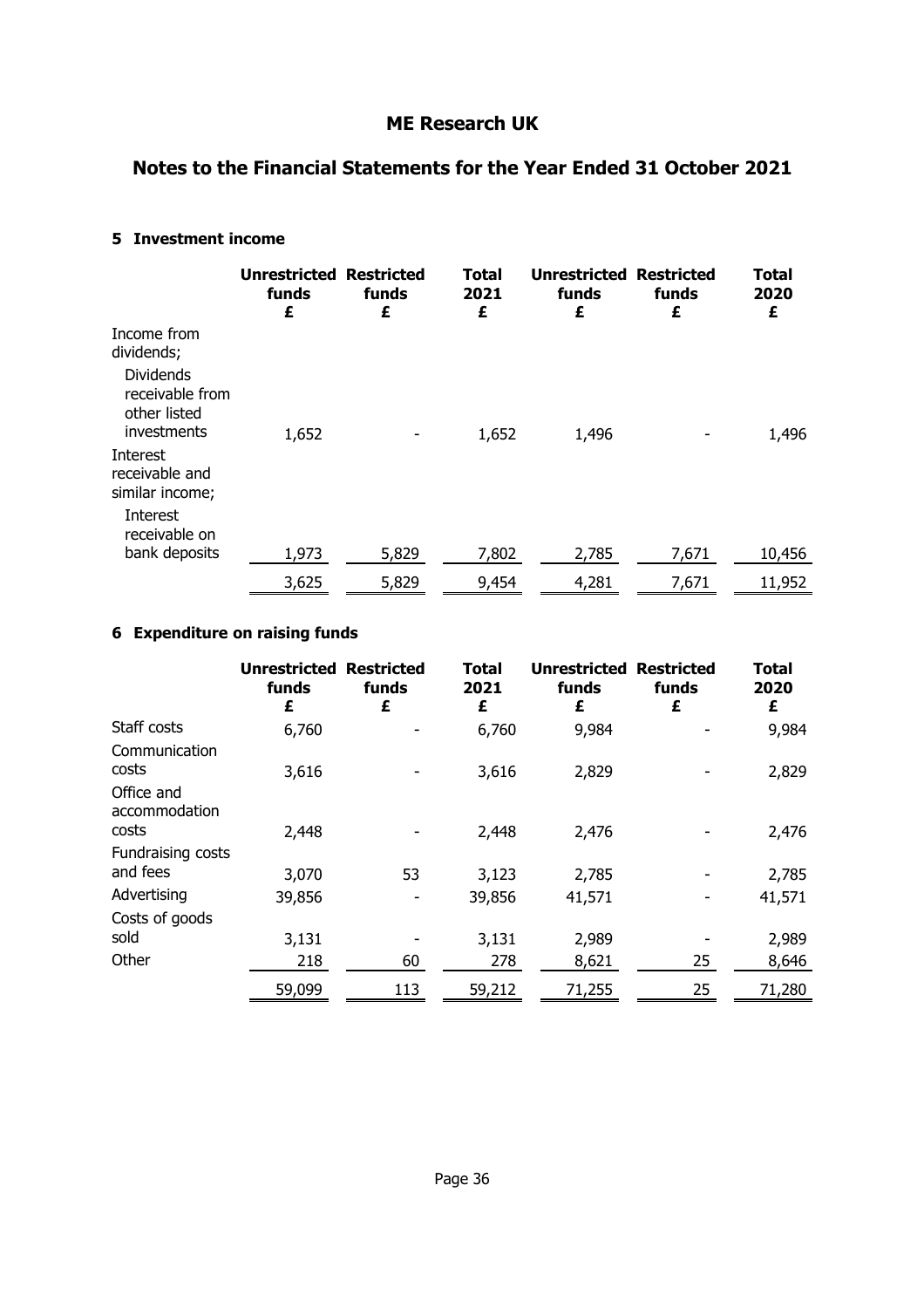### **Notes to the Financial Statements for the Year Ended 31 October 2021**

#### **5 Investment income**

|                                                                                                 | <b>Unrestricted</b><br>funds<br>£ | <b>Restricted</b><br>funds<br>£ | Total<br>2021<br>£ | <b>Unrestricted Restricted</b><br>funds<br>£ | funds<br>£ | <b>Total</b><br>2020<br>£ |
|-------------------------------------------------------------------------------------------------|-----------------------------------|---------------------------------|--------------------|----------------------------------------------|------------|---------------------------|
| Income from<br>dividends;<br><b>Dividends</b><br>receivable from<br>other listed<br>investments | 1,652                             |                                 | 1,652              | 1,496                                        |            | 1,496                     |
| Interest<br>receivable and<br>similar income;<br>Interest<br>receivable on                      |                                   |                                 |                    |                                              |            |                           |
| bank deposits                                                                                   | 1,973                             | 5,829                           | 7,802              | 2,785                                        | 7,671      | 10,456                    |
|                                                                                                 | 3,625                             | 5,829                           | 9,454              | 4,281                                        | 7,671      | 11,952                    |

### **6 Expenditure on raising funds**

|                                      | <b>Unrestricted Restricted</b><br>funds<br>£ | funds<br>£ | Total<br>2021<br>£ | <b>Unrestricted Restricted</b><br>funds<br>£ | funds<br>£ | <b>Total</b><br>2020<br>£ |
|--------------------------------------|----------------------------------------------|------------|--------------------|----------------------------------------------|------------|---------------------------|
| Staff costs                          | 6,760                                        |            | 6,760              | 9,984                                        |            | 9,984                     |
| Communication<br>costs               | 3,616                                        |            | 3,616              | 2,829                                        |            | 2,829                     |
| Office and<br>accommodation<br>costs | 2,448                                        |            | 2,448              | 2,476                                        |            | 2,476                     |
| Fundraising costs                    |                                              |            |                    |                                              |            |                           |
| and fees                             | 3,070                                        | 53         | 3,123              | 2,785                                        |            | 2,785                     |
| Advertising                          | 39,856                                       |            | 39,856             | 41,571                                       |            | 41,571                    |
| Costs of goods                       |                                              |            |                    |                                              |            |                           |
| sold                                 | 3,131                                        |            | 3,131              | 2,989                                        |            | 2,989                     |
| Other                                | 218                                          | 60         | 278                | 8,621                                        | 25         | 8,646                     |
|                                      | 59,099                                       | 113        | 59,212             | 71,255                                       | 25         | 71,280                    |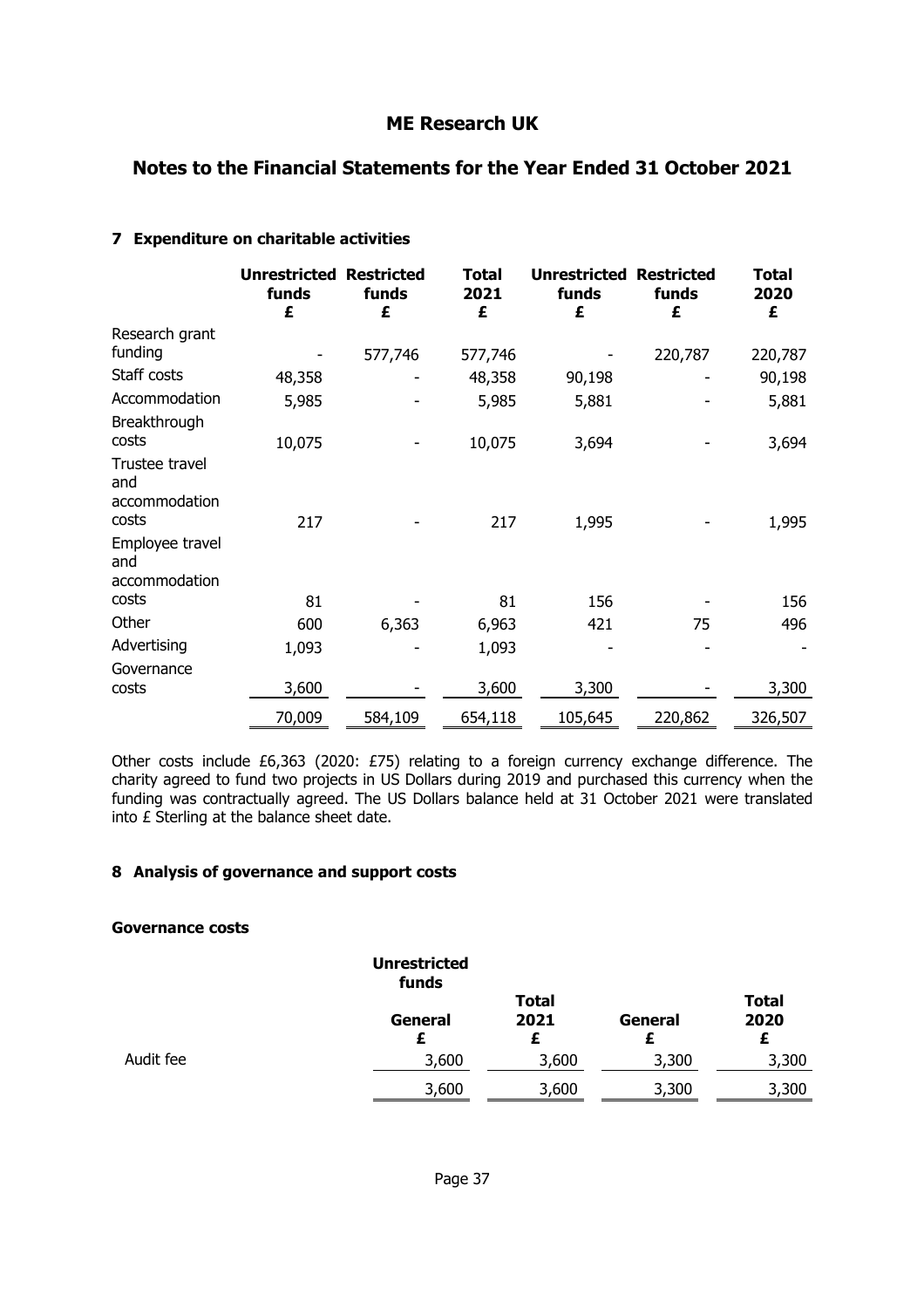### **Notes to the Financial Statements for the Year Ended 31 October 2021**

|                                                 | <b>Unrestricted</b><br>funds<br>£ | <b>Restricted</b><br>funds<br>£ | <b>Total</b><br>2021<br>£ | <b>Unrestricted</b><br>funds<br>£ | <b>Restricted</b><br>funds<br>£ | <b>Total</b><br>2020<br>£ |
|-------------------------------------------------|-----------------------------------|---------------------------------|---------------------------|-----------------------------------|---------------------------------|---------------------------|
| Research grant<br>funding                       |                                   | 577,746                         | 577,746                   |                                   | 220,787                         | 220,787                   |
| Staff costs                                     | 48,358                            |                                 | 48,358                    | 90,198                            |                                 | 90,198                    |
| Accommodation<br>Breakthrough                   | 5,985                             |                                 | 5,985                     | 5,881                             |                                 | 5,881                     |
| costs                                           | 10,075                            |                                 | 10,075                    | 3,694                             |                                 | 3,694                     |
| Trustee travel<br>and<br>accommodation<br>costs | 217                               |                                 | 217                       | 1,995                             |                                 | 1,995                     |
| Employee travel<br>and<br>accommodation         |                                   |                                 |                           |                                   |                                 |                           |
| costs                                           | 81                                |                                 | 81                        | 156                               |                                 | 156                       |
| Other                                           | 600                               | 6,363                           | 6,963                     | 421                               | 75                              | 496                       |
| Advertising<br>Governance                       | 1,093                             |                                 | 1,093                     |                                   |                                 |                           |
| costs                                           | 3,600                             |                                 | 3,600                     | 3,300                             |                                 | 3,300                     |
|                                                 | 70,009                            | 584,109                         | 654,118                   | 105,645                           | 220,862                         | 326,507                   |

#### **7 Expenditure on charitable activities**

Other costs include £6,363 (2020: £75) relating to a foreign currency exchange difference. The charity agreed to fund two projects in US Dollars during 2019 and purchased this currency when the funding was contractually agreed. The US Dollars balance held at 31 October 2021 were translated into £ Sterling at the balance sheet date.

#### **8 Analysis of governance and support costs**

#### **Governance costs**

|           | <b>Unrestricted</b><br>funds |                           |         |                           |
|-----------|------------------------------|---------------------------|---------|---------------------------|
|           | General<br>Ł                 | <b>Total</b><br>2021<br>Ł | General | <b>Total</b><br>2020<br>£ |
| Audit fee | 3,600                        | 3,600                     | 3,300   | 3,300                     |
|           | 3,600                        | 3,600                     | 3,300   | 3,300                     |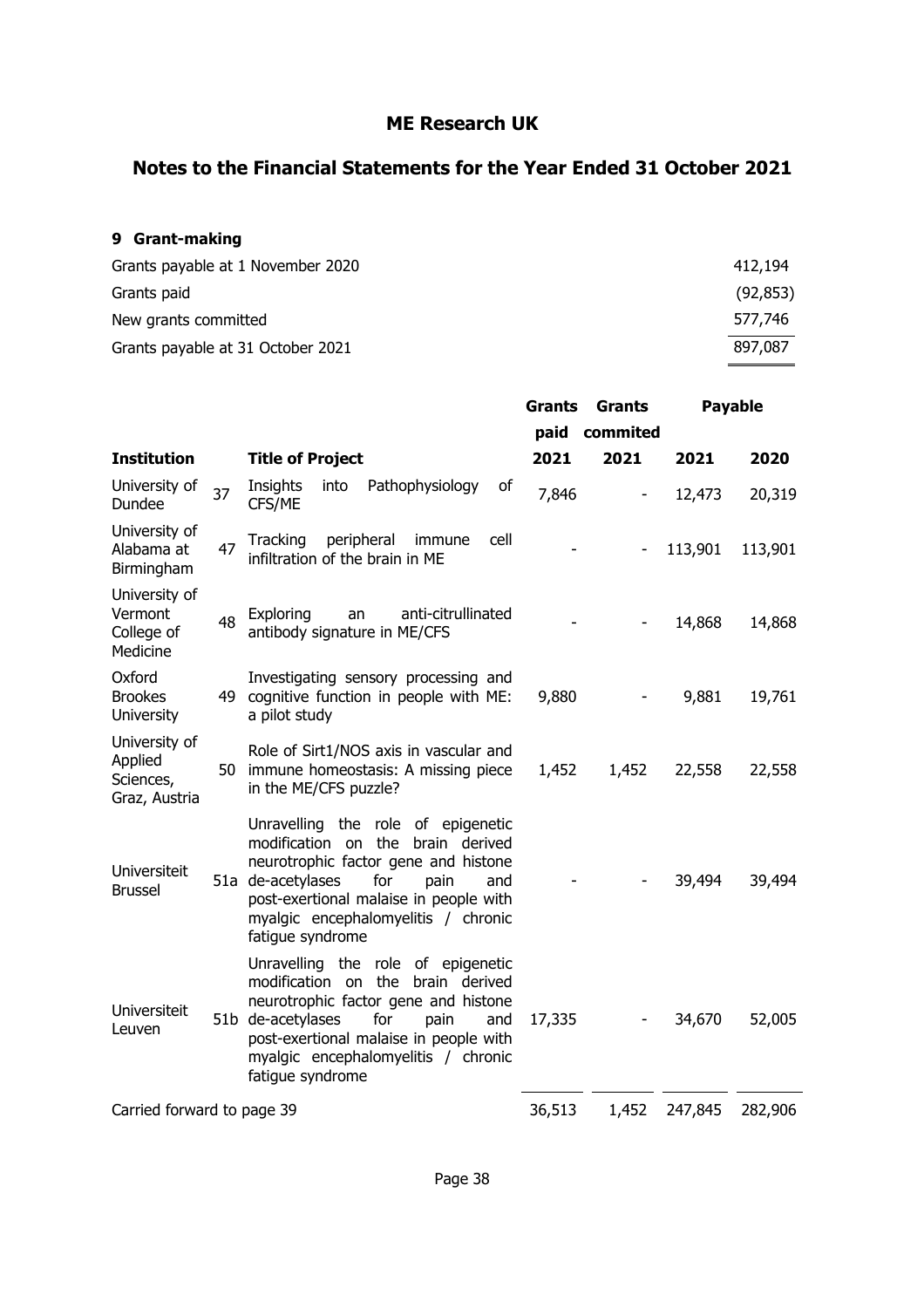### **Notes to the Financial Statements for the Year Ended 31 October 2021**

### **9 Grant-making**

| 412,194   |
|-----------|
| (92, 853) |
| 577,746   |
| 897,087   |
|           |

|                                                        |    |                                                                                                                                                                                                                                                                    | <b>Grants</b> | Grants                       | <b>Payable</b> |         |
|--------------------------------------------------------|----|--------------------------------------------------------------------------------------------------------------------------------------------------------------------------------------------------------------------------------------------------------------------|---------------|------------------------------|----------------|---------|
|                                                        |    |                                                                                                                                                                                                                                                                    |               | paid commited                |                |         |
| <b>Institution</b>                                     |    | <b>Title of Project</b>                                                                                                                                                                                                                                            | 2021          | 2021                         | 2021           | 2020    |
| University of<br>Dundee                                | 37 | Pathophysiology<br>Insights<br>into<br>of<br>CFS/ME                                                                                                                                                                                                                | 7,846         | $\qquad \qquad \blacksquare$ | 12,473         | 20,319  |
| University of<br>Alabama at<br>Birmingham              | 47 | peripheral<br>Tracking<br>immune<br>cell<br>infiltration of the brain in ME                                                                                                                                                                                        |               |                              | 113,901        | 113,901 |
| University of<br>Vermont<br>College of<br>Medicine     | 48 | anti-citrullinated<br>Exploring<br>an<br>antibody signature in ME/CFS                                                                                                                                                                                              |               |                              | 14,868         | 14,868  |
| Oxford<br><b>Brookes</b><br><b>University</b>          |    | Investigating sensory processing and<br>49 cognitive function in people with ME:<br>a pilot study                                                                                                                                                                  | 9,880         |                              | 9,881          | 19,761  |
| University of<br>Applied<br>Sciences,<br>Graz, Austria |    | Role of Sirt1/NOS axis in vascular and<br>50 immune homeostasis: A missing piece<br>in the ME/CFS puzzle?                                                                                                                                                          | 1,452         | 1,452                        | 22,558         | 22,558  |
| <b>Universiteit</b><br><b>Brussel</b>                  |    | Unravelling the role of epigenetic<br>modification on the brain derived<br>neurotrophic factor gene and histone<br>for<br>51a de-acetylases<br>pain<br>and<br>post-exertional malaise in people with<br>myalgic encephalomyelitis / chronic<br>fatigue syndrome    |               |                              | 39,494         | 39,494  |
| <b>Universiteit</b><br>Leuven                          |    | Unravelling the role of epigenetic<br>modification on<br>the brain derived<br>neurotrophic factor gene and histone<br>51b de-acetylases<br>for<br>pain<br>and<br>post-exertional malaise in people with<br>myalgic encephalomyelitis / chronic<br>fatigue syndrome | 17,335        |                              | 34,670         | 52,005  |
| Carried forward to page 39                             |    |                                                                                                                                                                                                                                                                    | 36,513        | 1,452                        | 247,845        | 282,906 |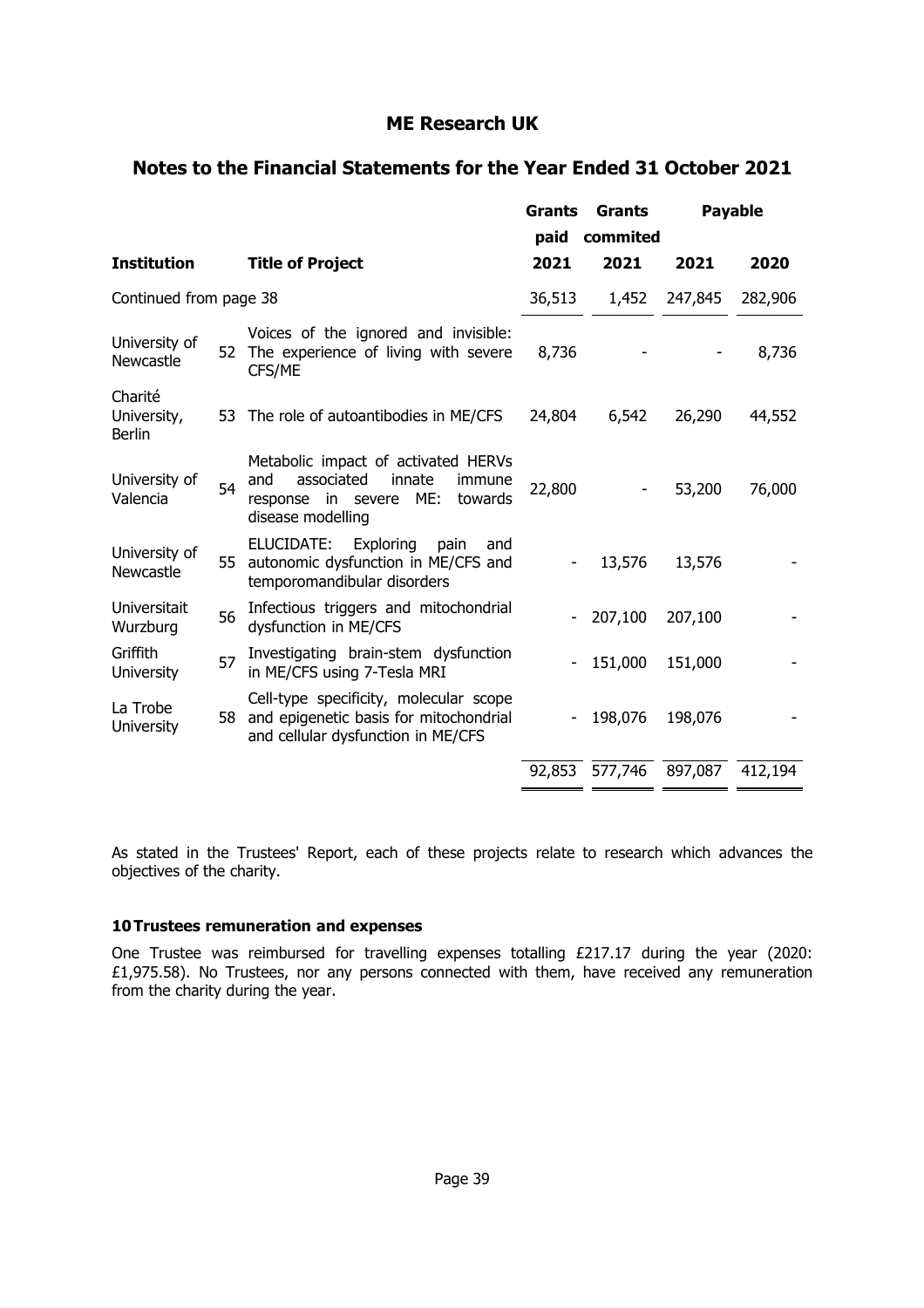### **Notes to the Financial Statements for the Year Ended 31 October 2021**

|                                         |    |                                                                                                                                        | <b>Grants</b><br>paid | Grants<br>commited |         | <b>Payable</b> |
|-----------------------------------------|----|----------------------------------------------------------------------------------------------------------------------------------------|-----------------------|--------------------|---------|----------------|
| <b>Institution</b>                      |    | <b>Title of Project</b>                                                                                                                | 2021                  | 2021               | 2021    | 2020           |
| Continued from page 38                  |    |                                                                                                                                        | 36,513                | 1,452              | 247,845 | 282,906        |
| University of<br>Newcastle              |    | Voices of the ignored and invisible:<br>52 The experience of living with severe<br>CFS/ME                                              | 8,736                 |                    |         | 8,736          |
| Charité<br>University,<br><b>Berlin</b> |    | 53 The role of autoantibodies in ME/CFS                                                                                                | 24,804                | 6,542              | 26,290  | 44,552         |
| University of<br>Valencia               | 54 | Metabolic impact of activated HERVs<br>and<br>associated<br>innate<br>immune<br>response in severe ME:<br>towards<br>disease modelling | 22,800                |                    | 53,200  | 76,000         |
| University of<br>Newcastle              |    | ELUCIDATE:<br>Exploring<br>pain<br>and<br>55 autonomic dysfunction in ME/CFS and<br>temporomandibular disorders                        |                       | 13,576             | 13,576  |                |
| Universitait<br>Wurzburg                | 56 | Infectious triggers and mitochondrial<br>dysfunction in ME/CFS                                                                         |                       | 207,100            | 207,100 |                |
| Griffith<br><b>University</b>           | 57 | Investigating brain-stem dysfunction<br>in ME/CFS using 7-Tesla MRI                                                                    |                       | 151,000            | 151,000 |                |
| La Trobe<br><b>University</b>           | 58 | Cell-type specificity, molecular scope<br>and epigenetic basis for mitochondrial<br>and cellular dysfunction in ME/CFS                 |                       | 198,076            | 198,076 |                |
|                                         |    |                                                                                                                                        | 92,853                | 577,746            | 897,087 | 412,194        |

As stated in the Trustees' Report, each of these projects relate to research which advances the objectives of the charity.

#### **10 Trustees remuneration and expenses**

One Trustee was reimbursed for travelling expenses totalling £217.17 during the year (2020: £1,975.58). No Trustees, nor any persons connected with them, have received any remuneration from the charity during the year.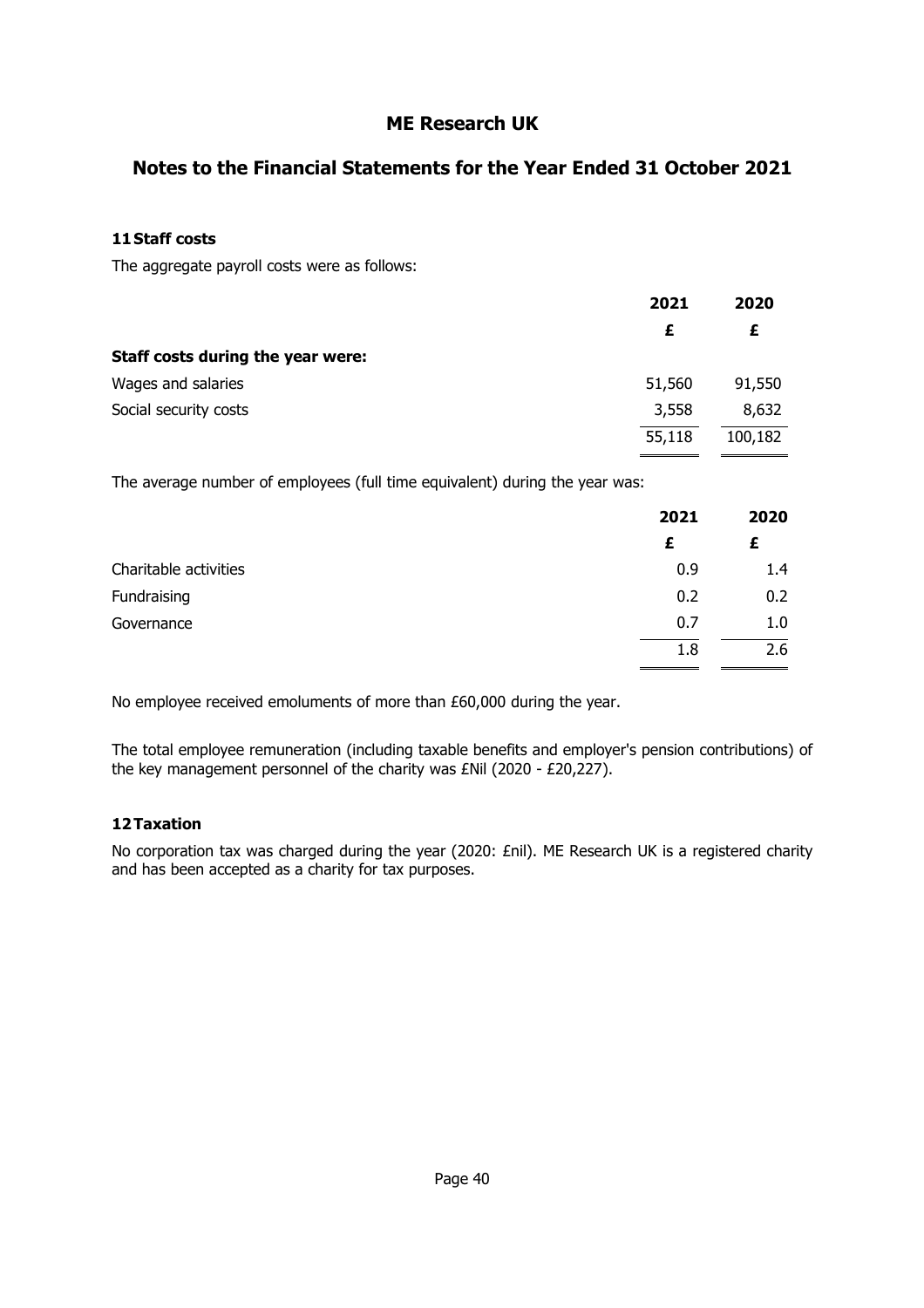### **Notes to the Financial Statements for the Year Ended 31 October 2021**

#### **11 Staff costs**

The aggregate payroll costs were as follows:

|                                   | 2021   | 2020    |
|-----------------------------------|--------|---------|
|                                   | £      | £       |
| Staff costs during the year were: |        |         |
| Wages and salaries                | 51,560 | 91,550  |
| Social security costs             | 3,558  | 8,632   |
|                                   | 55,118 | 100,182 |

The average number of employees (full time equivalent) during the year was:

|                       | 2021 | 2020 |
|-----------------------|------|------|
|                       | £    | £    |
| Charitable activities | 0.9  | 1.4  |
| Fundraising           | 0.2  | 0.2  |
| Governance            | 0.7  | 1.0  |
|                       | 1.8  | 2.6  |

No employee received emoluments of more than £60,000 during the year.

The total employee remuneration (including taxable benefits and employer's pension contributions) of the key management personnel of the charity was £Nil (2020 - £20,227).

#### **12 Taxation**

No corporation tax was charged during the year (2020: £nil). ME Research UK is a registered charity and has been accepted as a charity for tax purposes.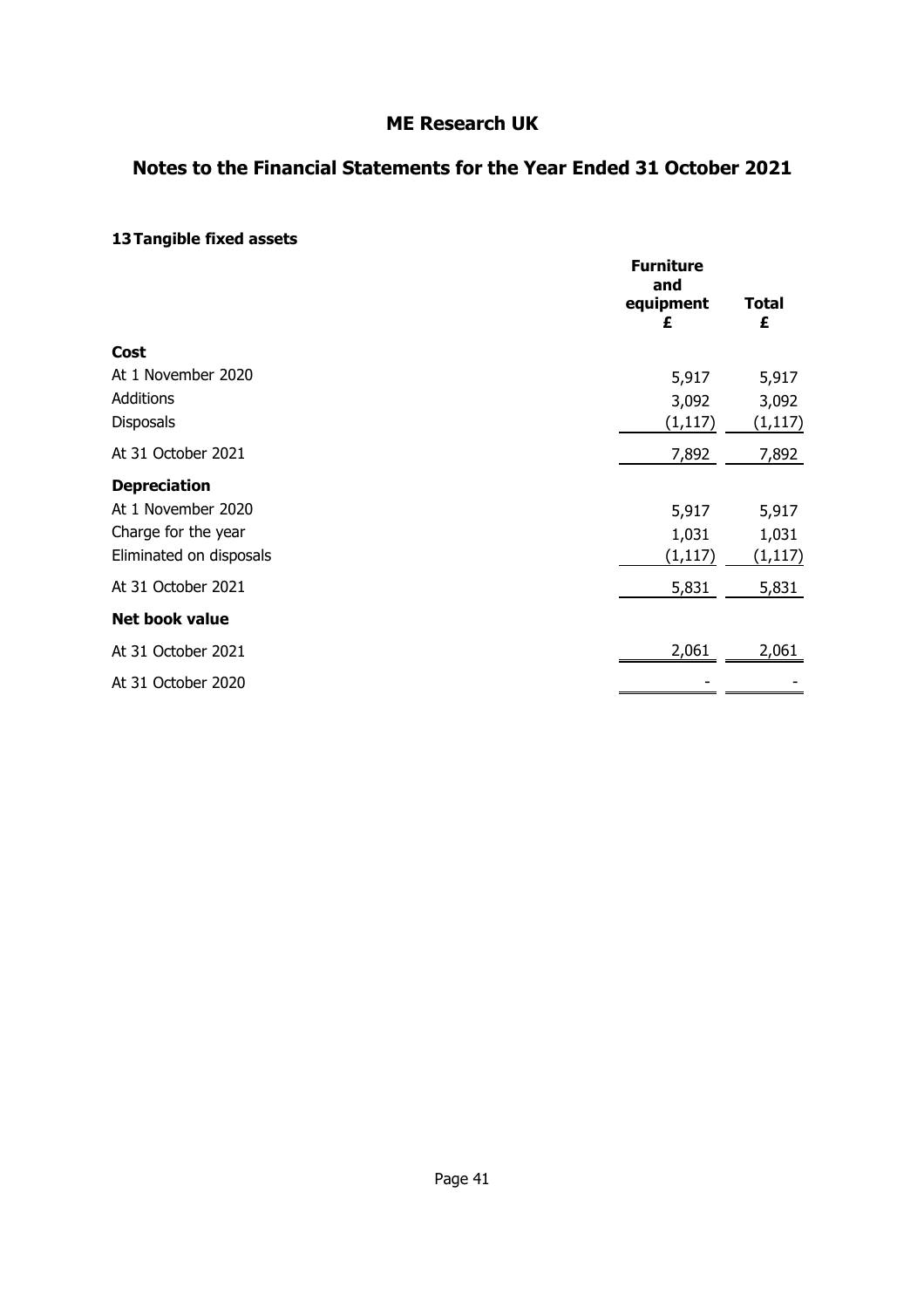### **Notes to the Financial Statements for the Year Ended 31 October 2021**

### **13 Tangible fixed assets**

|                         | <b>Furniture</b><br>and<br>equipment<br>£ | <b>Total</b><br>£ |
|-------------------------|-------------------------------------------|-------------------|
| Cost                    |                                           |                   |
| At 1 November 2020      | 5,917                                     | 5,917             |
| <b>Additions</b>        | 3,092                                     | 3,092             |
| <b>Disposals</b>        | (1, 117)                                  | (1, 117)          |
| At 31 October 2021      | 7,892                                     | 7,892             |
| <b>Depreciation</b>     |                                           |                   |
| At 1 November 2020      | 5,917                                     | 5,917             |
| Charge for the year     | 1,031                                     | 1,031             |
| Eliminated on disposals | (1, 117)                                  | (1, 117)          |
| At 31 October 2021      | 5,831                                     | 5,831             |
| <b>Net book value</b>   |                                           |                   |
| At 31 October 2021      | 2,061                                     | 2,061             |
| At 31 October 2020      |                                           |                   |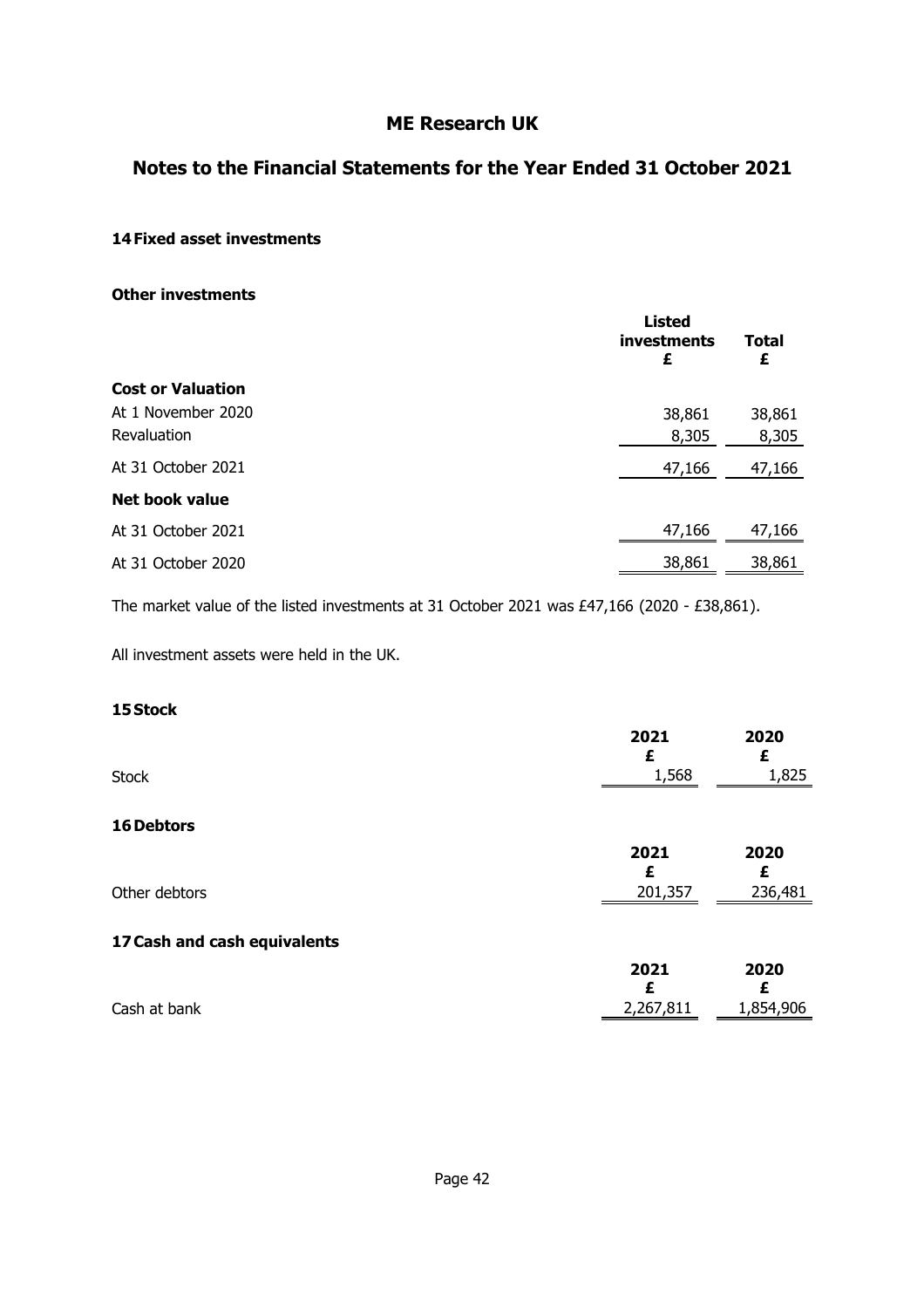### **Notes to the Financial Statements for the Year Ended 31 October 2021**

#### **14 Fixed asset investments**

**Other investments**

|                          | <b>Listed</b><br>investments<br>£ | Total<br>£ |
|--------------------------|-----------------------------------|------------|
| <b>Cost or Valuation</b> |                                   |            |
| At 1 November 2020       | 38,861                            | 38,861     |
| Revaluation              | 8,305                             | 8,305      |
| At 31 October 2021       | 47,166                            | 47,166     |
| <b>Net book value</b>    |                                   |            |
| At 31 October 2021       | 47,166                            | 47,166     |
| At 31 October 2020       | 38,861                            | 38,861     |

The market value of the listed investments at 31 October 2021 was £47,166 (2020 - £38,861).

All investment assets were held in the UK.

### **15 Stock**

|                              | 2021      | 2020      |
|------------------------------|-----------|-----------|
| <b>Stock</b>                 | 1,568     | 1,825     |
| 16 Debtors                   |           |           |
|                              | 2021<br>£ | 2020<br>£ |
| Other debtors                | 201,357   | 236,481   |
| 17 Cash and cash equivalents |           |           |
|                              | 2021      | 2020      |
| Cash at bank                 | 2,267,811 | 1,854,906 |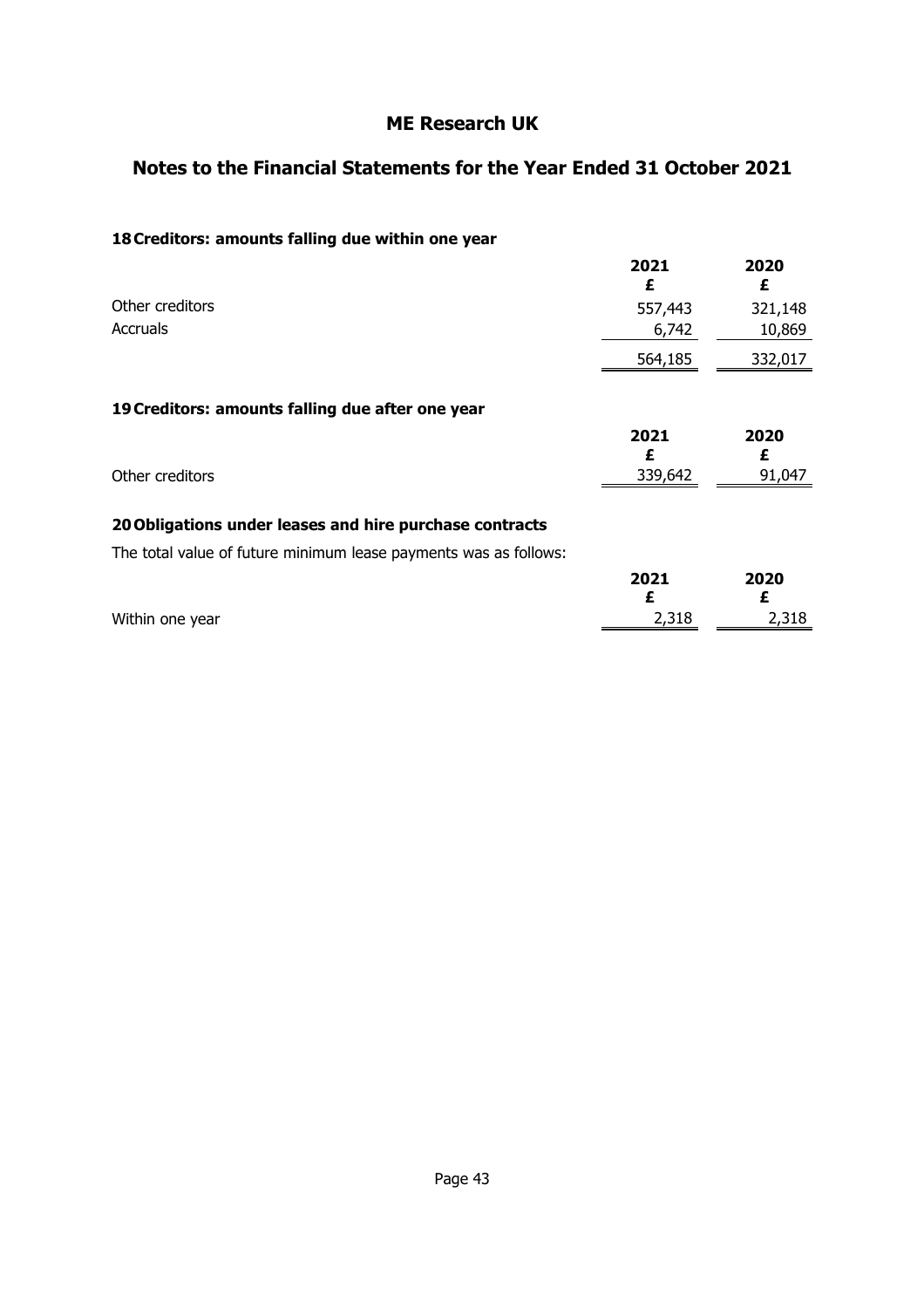### **Notes to the Financial Statements for the Year Ended 31 October 2021**

### **18 Creditors: amounts falling due within one year**

|                                                                  | 2021<br>£ | 2020<br>£ |
|------------------------------------------------------------------|-----------|-----------|
| Other creditors                                                  | 557,443   | 321,148   |
| <b>Accruals</b>                                                  | 6,742     | 10,869    |
|                                                                  | 564,185   | 332,017   |
| 19 Creditors: amounts falling due after one year                 |           |           |
|                                                                  | 2021<br>£ | 2020<br>£ |
| Other creditors                                                  | 339,642   | 91,047    |
| 20 Obligations under leases and hire purchase contracts          |           |           |
| The total value of future minimum lease payments was as follows: |           |           |
|                                                                  | 2021<br>£ | 2020<br>£ |
| Within one year                                                  | 2,318     | 2,318     |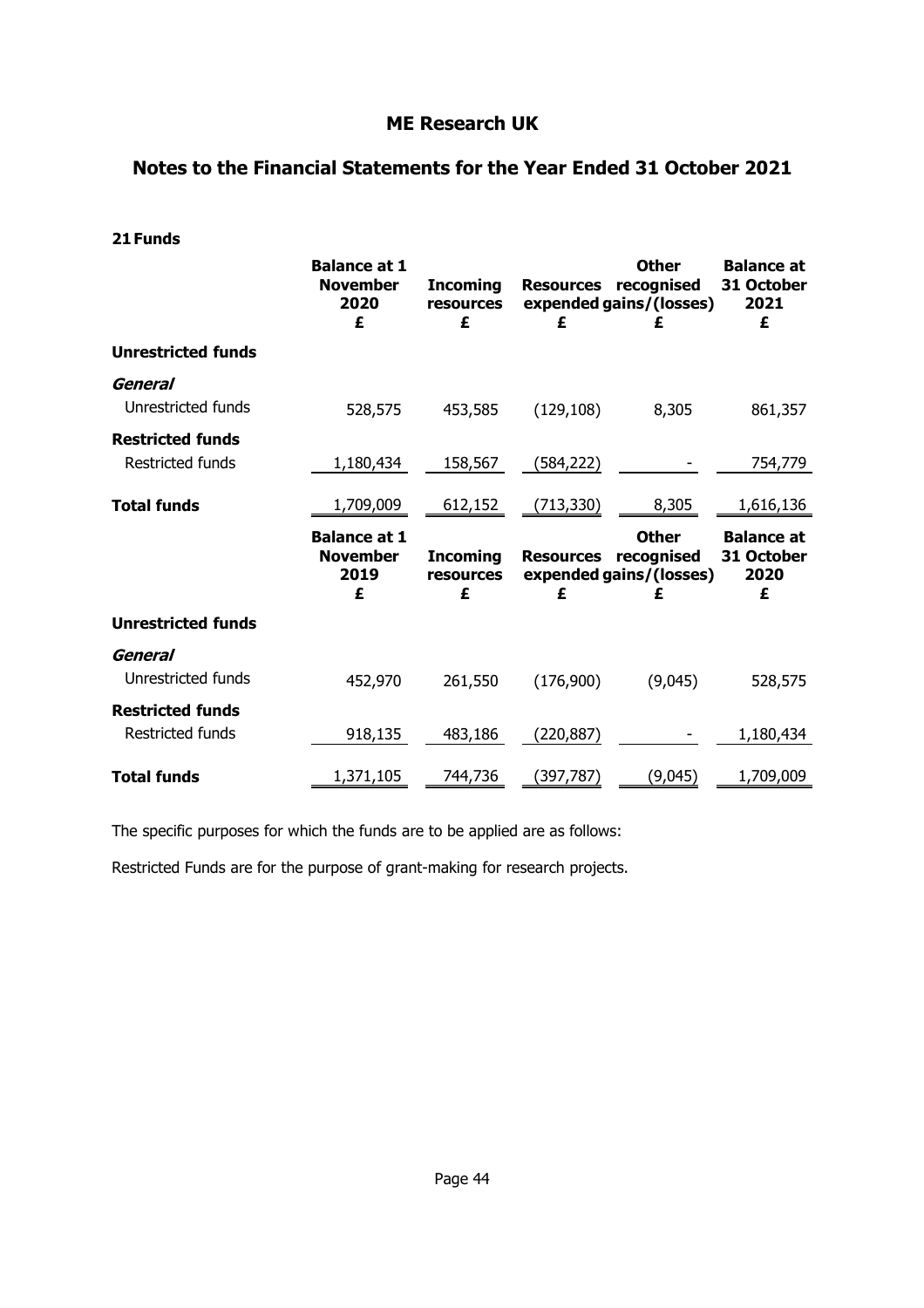### **Notes to the Financial Statements for the Year Ended 31 October 2021**

| 21 Funds                                           |                                                     |                                   |                       |                                                       |                                              |
|----------------------------------------------------|-----------------------------------------------------|-----------------------------------|-----------------------|-------------------------------------------------------|----------------------------------------------|
|                                                    | <b>Balance at 1</b><br><b>November</b><br>2020<br>£ | <b>Incoming</b><br>resources<br>£ | <b>Resources</b><br>£ | <b>Other</b><br>recognised<br>expended gains/(losses) | <b>Balance at</b><br>31 October<br>2021<br>£ |
| <b>Unrestricted funds</b>                          |                                                     |                                   |                       |                                                       |                                              |
| General<br>Unrestricted funds                      | 528,575                                             | 453,585                           | (129, 108)            | 8,305                                                 | 861,357                                      |
| <b>Restricted funds</b><br>Restricted funds        | 1,180,434                                           | 158,567                           | (584, 222)            |                                                       | 754,779                                      |
| <b>Total funds</b>                                 | 1,709,009                                           | 612,152                           | (713, 330)            | 8,305                                                 | 1,616,136                                    |
|                                                    | <b>Balance at 1</b><br><b>November</b><br>2019<br>£ | <b>Incoming</b><br>resources<br>£ | <b>Resources</b><br>£ | <b>Other</b><br>recognised<br>expended gains/(losses) | <b>Balance at</b><br>31 October<br>2020<br>£ |
| <b>Unrestricted funds</b>                          |                                                     |                                   |                       |                                                       |                                              |
| General<br>Unrestricted funds                      | 452,970                                             | 261,550                           | (176,900)             | (9,045)                                               | 528,575                                      |
| <b>Restricted funds</b><br><b>Restricted funds</b> | 918,135                                             | 483,186                           | (220, 887)            |                                                       | 1,180,434                                    |
| <b>Total funds</b>                                 | 1,371,105                                           | 744,736                           | (397, 787)            | (9,045)                                               | 1,709,009                                    |

The specific purposes for which the funds are to be applied are as follows:

Restricted Funds are for the purpose of grant-making for research projects.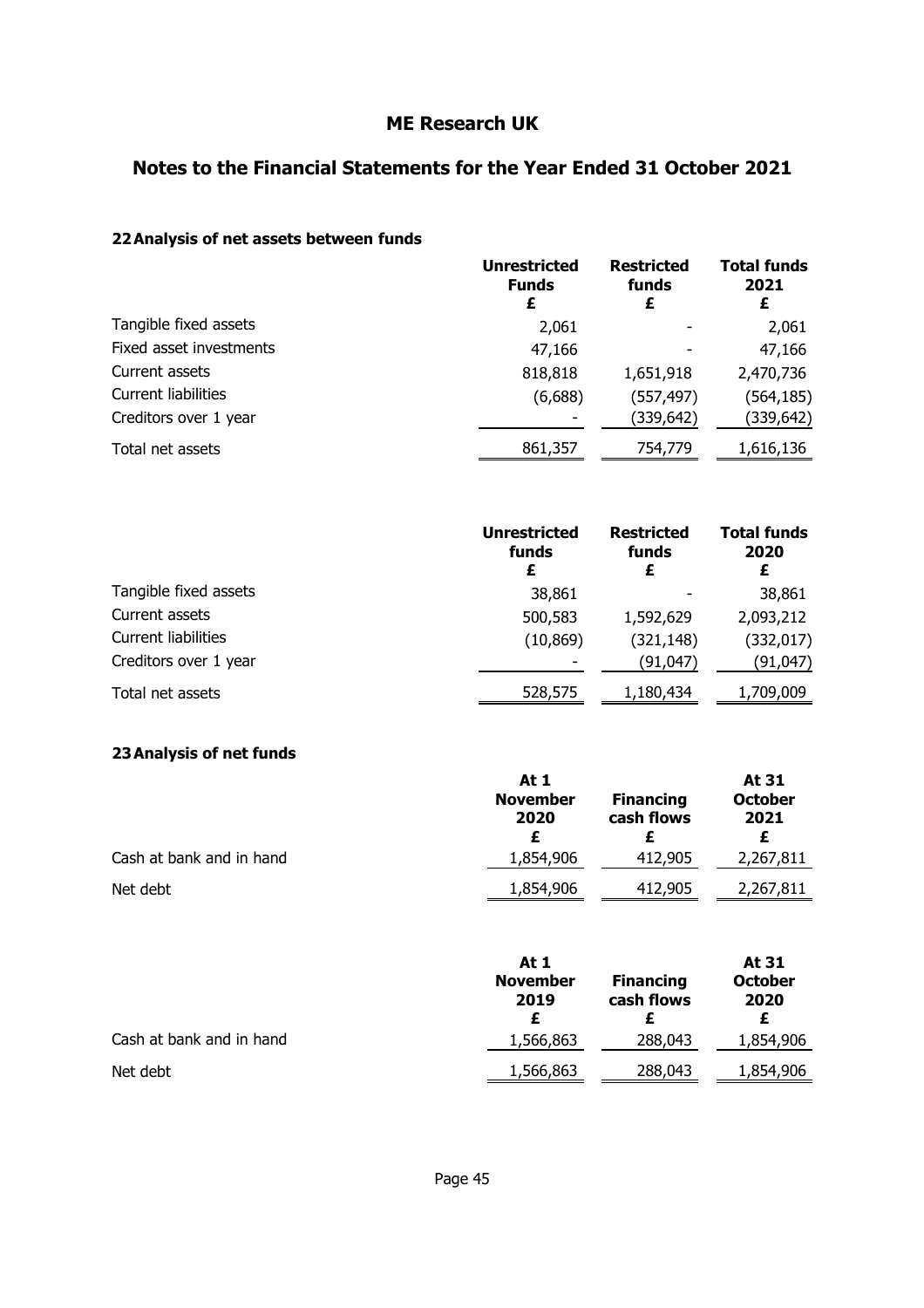### **Notes to the Financial Statements for the Year Ended 31 October 2021**

### **22 Analysis of net assets between funds**

|                            | <b>Unrestricted</b><br><b>Funds</b><br>£ | <b>Restricted</b><br>funds<br>£ | <b>Total funds</b><br>2021<br>£ |
|----------------------------|------------------------------------------|---------------------------------|---------------------------------|
| Tangible fixed assets      | 2,061                                    |                                 | 2,061                           |
| Fixed asset investments    | 47,166                                   |                                 | 47,166                          |
| Current assets             | 818,818                                  | 1,651,918                       | 2,470,736                       |
| <b>Current liabilities</b> | (6,688)                                  | (557, 497)                      | (564, 185)                      |
| Creditors over 1 year      |                                          | (339,642)                       | (339,642)                       |
| Total net assets           | 861,357                                  | 754,779                         | 1,616,136                       |

|                            | <b>Unrestricted</b><br>funds<br>£ | <b>Restricted</b><br>funds | <b>Total funds</b><br>2020 |
|----------------------------|-----------------------------------|----------------------------|----------------------------|
| Tangible fixed assets      | 38,861                            |                            | 38,861                     |
| Current assets             | 500,583                           | 1,592,629                  | 2,093,212                  |
| <b>Current liabilities</b> | (10, 869)                         | (321, 148)                 | (332,017)                  |
| Creditors over 1 year      |                                   | (91,047)                   | (91,047)                   |
| Total net assets           | 528,575                           | 1,180,434                  | 1,709,009                  |

#### **23 Analysis of net funds**

|                          | At 1                    |                                | At 31                  |  |
|--------------------------|-------------------------|--------------------------------|------------------------|--|
|                          | <b>November</b><br>2020 | <b>Financing</b><br>cash flows | <b>October</b><br>2021 |  |
|                          |                         |                                |                        |  |
| Cash at bank and in hand | 1,854,906               | 412,905                        | 2,267,811              |  |
| Net debt                 | 1,854,906               | 412,905                        | 2,267,811              |  |

|                          | At 1<br><b>November</b><br>2019 | <b>Financing</b><br>cash flows | At 31<br><b>October</b><br>2020 |
|--------------------------|---------------------------------|--------------------------------|---------------------------------|
| Cash at bank and in hand | 1,566,863                       | 288,043                        | 1,854,906                       |
| Net debt                 | 1,566,863                       | 288,043                        | 1,854,906                       |